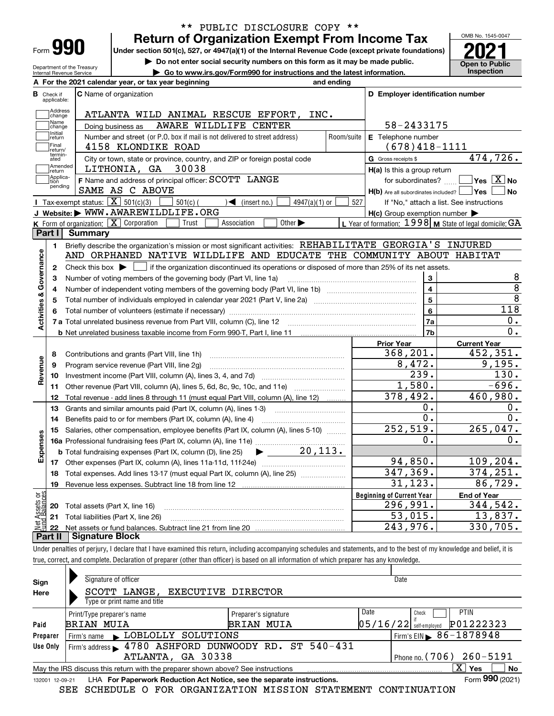| ⊦orm |  |  |
|------|--|--|

Department of the Treasury Internal Revenue Service

# **Return of Organization Exempt From Income Tax** \*\* PUBLIC DISCLOSURE COPY \*\*

**Under section 501(c), 527, or 4947(a)(1) of the Internal Revenue Code (except private foundations)**

**but the Do not enter social security numbers on this form as it may be made public.** The open to Public **Dependent Conduct Later Conduct Later Social Security numbers on this form as it may be made public. <b>Conduction** Co **| Go to www.irs.gov/Form990 for instructions and the latest information. Inspection**

OMB No. 1545-0047

|                                |                                  | A For the 2021 calendar year, or tax year beginning                                                                                         | and ending |                                                         |                                                           |
|--------------------------------|----------------------------------|---------------------------------------------------------------------------------------------------------------------------------------------|------------|---------------------------------------------------------|-----------------------------------------------------------|
|                                | <b>B</b> Check if<br>applicable: | <b>C</b> Name of organization                                                                                                               |            | D Employer identification number                        |                                                           |
|                                | Address<br>change                | ATLANTA WILD ANIMAL RESCUE EFFORT,<br>INC.                                                                                                  |            |                                                         |                                                           |
|                                | Name<br>change                   | AWARE WILDLIFE CENTER<br>Doing business as                                                                                                  |            | 58-2433175                                              |                                                           |
|                                | Initial<br>return                | Number and street (or P.O. box if mail is not delivered to street address)                                                                  | Room/suite | E Telephone number                                      |                                                           |
|                                | Final<br>return/                 | 4158 KLONDIKE ROAD                                                                                                                          |            | $(678)418 - 1111$                                       |                                                           |
|                                | termin-<br>ated                  | City or town, state or province, country, and ZIP or foreign postal code                                                                    |            | G Gross receipts \$                                     | 474, 726.                                                 |
|                                | Amended<br>return                | LITHONIA, GA 30038                                                                                                                          |            | $H(a)$ is this a group return                           |                                                           |
|                                | Applica-<br>tion                 | F Name and address of principal officer: SCOTT LANGE                                                                                        |            | for subordinates?                                       | $\sqrt{}$ Yes $\sqrt{}$ X $\sqrt{}$ No                    |
|                                | pending                          | SAME AS C ABOVE                                                                                                                             |            | $H(b)$ Are all subordinates included? $\Box$ Yes $\Box$ | ∣No                                                       |
|                                |                                  | <b>I</b> Tax-exempt status: $\boxed{\mathbf{X}}$ 501(c)(3)<br>$\sqrt{\frac{1}{1}}$ (insert no.)<br>$501(c)$ (<br>$4947(a)(1)$ or            | 527        |                                                         | If "No," attach a list. See instructions                  |
|                                |                                  | J Website: WWW.AWAREWILDLIFE.ORG                                                                                                            |            | $H(c)$ Group exemption number $\blacktriangleright$     |                                                           |
|                                |                                  | K Form of organization: $X$ Corporation<br>Association<br>Other $\blacktriangleright$<br>Trust                                              |            |                                                         | L Year of formation: 1998   M State of legal domicile: GA |
|                                | Part I                           | <b>Summary</b>                                                                                                                              |            |                                                         |                                                           |
|                                | 1                                | Briefly describe the organization's mission or most significant activities: REHABILITATE GEORGIA'S INJURED                                  |            |                                                         |                                                           |
| Activities & Governance        |                                  | AND ORPHANED NATIVE WILDLIFE AND EDUCATE THE COMMUNITY ABOUT HABITAT                                                                        |            |                                                         |                                                           |
|                                | 2                                | Check this box $\blacktriangleright$ $\Box$ if the organization discontinued its operations or disposed of more than 25% of its net assets. |            |                                                         |                                                           |
|                                | З                                | Number of voting members of the governing body (Part VI, line 1a)                                                                           |            | 3                                                       | 8                                                         |
|                                | 4                                |                                                                                                                                             |            | $\overline{\mathbf{4}}$                                 | $\overline{8}$                                            |
|                                | 5                                |                                                                                                                                             |            | 5                                                       | $\overline{8}$                                            |
|                                | 6                                |                                                                                                                                             |            | 6                                                       | 118                                                       |
|                                |                                  |                                                                                                                                             |            | 7a                                                      | О.                                                        |
|                                |                                  |                                                                                                                                             |            | 7b                                                      | $\overline{0}$ .                                          |
|                                |                                  |                                                                                                                                             |            | <b>Prior Year</b>                                       | <b>Current Year</b>                                       |
|                                | 8                                | Contributions and grants (Part VIII, line 1h)                                                                                               |            | 368,201.                                                | 452,351.                                                  |
| Revenue                        | 9                                | Program service revenue (Part VIII, line 2g)                                                                                                |            | 8,472.                                                  | 9,195.                                                    |
|                                | 10                               |                                                                                                                                             |            | 239.                                                    | 130.                                                      |
|                                | 11                               | Other revenue (Part VIII, column (A), lines 5, 6d, 8c, 9c, 10c, and 11e)                                                                    |            | 1,580.                                                  | $-696.$                                                   |
|                                | 12                               | Total revenue - add lines 8 through 11 (must equal Part VIII, column (A), line 12)                                                          |            | 378,492.                                                | 460,980.                                                  |
|                                | 13                               | Grants and similar amounts paid (Part IX, column (A), lines 1-3)                                                                            |            | 0.                                                      | 0.                                                        |
|                                | 14                               |                                                                                                                                             |            | 0.                                                      | 0.                                                        |
|                                | 15                               | Salaries, other compensation, employee benefits (Part IX, column (A), lines 5-10)                                                           |            | 252,519.<br>$\overline{0}$ .                            | 265,047.                                                  |
|                                |                                  |                                                                                                                                             |            |                                                         | $0$ .                                                     |
| Expenses                       |                                  | 20, 113.<br><b>b</b> Total fundraising expenses (Part IX, column (D), line 25)<br>▶                                                         |            |                                                         |                                                           |
|                                | 17                               |                                                                                                                                             |            | 94,850.                                                 | 109, 204.                                                 |
|                                | 18                               | Total expenses. Add lines 13-17 (must equal Part IX, column (A), line 25) <i></i>                                                           |            | 347,369.                                                | 374, 251.                                                 |
|                                | 19                               |                                                                                                                                             |            | 31, 123.                                                | 86,729.                                                   |
| Net Assets or<br>Eund Balances |                                  |                                                                                                                                             |            | <b>Beginning of Current Year</b>                        | <b>End of Year</b>                                        |
|                                | 20                               | Total assets (Part X, line 16)                                                                                                              |            | 296,991.                                                | 344,542.                                                  |
|                                | 21                               | Total liabilities (Part X, line 26)                                                                                                         |            | 53,015.                                                 | 13,837.                                                   |
|                                | 22                               |                                                                                                                                             |            | 243,976.                                                | 330,705.                                                  |
|                                | Part II                          | <b>Signature Block</b>                                                                                                                      |            |                                                         |                                                           |

Under penalties of perjury, I declare that I have examined this return, including accompanying schedules and statements, and to the best of my knowledge and belief, it is true, correct, and complete. Declaration of preparer (other than officer) is based on all information of which preparer has any knowledge.

| Sign<br>Here                                                                                       | Signature of officer<br><b>EXECUTIVE DIRECTOR</b><br>SCOTT LANGE,<br>Type or print name and title            |                                           |                                  |                                   |  |  |  |  |  |
|----------------------------------------------------------------------------------------------------|--------------------------------------------------------------------------------------------------------------|-------------------------------------------|----------------------------------|-----------------------------------|--|--|--|--|--|
| Paid                                                                                               | Print/Type preparer's name<br><b>BRIAN MUIA</b>                                                              | Preparer's signature<br><b>BRIAN MUIA</b> | Date<br>$05/16/22$ self-employed | <b>PTIN</b><br>Check<br>P01222323 |  |  |  |  |  |
| Preparer                                                                                           | LOBLOLLY SOLUTIONS<br>Firm's name                                                                            |                                           |                                  | Firm's EIN $\, 86 - 1878948$      |  |  |  |  |  |
| Use Only                                                                                           | Firm's address 1780 ASHFORD DUNWOODY RD. ST 540-431<br>ATLANTA, GA 30338<br>Phone no. $(706)$ 260-5191       |                                           |                                  |                                   |  |  |  |  |  |
| X.<br>Yes<br>No<br>May the IRS discuss this return with the preparer shown above? See instructions |                                                                                                              |                                           |                                  |                                   |  |  |  |  |  |
|                                                                                                    | Form 990 (2021)<br>LHA For Paperwork Reduction Act Notice, see the separate instructions.<br>132001 12-09-21 |                                           |                                  |                                   |  |  |  |  |  |

SEE SCHEDULE O FOR ORGANIZATION MISSION STATEMENT CONTINUATION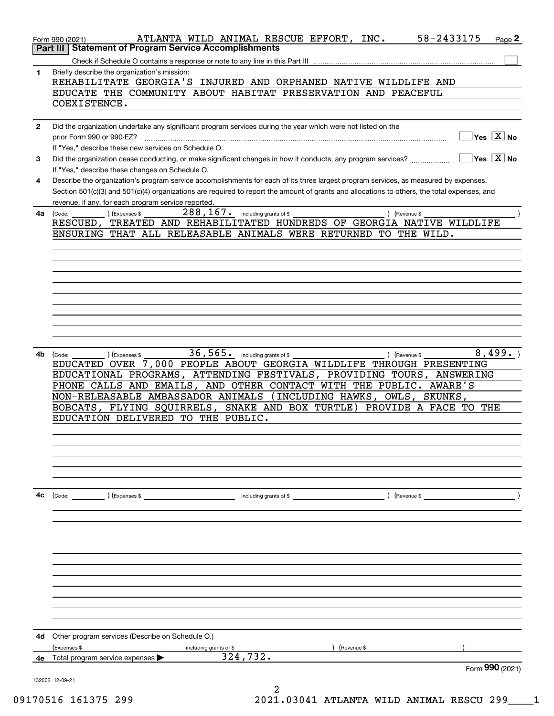|              | 58-2433175<br>ATLANTA WILD ANIMAL RESCUE EFFORT, INC.<br>Page 2<br>Form 990 (2021)                                                                                                                               |
|--------------|------------------------------------------------------------------------------------------------------------------------------------------------------------------------------------------------------------------|
|              | Part III   Statement of Program Service Accomplishments                                                                                                                                                          |
| $\mathbf{1}$ | Briefly describe the organization's mission:                                                                                                                                                                     |
|              | REHABILITATE GEORGIA'S INJURED AND ORPHANED NATIVE WILDLIFE AND                                                                                                                                                  |
|              | EDUCATE THE COMMUNITY ABOUT HABITAT PRESERVATION AND PEACEFUL                                                                                                                                                    |
|              | COEXISTENCE.                                                                                                                                                                                                     |
| $\mathbf{2}$ | Did the organization undertake any significant program services during the year which were not listed on the                                                                                                     |
|              | $Yes \ \boxed{X}$ No<br>prior Form 990 or 990-EZ?                                                                                                                                                                |
|              | If "Yes," describe these new services on Schedule O.<br>$\sqrt{}$ Yes $\sqrt{}\,\overline{X}$ No<br>Did the organization cease conducting, or make significant changes in how it conducts, any program services? |
| 3            | If "Yes," describe these changes on Schedule O.                                                                                                                                                                  |
| 4            | Describe the organization's program service accomplishments for each of its three largest program services, as measured by expenses.                                                                             |
|              | Section 501(c)(3) and 501(c)(4) organizations are required to report the amount of grants and allocations to others, the total expenses, and                                                                     |
|              | revenue, if any, for each program service reported.<br>288, 167. including grants of \$                                                                                                                          |
|              | 4a (Code:<br>(Expenses \$<br>) (Revenue \$<br>RESCUED, TREATED AND REHABILITATED HUNDREDS OF GEORGIA NATIVE WILDLIFE                                                                                             |
|              | ENSURING THAT ALL RELEASABLE ANIMALS WERE RETURNED TO THE WILD.                                                                                                                                                  |
|              |                                                                                                                                                                                                                  |
|              |                                                                                                                                                                                                                  |
|              |                                                                                                                                                                                                                  |
|              |                                                                                                                                                                                                                  |
|              |                                                                                                                                                                                                                  |
|              |                                                                                                                                                                                                                  |
|              |                                                                                                                                                                                                                  |
|              |                                                                                                                                                                                                                  |
|              |                                                                                                                                                                                                                  |
| 4b           | 36, 565. including grants of \$<br>8,499.<br>(Expenses \$<br>) (Revenue \$<br>(Code:                                                                                                                             |
|              | EDUCATED OVER 7,000 PEOPLE ABOUT GEORGIA WILDLIFE THROUGH PRESENTING                                                                                                                                             |
|              | EDUCATIONAL PROGRAMS, ATTENDING FESTIVALS, PROVIDING TOURS, ANSWERING                                                                                                                                            |
|              | PHONE CALLS AND EMAILS, AND OTHER CONTACT WITH THE PUBLIC. AWARE'S                                                                                                                                               |
|              | NON-RELEASABLE AMBASSADOR ANIMALS (INCLUDING HAWKS, OWLS, SKUNKS,                                                                                                                                                |
|              | BOBCATS, FLYING SQUIRRELS, SNAKE AND BOX TURTLE) PROVIDE A FACE TO THE                                                                                                                                           |
|              | EDUCATION DELIVERED TO THE PUBLIC.                                                                                                                                                                               |
|              |                                                                                                                                                                                                                  |
|              |                                                                                                                                                                                                                  |
|              |                                                                                                                                                                                                                  |
|              |                                                                                                                                                                                                                  |
|              |                                                                                                                                                                                                                  |
| 4с           | (Code: ) (Expenses \$<br>including grants of \$<br>) (Revenue \$                                                                                                                                                 |
|              |                                                                                                                                                                                                                  |
|              |                                                                                                                                                                                                                  |
|              |                                                                                                                                                                                                                  |
|              |                                                                                                                                                                                                                  |
|              |                                                                                                                                                                                                                  |
|              |                                                                                                                                                                                                                  |
|              |                                                                                                                                                                                                                  |
|              |                                                                                                                                                                                                                  |
|              |                                                                                                                                                                                                                  |
|              |                                                                                                                                                                                                                  |
|              |                                                                                                                                                                                                                  |
| 4d           | Other program services (Describe on Schedule O.)                                                                                                                                                                 |
|              | Expenses \$<br>(Revenue \$<br>including grants of \$                                                                                                                                                             |
| 4е           | 324, 732.<br>Total program service expenses                                                                                                                                                                      |
|              | Form $990$ (2021)                                                                                                                                                                                                |
|              | 132002 12-09-21<br>2                                                                                                                                                                                             |
|              |                                                                                                                                                                                                                  |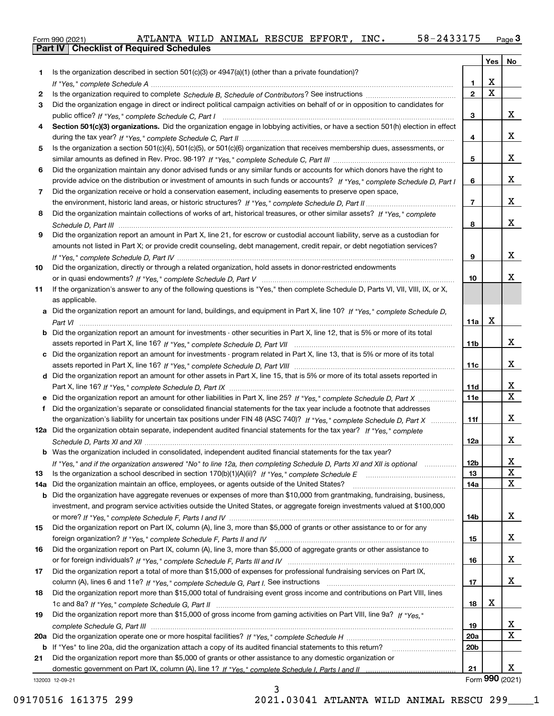|  | Form 990 (2021) |
|--|-----------------|

|     |                                                                                                                                       |                | Yes                   | No                      |
|-----|---------------------------------------------------------------------------------------------------------------------------------------|----------------|-----------------------|-------------------------|
|     | Is the organization described in section $501(c)(3)$ or $4947(a)(1)$ (other than a private foundation)?                               |                |                       |                         |
|     |                                                                                                                                       | 1              | х                     |                         |
| 2   |                                                                                                                                       | $\overline{2}$ | $\overline{\text{x}}$ |                         |
| 3   | Did the organization engage in direct or indirect political campaign activities on behalf of or in opposition to candidates for       |                |                       |                         |
|     |                                                                                                                                       | 3              |                       | x                       |
| 4   | Section 501(c)(3) organizations. Did the organization engage in lobbying activities, or have a section 501(h) election in effect      |                |                       |                         |
|     |                                                                                                                                       | 4              |                       | x                       |
| 5   | Is the organization a section 501(c)(4), 501(c)(5), or 501(c)(6) organization that receives membership dues, assessments, or          |                |                       |                         |
|     |                                                                                                                                       | 5              |                       | x                       |
| 6   | Did the organization maintain any donor advised funds or any similar funds or accounts for which donors have the right to             |                |                       |                         |
|     | provide advice on the distribution or investment of amounts in such funds or accounts? If "Yes," complete Schedule D, Part I          | 6              |                       | x                       |
| 7   | Did the organization receive or hold a conservation easement, including easements to preserve open space,                             |                |                       |                         |
|     |                                                                                                                                       | $\overline{7}$ |                       | x                       |
| 8   | Did the organization maintain collections of works of art, historical treasures, or other similar assets? If "Yes," complete          |                |                       | X.                      |
|     |                                                                                                                                       | 8              |                       |                         |
| 9   | Did the organization report an amount in Part X, line 21, for escrow or custodial account liability, serve as a custodian for         |                |                       |                         |
|     | amounts not listed in Part X; or provide credit counseling, debt management, credit repair, or debt negotiation services?             | 9              |                       | x                       |
| 10  | Did the organization, directly or through a related organization, hold assets in donor-restricted endowments                          |                |                       |                         |
|     |                                                                                                                                       | 10             |                       | X.                      |
| 11  | If the organization's answer to any of the following questions is "Yes," then complete Schedule D, Parts VI, VII, VIII, IX, or X,     |                |                       |                         |
|     | as applicable.                                                                                                                        |                |                       |                         |
|     | a Did the organization report an amount for land, buildings, and equipment in Part X, line 10? If "Yes," complete Schedule D,         |                |                       |                         |
|     |                                                                                                                                       | 11a            | X                     |                         |
|     | <b>b</b> Did the organization report an amount for investments - other securities in Part X, line 12, that is 5% or more of its total |                |                       |                         |
|     |                                                                                                                                       | 11b            |                       | x                       |
| c   | Did the organization report an amount for investments - program related in Part X, line 13, that is 5% or more of its total           |                |                       |                         |
|     |                                                                                                                                       | 11c            |                       | x                       |
|     | d Did the organization report an amount for other assets in Part X, line 15, that is 5% or more of its total assets reported in       |                |                       |                         |
|     |                                                                                                                                       | 11d            |                       | x                       |
|     |                                                                                                                                       | <b>11e</b>     |                       | $\overline{\mathbf{x}}$ |
| f   | Did the organization's separate or consolidated financial statements for the tax year include a footnote that addresses               |                |                       |                         |
|     | the organization's liability for uncertain tax positions under FIN 48 (ASC 740)? If "Yes," complete Schedule D, Part X                | 11f            |                       | x                       |
|     | 12a Did the organization obtain separate, independent audited financial statements for the tax year? If "Yes," complete               |                |                       |                         |
|     |                                                                                                                                       | 12a            |                       | x                       |
|     | <b>b</b> Was the organization included in consolidated, independent audited financial statements for the tax year?                    |                |                       |                         |
|     | If "Yes," and if the organization answered "No" to line 12a, then completing Schedule D, Parts XI and XII is optional                 | 12b            |                       | Χ                       |
| 13  |                                                                                                                                       | 13             |                       | X                       |
| 14a | Did the organization maintain an office, employees, or agents outside of the United States?                                           | 14a            |                       | $\mathbf X$             |
| b   | Did the organization have aggregate revenues or expenses of more than \$10,000 from grantmaking, fundraising, business,               |                |                       |                         |
|     | investment, and program service activities outside the United States, or aggregate foreign investments valued at \$100,000            |                |                       |                         |
|     | Did the organization report on Part IX, column (A), line 3, more than \$5,000 of grants or other assistance to or for any             | 14b            |                       | x                       |
| 15  |                                                                                                                                       |                |                       | x                       |
| 16  | Did the organization report on Part IX, column (A), line 3, more than \$5,000 of aggregate grants or other assistance to              | 15             |                       |                         |
|     |                                                                                                                                       | 16             |                       | x                       |
| 17  | Did the organization report a total of more than \$15,000 of expenses for professional fundraising services on Part IX,               |                |                       |                         |
|     |                                                                                                                                       | 17             |                       | x                       |
| 18  | Did the organization report more than \$15,000 total of fundraising event gross income and contributions on Part VIII, lines          |                |                       |                         |
|     |                                                                                                                                       | 18             | х                     |                         |
| 19  | Did the organization report more than \$15,000 of gross income from gaming activities on Part VIII, line 9a? If "Yes."                |                |                       |                         |
|     |                                                                                                                                       | 19             |                       | X                       |
| 20a |                                                                                                                                       | 20a            |                       | $\mathbf x$             |
| b   | If "Yes" to line 20a, did the organization attach a copy of its audited financial statements to this return?                          | 20b            |                       |                         |
| 21  | Did the organization report more than \$5,000 of grants or other assistance to any domestic organization or                           |                |                       |                         |
|     |                                                                                                                                       | 21             |                       | x                       |
|     | 132003 12-09-21                                                                                                                       |                |                       | Form 990 (2021)         |

132003 12-09-21

3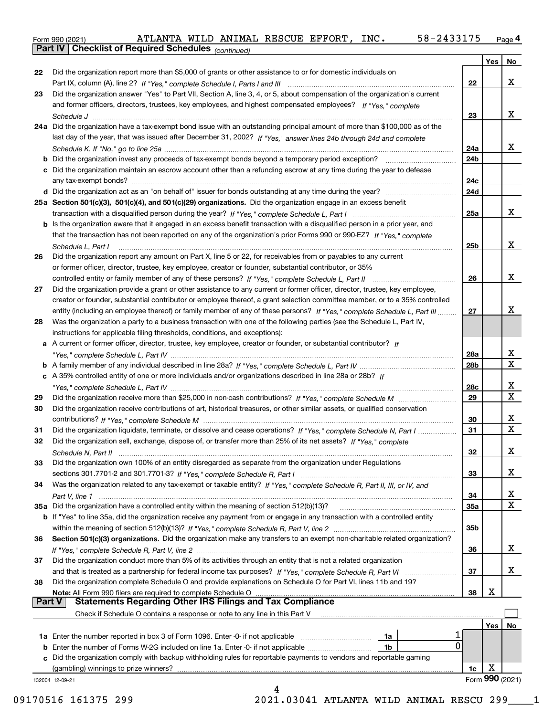**Part IV Checklist of Required Schedules**

*(continued)*

| 22<br>23<br>26<br>27<br>28<br>29 | Did the organization report more than \$5,000 of grants or other assistance to or for domestic individuals on<br>Did the organization answer "Yes" to Part VII, Section A, line 3, 4, or 5, about compensation of the organization's current<br>and former officers, directors, trustees, key employees, and highest compensated employees? If "Yes," complete<br>24a Did the organization have a tax-exempt bond issue with an outstanding principal amount of more than \$100,000 as of the<br>last day of the year, that was issued after December 31, 2002? If "Yes," answer lines 24b through 24d and complete<br>c Did the organization maintain an escrow account other than a refunding escrow at any time during the year to defease<br>25a Section 501(c)(3), 501(c)(4), and 501(c)(29) organizations. Did the organization engage in an excess benefit<br><b>b</b> Is the organization aware that it engaged in an excess benefit transaction with a disqualified person in a prior year, and<br>that the transaction has not been reported on any of the organization's prior Forms 990 or 990-EZ? If "Yes," complete<br>Schedule L. Part I<br>Did the organization report any amount on Part X, line 5 or 22, for receivables from or payables to any current<br>or former officer, director, trustee, key employee, creator or founder, substantial contributor, or 35%<br>Did the organization provide a grant or other assistance to any current or former officer, director, trustee, key employee,<br>creator or founder, substantial contributor or employee thereof, a grant selection committee member, or to a 35% controlled | 22<br>23<br>24a<br>24b<br>24c<br>24d<br>25a<br>25b | X<br>x<br>x<br>x             |
|----------------------------------|-----------------------------------------------------------------------------------------------------------------------------------------------------------------------------------------------------------------------------------------------------------------------------------------------------------------------------------------------------------------------------------------------------------------------------------------------------------------------------------------------------------------------------------------------------------------------------------------------------------------------------------------------------------------------------------------------------------------------------------------------------------------------------------------------------------------------------------------------------------------------------------------------------------------------------------------------------------------------------------------------------------------------------------------------------------------------------------------------------------------------------------------------------------------------------------------------------------------------------------------------------------------------------------------------------------------------------------------------------------------------------------------------------------------------------------------------------------------------------------------------------------------------------------------------------------------------------------------------------------------------------------------------------|----------------------------------------------------|------------------------------|
|                                  |                                                                                                                                                                                                                                                                                                                                                                                                                                                                                                                                                                                                                                                                                                                                                                                                                                                                                                                                                                                                                                                                                                                                                                                                                                                                                                                                                                                                                                                                                                                                                                                                                                                     |                                                    |                              |
|                                  |                                                                                                                                                                                                                                                                                                                                                                                                                                                                                                                                                                                                                                                                                                                                                                                                                                                                                                                                                                                                                                                                                                                                                                                                                                                                                                                                                                                                                                                                                                                                                                                                                                                     |                                                    |                              |
|                                  |                                                                                                                                                                                                                                                                                                                                                                                                                                                                                                                                                                                                                                                                                                                                                                                                                                                                                                                                                                                                                                                                                                                                                                                                                                                                                                                                                                                                                                                                                                                                                                                                                                                     |                                                    |                              |
|                                  |                                                                                                                                                                                                                                                                                                                                                                                                                                                                                                                                                                                                                                                                                                                                                                                                                                                                                                                                                                                                                                                                                                                                                                                                                                                                                                                                                                                                                                                                                                                                                                                                                                                     |                                                    |                              |
|                                  |                                                                                                                                                                                                                                                                                                                                                                                                                                                                                                                                                                                                                                                                                                                                                                                                                                                                                                                                                                                                                                                                                                                                                                                                                                                                                                                                                                                                                                                                                                                                                                                                                                                     |                                                    |                              |
|                                  |                                                                                                                                                                                                                                                                                                                                                                                                                                                                                                                                                                                                                                                                                                                                                                                                                                                                                                                                                                                                                                                                                                                                                                                                                                                                                                                                                                                                                                                                                                                                                                                                                                                     |                                                    |                              |
|                                  |                                                                                                                                                                                                                                                                                                                                                                                                                                                                                                                                                                                                                                                                                                                                                                                                                                                                                                                                                                                                                                                                                                                                                                                                                                                                                                                                                                                                                                                                                                                                                                                                                                                     |                                                    |                              |
|                                  |                                                                                                                                                                                                                                                                                                                                                                                                                                                                                                                                                                                                                                                                                                                                                                                                                                                                                                                                                                                                                                                                                                                                                                                                                                                                                                                                                                                                                                                                                                                                                                                                                                                     |                                                    |                              |
|                                  |                                                                                                                                                                                                                                                                                                                                                                                                                                                                                                                                                                                                                                                                                                                                                                                                                                                                                                                                                                                                                                                                                                                                                                                                                                                                                                                                                                                                                                                                                                                                                                                                                                                     |                                                    |                              |
|                                  |                                                                                                                                                                                                                                                                                                                                                                                                                                                                                                                                                                                                                                                                                                                                                                                                                                                                                                                                                                                                                                                                                                                                                                                                                                                                                                                                                                                                                                                                                                                                                                                                                                                     |                                                    |                              |
|                                  |                                                                                                                                                                                                                                                                                                                                                                                                                                                                                                                                                                                                                                                                                                                                                                                                                                                                                                                                                                                                                                                                                                                                                                                                                                                                                                                                                                                                                                                                                                                                                                                                                                                     |                                                    |                              |
|                                  |                                                                                                                                                                                                                                                                                                                                                                                                                                                                                                                                                                                                                                                                                                                                                                                                                                                                                                                                                                                                                                                                                                                                                                                                                                                                                                                                                                                                                                                                                                                                                                                                                                                     |                                                    |                              |
|                                  |                                                                                                                                                                                                                                                                                                                                                                                                                                                                                                                                                                                                                                                                                                                                                                                                                                                                                                                                                                                                                                                                                                                                                                                                                                                                                                                                                                                                                                                                                                                                                                                                                                                     |                                                    |                              |
|                                  |                                                                                                                                                                                                                                                                                                                                                                                                                                                                                                                                                                                                                                                                                                                                                                                                                                                                                                                                                                                                                                                                                                                                                                                                                                                                                                                                                                                                                                                                                                                                                                                                                                                     |                                                    |                              |
|                                  |                                                                                                                                                                                                                                                                                                                                                                                                                                                                                                                                                                                                                                                                                                                                                                                                                                                                                                                                                                                                                                                                                                                                                                                                                                                                                                                                                                                                                                                                                                                                                                                                                                                     |                                                    |                              |
|                                  |                                                                                                                                                                                                                                                                                                                                                                                                                                                                                                                                                                                                                                                                                                                                                                                                                                                                                                                                                                                                                                                                                                                                                                                                                                                                                                                                                                                                                                                                                                                                                                                                                                                     |                                                    |                              |
|                                  |                                                                                                                                                                                                                                                                                                                                                                                                                                                                                                                                                                                                                                                                                                                                                                                                                                                                                                                                                                                                                                                                                                                                                                                                                                                                                                                                                                                                                                                                                                                                                                                                                                                     |                                                    | X                            |
|                                  |                                                                                                                                                                                                                                                                                                                                                                                                                                                                                                                                                                                                                                                                                                                                                                                                                                                                                                                                                                                                                                                                                                                                                                                                                                                                                                                                                                                                                                                                                                                                                                                                                                                     |                                                    |                              |
|                                  |                                                                                                                                                                                                                                                                                                                                                                                                                                                                                                                                                                                                                                                                                                                                                                                                                                                                                                                                                                                                                                                                                                                                                                                                                                                                                                                                                                                                                                                                                                                                                                                                                                                     |                                                    |                              |
|                                  |                                                                                                                                                                                                                                                                                                                                                                                                                                                                                                                                                                                                                                                                                                                                                                                                                                                                                                                                                                                                                                                                                                                                                                                                                                                                                                                                                                                                                                                                                                                                                                                                                                                     | 26                                                 | X                            |
|                                  |                                                                                                                                                                                                                                                                                                                                                                                                                                                                                                                                                                                                                                                                                                                                                                                                                                                                                                                                                                                                                                                                                                                                                                                                                                                                                                                                                                                                                                                                                                                                                                                                                                                     |                                                    |                              |
|                                  |                                                                                                                                                                                                                                                                                                                                                                                                                                                                                                                                                                                                                                                                                                                                                                                                                                                                                                                                                                                                                                                                                                                                                                                                                                                                                                                                                                                                                                                                                                                                                                                                                                                     |                                                    |                              |
|                                  |                                                                                                                                                                                                                                                                                                                                                                                                                                                                                                                                                                                                                                                                                                                                                                                                                                                                                                                                                                                                                                                                                                                                                                                                                                                                                                                                                                                                                                                                                                                                                                                                                                                     | 27                                                 | х                            |
|                                  | entity (including an employee thereof) or family member of any of these persons? If "Yes," complete Schedule L, Part III                                                                                                                                                                                                                                                                                                                                                                                                                                                                                                                                                                                                                                                                                                                                                                                                                                                                                                                                                                                                                                                                                                                                                                                                                                                                                                                                                                                                                                                                                                                            |                                                    |                              |
|                                  | Was the organization a party to a business transaction with one of the following parties (see the Schedule L, Part IV,                                                                                                                                                                                                                                                                                                                                                                                                                                                                                                                                                                                                                                                                                                                                                                                                                                                                                                                                                                                                                                                                                                                                                                                                                                                                                                                                                                                                                                                                                                                              |                                                    |                              |
|                                  | instructions for applicable filing thresholds, conditions, and exceptions):                                                                                                                                                                                                                                                                                                                                                                                                                                                                                                                                                                                                                                                                                                                                                                                                                                                                                                                                                                                                                                                                                                                                                                                                                                                                                                                                                                                                                                                                                                                                                                         |                                                    |                              |
|                                  | a A current or former officer, director, trustee, key employee, creator or founder, or substantial contributor? If                                                                                                                                                                                                                                                                                                                                                                                                                                                                                                                                                                                                                                                                                                                                                                                                                                                                                                                                                                                                                                                                                                                                                                                                                                                                                                                                                                                                                                                                                                                                  |                                                    |                              |
|                                  |                                                                                                                                                                                                                                                                                                                                                                                                                                                                                                                                                                                                                                                                                                                                                                                                                                                                                                                                                                                                                                                                                                                                                                                                                                                                                                                                                                                                                                                                                                                                                                                                                                                     | 28a                                                | X<br>$\overline{\mathbf{x}}$ |
|                                  |                                                                                                                                                                                                                                                                                                                                                                                                                                                                                                                                                                                                                                                                                                                                                                                                                                                                                                                                                                                                                                                                                                                                                                                                                                                                                                                                                                                                                                                                                                                                                                                                                                                     | 28b                                                |                              |
|                                  | c A 35% controlled entity of one or more individuals and/or organizations described in line 28a or 28b? If                                                                                                                                                                                                                                                                                                                                                                                                                                                                                                                                                                                                                                                                                                                                                                                                                                                                                                                                                                                                                                                                                                                                                                                                                                                                                                                                                                                                                                                                                                                                          |                                                    |                              |
|                                  |                                                                                                                                                                                                                                                                                                                                                                                                                                                                                                                                                                                                                                                                                                                                                                                                                                                                                                                                                                                                                                                                                                                                                                                                                                                                                                                                                                                                                                                                                                                                                                                                                                                     | 28c                                                | X                            |
|                                  |                                                                                                                                                                                                                                                                                                                                                                                                                                                                                                                                                                                                                                                                                                                                                                                                                                                                                                                                                                                                                                                                                                                                                                                                                                                                                                                                                                                                                                                                                                                                                                                                                                                     | 29                                                 | $\overline{\mathbf{x}}$      |
| 30                               | Did the organization receive contributions of art, historical treasures, or other similar assets, or qualified conservation                                                                                                                                                                                                                                                                                                                                                                                                                                                                                                                                                                                                                                                                                                                                                                                                                                                                                                                                                                                                                                                                                                                                                                                                                                                                                                                                                                                                                                                                                                                         |                                                    |                              |
|                                  |                                                                                                                                                                                                                                                                                                                                                                                                                                                                                                                                                                                                                                                                                                                                                                                                                                                                                                                                                                                                                                                                                                                                                                                                                                                                                                                                                                                                                                                                                                                                                                                                                                                     | 30                                                 | X                            |
| 31                               | Did the organization liquidate, terminate, or dissolve and cease operations? If "Yes," complete Schedule N, Part I                                                                                                                                                                                                                                                                                                                                                                                                                                                                                                                                                                                                                                                                                                                                                                                                                                                                                                                                                                                                                                                                                                                                                                                                                                                                                                                                                                                                                                                                                                                                  | 31                                                 | X                            |
| 32                               | Did the organization sell, exchange, dispose of, or transfer more than 25% of its net assets? If "Yes," complete                                                                                                                                                                                                                                                                                                                                                                                                                                                                                                                                                                                                                                                                                                                                                                                                                                                                                                                                                                                                                                                                                                                                                                                                                                                                                                                                                                                                                                                                                                                                    |                                                    |                              |
|                                  |                                                                                                                                                                                                                                                                                                                                                                                                                                                                                                                                                                                                                                                                                                                                                                                                                                                                                                                                                                                                                                                                                                                                                                                                                                                                                                                                                                                                                                                                                                                                                                                                                                                     | 32                                                 | x                            |
|                                  | Did the organization own 100% of an entity disregarded as separate from the organization under Regulations                                                                                                                                                                                                                                                                                                                                                                                                                                                                                                                                                                                                                                                                                                                                                                                                                                                                                                                                                                                                                                                                                                                                                                                                                                                                                                                                                                                                                                                                                                                                          |                                                    |                              |
|                                  |                                                                                                                                                                                                                                                                                                                                                                                                                                                                                                                                                                                                                                                                                                                                                                                                                                                                                                                                                                                                                                                                                                                                                                                                                                                                                                                                                                                                                                                                                                                                                                                                                                                     | 33                                                 | X                            |
| 34                               | Was the organization related to any tax-exempt or taxable entity? If "Yes," complete Schedule R, Part II, III, or IV, and                                                                                                                                                                                                                                                                                                                                                                                                                                                                                                                                                                                                                                                                                                                                                                                                                                                                                                                                                                                                                                                                                                                                                                                                                                                                                                                                                                                                                                                                                                                           |                                                    |                              |
|                                  |                                                                                                                                                                                                                                                                                                                                                                                                                                                                                                                                                                                                                                                                                                                                                                                                                                                                                                                                                                                                                                                                                                                                                                                                                                                                                                                                                                                                                                                                                                                                                                                                                                                     | 34                                                 | X                            |
|                                  | 35a Did the organization have a controlled entity within the meaning of section 512(b)(13)?                                                                                                                                                                                                                                                                                                                                                                                                                                                                                                                                                                                                                                                                                                                                                                                                                                                                                                                                                                                                                                                                                                                                                                                                                                                                                                                                                                                                                                                                                                                                                         | <b>35a</b>                                         | X                            |
|                                  | b If "Yes" to line 35a, did the organization receive any payment from or engage in any transaction with a controlled entity                                                                                                                                                                                                                                                                                                                                                                                                                                                                                                                                                                                                                                                                                                                                                                                                                                                                                                                                                                                                                                                                                                                                                                                                                                                                                                                                                                                                                                                                                                                         |                                                    |                              |
|                                  |                                                                                                                                                                                                                                                                                                                                                                                                                                                                                                                                                                                                                                                                                                                                                                                                                                                                                                                                                                                                                                                                                                                                                                                                                                                                                                                                                                                                                                                                                                                                                                                                                                                     | 35b                                                |                              |
| 36                               | Section 501(c)(3) organizations. Did the organization make any transfers to an exempt non-charitable related organization?                                                                                                                                                                                                                                                                                                                                                                                                                                                                                                                                                                                                                                                                                                                                                                                                                                                                                                                                                                                                                                                                                                                                                                                                                                                                                                                                                                                                                                                                                                                          |                                                    |                              |
|                                  |                                                                                                                                                                                                                                                                                                                                                                                                                                                                                                                                                                                                                                                                                                                                                                                                                                                                                                                                                                                                                                                                                                                                                                                                                                                                                                                                                                                                                                                                                                                                                                                                                                                     | 36                                                 | x                            |
| 37                               | Did the organization conduct more than 5% of its activities through an entity that is not a related organization                                                                                                                                                                                                                                                                                                                                                                                                                                                                                                                                                                                                                                                                                                                                                                                                                                                                                                                                                                                                                                                                                                                                                                                                                                                                                                                                                                                                                                                                                                                                    |                                                    |                              |
|                                  |                                                                                                                                                                                                                                                                                                                                                                                                                                                                                                                                                                                                                                                                                                                                                                                                                                                                                                                                                                                                                                                                                                                                                                                                                                                                                                                                                                                                                                                                                                                                                                                                                                                     | 37                                                 | x                            |
| 38                               | Did the organization complete Schedule O and provide explanations on Schedule O for Part VI, lines 11b and 19?                                                                                                                                                                                                                                                                                                                                                                                                                                                                                                                                                                                                                                                                                                                                                                                                                                                                                                                                                                                                                                                                                                                                                                                                                                                                                                                                                                                                                                                                                                                                      |                                                    |                              |
|                                  | Note: All Form 990 filers are required to complete Schedule O                                                                                                                                                                                                                                                                                                                                                                                                                                                                                                                                                                                                                                                                                                                                                                                                                                                                                                                                                                                                                                                                                                                                                                                                                                                                                                                                                                                                                                                                                                                                                                                       | 38                                                 | х                            |
| <b>Part V</b>                    | <b>Statements Regarding Other IRS Filings and Tax Compliance</b>                                                                                                                                                                                                                                                                                                                                                                                                                                                                                                                                                                                                                                                                                                                                                                                                                                                                                                                                                                                                                                                                                                                                                                                                                                                                                                                                                                                                                                                                                                                                                                                    |                                                    |                              |
|                                  | Check if Schedule O contains a response or note to any line in this Part V                                                                                                                                                                                                                                                                                                                                                                                                                                                                                                                                                                                                                                                                                                                                                                                                                                                                                                                                                                                                                                                                                                                                                                                                                                                                                                                                                                                                                                                                                                                                                                          |                                                    |                              |
|                                  |                                                                                                                                                                                                                                                                                                                                                                                                                                                                                                                                                                                                                                                                                                                                                                                                                                                                                                                                                                                                                                                                                                                                                                                                                                                                                                                                                                                                                                                                                                                                                                                                                                                     |                                                    | Yes<br>No                    |
|                                  | 1a                                                                                                                                                                                                                                                                                                                                                                                                                                                                                                                                                                                                                                                                                                                                                                                                                                                                                                                                                                                                                                                                                                                                                                                                                                                                                                                                                                                                                                                                                                                                                                                                                                                  |                                                    |                              |
|                                  | <b>1a</b> Enter the number reported in box 3 of Form 1096. Enter -0- if not applicable<br>0<br><b>b</b> Enter the number of Forms W-2G included on line 1a. Enter -0- if not applicable<br>1b                                                                                                                                                                                                                                                                                                                                                                                                                                                                                                                                                                                                                                                                                                                                                                                                                                                                                                                                                                                                                                                                                                                                                                                                                                                                                                                                                                                                                                                       |                                                    |                              |
|                                  |                                                                                                                                                                                                                                                                                                                                                                                                                                                                                                                                                                                                                                                                                                                                                                                                                                                                                                                                                                                                                                                                                                                                                                                                                                                                                                                                                                                                                                                                                                                                                                                                                                                     |                                                    |                              |
|                                  |                                                                                                                                                                                                                                                                                                                                                                                                                                                                                                                                                                                                                                                                                                                                                                                                                                                                                                                                                                                                                                                                                                                                                                                                                                                                                                                                                                                                                                                                                                                                                                                                                                                     |                                                    | х                            |
| 132004 12-09-21                  | c Did the organization comply with backup withholding rules for reportable payments to vendors and reportable gaming<br>(gambling) winnings to prize winners?                                                                                                                                                                                                                                                                                                                                                                                                                                                                                                                                                                                                                                                                                                                                                                                                                                                                                                                                                                                                                                                                                                                                                                                                                                                                                                                                                                                                                                                                                       | 1c                                                 |                              |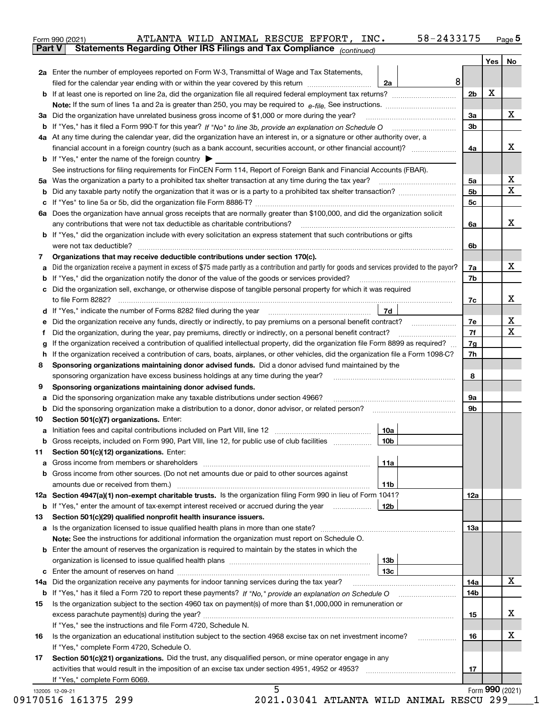|               | 58-2433175<br>ATLANTA WILD ANIMAL RESCUE EFFORT, INC.<br>Form 990 (2021)                                                                                                                                                              |                |     | $Page$ 5        |
|---------------|---------------------------------------------------------------------------------------------------------------------------------------------------------------------------------------------------------------------------------------|----------------|-----|-----------------|
| <b>Part V</b> | Statements Regarding Other IRS Filings and Tax Compliance (continued)                                                                                                                                                                 |                |     |                 |
|               |                                                                                                                                                                                                                                       |                | Yes | No              |
|               | 2a Enter the number of employees reported on Form W-3, Transmittal of Wage and Tax Statements,                                                                                                                                        |                |     |                 |
|               | 8<br>filed for the calendar year ending with or within the year covered by this return<br>2a                                                                                                                                          |                |     |                 |
|               |                                                                                                                                                                                                                                       | 2b             | X   |                 |
|               |                                                                                                                                                                                                                                       |                |     |                 |
|               | 3a Did the organization have unrelated business gross income of \$1,000 or more during the year?                                                                                                                                      | 3a             |     | х               |
|               |                                                                                                                                                                                                                                       | 3 <sub>b</sub> |     |                 |
|               | 4a At any time during the calendar year, did the organization have an interest in, or a signature or other authority over, a                                                                                                          |                |     |                 |
|               |                                                                                                                                                                                                                                       | 4a             |     | х               |
|               | <b>b</b> If "Yes," enter the name of the foreign country $\blacktriangleright$                                                                                                                                                        |                |     |                 |
|               | See instructions for filing requirements for FinCEN Form 114, Report of Foreign Bank and Financial Accounts (FBAR).                                                                                                                   |                |     |                 |
|               |                                                                                                                                                                                                                                       | 5a             |     | х               |
|               |                                                                                                                                                                                                                                       | 5 <sub>b</sub> |     | х               |
|               |                                                                                                                                                                                                                                       | 5с             |     |                 |
|               | 6a Does the organization have annual gross receipts that are normally greater than \$100,000, and did the organization solicit                                                                                                        |                |     |                 |
|               |                                                                                                                                                                                                                                       | 6a             |     | х               |
|               | <b>b</b> If "Yes," did the organization include with every solicitation an express statement that such contributions or gifts                                                                                                         |                |     |                 |
|               | were not tax deductible?                                                                                                                                                                                                              |                |     |                 |
|               |                                                                                                                                                                                                                                       | 6b             |     |                 |
| 7             | Organizations that may receive deductible contributions under section 170(c).                                                                                                                                                         |                |     | х               |
|               | a Did the organization receive a payment in excess of \$75 made partly as a contribution and partly for goods and services provided to the payor?                                                                                     | 7a             |     |                 |
|               | <b>b</b> If "Yes," did the organization notify the donor of the value of the goods or services provided?                                                                                                                              | 7b             |     |                 |
|               | c Did the organization sell, exchange, or otherwise dispose of tangible personal property for which it was required                                                                                                                   |                |     |                 |
|               |                                                                                                                                                                                                                                       | 7c             |     | х               |
|               | 7d                                                                                                                                                                                                                                    |                |     |                 |
| е             |                                                                                                                                                                                                                                       | 7e             |     | х               |
| f             | Did the organization, during the year, pay premiums, directly or indirectly, on a personal benefit contract?                                                                                                                          | 7f             |     | х               |
| g             | If the organization received a contribution of qualified intellectual property, did the organization file Form 8899 as required?                                                                                                      | 7g             |     |                 |
|               | h If the organization received a contribution of cars, boats, airplanes, or other vehicles, did the organization file a Form 1098-C?                                                                                                  | 7h             |     |                 |
| 8             | Sponsoring organizations maintaining donor advised funds. Did a donor advised fund maintained by the                                                                                                                                  |                |     |                 |
|               | sponsoring organization have excess business holdings at any time during the year?                                                                                                                                                    | 8              |     |                 |
| 9             | Sponsoring organizations maintaining donor advised funds.                                                                                                                                                                             |                |     |                 |
| а             | Did the sponsoring organization make any taxable distributions under section 4966?                                                                                                                                                    | 9а             |     |                 |
|               | b Did the sponsoring organization make a distribution to a donor, donor advisor, or related person?                                                                                                                                   | 9b             |     |                 |
| 10            | Section 501(c)(7) organizations. Enter:                                                                                                                                                                                               |                |     |                 |
|               | 10a<br>a Initiation fees and capital contributions included on Part VIII, line 12 [11] [12] [11] [12] [11] [12] [11] [12] [11] [12] [11] [12] [11] [12] [11] [12] [11] [12] [11] [12] [11] [12] [11] [12] [11] [12] [11] [12] [11] [1 |                |     |                 |
|               | Gross receipts, included on Form 990, Part VIII, line 12, for public use of club facilities<br>10 <sub>b</sub>                                                                                                                        |                |     |                 |
| 11            | Section 501(c)(12) organizations. Enter:                                                                                                                                                                                              |                |     |                 |
|               | 11a                                                                                                                                                                                                                                   |                |     |                 |
|               | b Gross income from other sources. (Do not net amounts due or paid to other sources against                                                                                                                                           |                |     |                 |
|               | 11b                                                                                                                                                                                                                                   |                |     |                 |
|               | 12a Section 4947(a)(1) non-exempt charitable trusts. Is the organization filing Form 990 in lieu of Form 1041?                                                                                                                        | <b>12a</b>     |     |                 |
|               | 12b<br><b>b</b> If "Yes," enter the amount of tax-exempt interest received or accrued during the year <i>manument</i>                                                                                                                 |                |     |                 |
| 13            | Section 501(c)(29) qualified nonprofit health insurance issuers.                                                                                                                                                                      |                |     |                 |
|               | a Is the organization licensed to issue qualified health plans in more than one state?                                                                                                                                                | 13a            |     |                 |
|               | Note: See the instructions for additional information the organization must report on Schedule O.                                                                                                                                     |                |     |                 |
|               | <b>b</b> Enter the amount of reserves the organization is required to maintain by the states in which the                                                                                                                             |                |     |                 |
|               | 13b                                                                                                                                                                                                                                   |                |     |                 |
|               | 13c                                                                                                                                                                                                                                   |                |     |                 |
|               | 14a Did the organization receive any payments for indoor tanning services during the tax year?                                                                                                                                        | 14a            |     | X               |
|               |                                                                                                                                                                                                                                       | 14b            |     |                 |
| 15            | Is the organization subject to the section 4960 tax on payment(s) of more than \$1,000,000 in remuneration or                                                                                                                         |                |     |                 |
|               |                                                                                                                                                                                                                                       | 15             |     | x               |
|               | If "Yes," see the instructions and file Form 4720, Schedule N.                                                                                                                                                                        |                |     |                 |
| 16            | Is the organization an educational institution subject to the section 4968 excise tax on net investment income?                                                                                                                       | 16             |     | х               |
|               | If "Yes," complete Form 4720, Schedule O.                                                                                                                                                                                             |                |     |                 |
| 17            | Section 501(c)(21) organizations. Did the trust, any disqualified person, or mine operator engage in any                                                                                                                              |                |     |                 |
|               | activities that would result in the imposition of an excise tax under section 4951, 4952 or 4953?                                                                                                                                     | 17             |     |                 |
|               | If "Yes," complete Form 6069.                                                                                                                                                                                                         |                |     |                 |
|               | 5<br>132005 12-09-21                                                                                                                                                                                                                  |                |     | Form 990 (2021) |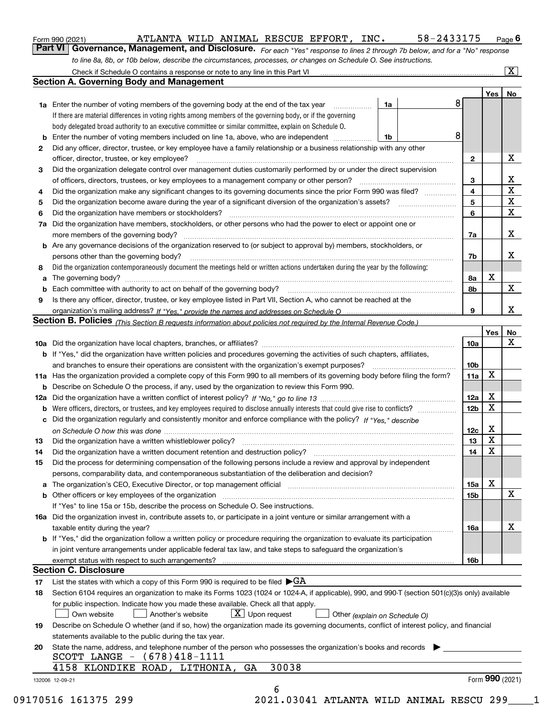|  | Form 990 (2021) |
|--|-----------------|
|  |                 |

*For each "Yes" response to lines 2 through 7b below, and for a "No" response to line 8a, 8b, or 10b below, describe the circumstances, processes, or changes on Schedule O. See instructions.* **Part VI Governance, Management, and Disclosure.** 

|        |                                                                                                                                                                                                                                |                         | Yes | No                           |
|--------|--------------------------------------------------------------------------------------------------------------------------------------------------------------------------------------------------------------------------------|-------------------------|-----|------------------------------|
|        | <b>1a</b> Enter the number of voting members of the governing body at the end of the tax year<br>1a                                                                                                                            | 8                       |     |                              |
|        | If there are material differences in voting rights among members of the governing body, or if the governing                                                                                                                    |                         |     |                              |
|        | body delegated broad authority to an executive committee or similar committee, explain on Schedule O.                                                                                                                          |                         |     |                              |
| b      | Enter the number of voting members included on line 1a, above, who are independent<br>1b                                                                                                                                       | 8                       |     |                              |
| 2      | Did any officer, director, trustee, or key employee have a family relationship or a business relationship with any other                                                                                                       |                         |     |                              |
|        | officer, director, trustee, or key employee?                                                                                                                                                                                   | $\mathbf{2}$            |     | X                            |
| З      | Did the organization delegate control over management duties customarily performed by or under the direct supervision                                                                                                          |                         |     |                              |
|        | of officers, directors, trustees, or key employees to a management company or other person?                                                                                                                                    | 3                       |     | X<br>$\overline{\mathbf{x}}$ |
| 4      | Did the organization make any significant changes to its governing documents since the prior Form 990 was filed?                                                                                                               | $\overline{\mathbf{4}}$ |     | $\overline{\mathbf{x}}$      |
| 5      |                                                                                                                                                                                                                                | 5                       |     | $\mathbf X$                  |
| 6      | Did the organization have members or stockholders?                                                                                                                                                                             | 6                       |     |                              |
| 7a     | Did the organization have members, stockholders, or other persons who had the power to elect or appoint one or                                                                                                                 |                         |     | X                            |
|        | <b>b</b> Are any governance decisions of the organization reserved to (or subject to approval by) members, stockholders, or                                                                                                    | 7a                      |     |                              |
|        | persons other than the governing body?                                                                                                                                                                                         |                         |     | х                            |
|        |                                                                                                                                                                                                                                | 7b                      |     |                              |
| 8<br>a | Did the organization contemporaneously document the meetings held or written actions undertaken during the year by the following:                                                                                              | 8а                      | X   |                              |
| b      |                                                                                                                                                                                                                                | 8b                      |     | $\mathbf x$                  |
| 9      | Is there any officer, director, trustee, or key employee listed in Part VII, Section A, who cannot be reached at the                                                                                                           |                         |     |                              |
|        |                                                                                                                                                                                                                                | 9                       |     | X                            |
|        | Section B. Policies (This Section B requests information about policies not required by the Internal Revenue Code.)                                                                                                            |                         |     |                              |
|        |                                                                                                                                                                                                                                |                         | Yes | No                           |
|        |                                                                                                                                                                                                                                | 10a                     |     | X                            |
|        | <b>b</b> If "Yes," did the organization have written policies and procedures governing the activities of such chapters, affiliates,                                                                                            |                         |     |                              |
|        |                                                                                                                                                                                                                                | 10 <sub>b</sub>         |     |                              |
|        | 11a Has the organization provided a complete copy of this Form 990 to all members of its governing body before filing the form?                                                                                                | 11a                     | X   |                              |
|        | <b>b</b> Describe on Schedule O the process, if any, used by the organization to review this Form 990.                                                                                                                         |                         |     |                              |
|        |                                                                                                                                                                                                                                | 12a                     | X   |                              |
|        |                                                                                                                                                                                                                                | 12 <sub>b</sub>         | х   |                              |
|        | c Did the organization regularly and consistently monitor and enforce compliance with the policy? If "Yes," describe                                                                                                           |                         |     |                              |
|        |                                                                                                                                                                                                                                | 12c                     | X   |                              |
| 13     | Did the organization have a written whistleblower policy? [11] matter content to the organization have a written whistleblower policy? [11] matter content content content of the organization have a written whistleblower po | 13                      | X   |                              |
| 14     |                                                                                                                                                                                                                                | 14                      | X   |                              |
| 15     | Did the process for determining compensation of the following persons include a review and approval by independent                                                                                                             |                         |     |                              |
|        | persons, comparability data, and contemporaneous substantiation of the deliberation and decision?                                                                                                                              |                         |     |                              |
|        | <b>a</b> The organization's CEO, Executive Director, or top management official                                                                                                                                                | 15a                     | х   |                              |
|        |                                                                                                                                                                                                                                | 15b                     |     | $\mathbf X$                  |
|        | If "Yes" to line 15a or 15b, describe the process on Schedule O. See instructions.                                                                                                                                             |                         |     |                              |
|        | 16a Did the organization invest in, contribute assets to, or participate in a joint venture or similar arrangement with a                                                                                                      |                         |     |                              |
|        | taxable entity during the year?                                                                                                                                                                                                | 16a                     |     | X                            |
|        | b If "Yes," did the organization follow a written policy or procedure requiring the organization to evaluate its participation                                                                                                 |                         |     |                              |
|        | in joint venture arrangements under applicable federal tax law, and take steps to safeguard the organization's                                                                                                                 |                         |     |                              |
|        | exempt status with respect to such arrangements?                                                                                                                                                                               | 16b                     |     |                              |
|        | <b>Section C. Disclosure</b>                                                                                                                                                                                                   |                         |     |                              |
| 17     | List the states with which a copy of this Form 990 is required to be filed $\blacktriangleright$ GA                                                                                                                            |                         |     |                              |
| 18     | Section 6104 requires an organization to make its Forms 1023 (1024 or 1024-A, if applicable), 990, and 990-T (section 501(c)(3)s only) available                                                                               |                         |     |                              |
|        | for public inspection. Indicate how you made these available. Check all that apply.                                                                                                                                            |                         |     |                              |
|        | $\lfloor x \rfloor$ Upon request<br>Own website<br>Another's website<br>Other (explain on Schedule O)                                                                                                                          |                         |     |                              |
| 19     | Describe on Schedule O whether (and if so, how) the organization made its governing documents, conflict of interest policy, and financial                                                                                      |                         |     |                              |
|        | statements available to the public during the tax year.                                                                                                                                                                        |                         |     |                              |
| 20     | State the name, address, and telephone number of the person who possesses the organization's books and records                                                                                                                 |                         |     |                              |
|        | SCOTT LANGE $- (678)418-1111$                                                                                                                                                                                                  |                         |     |                              |
|        | 30038<br>4158 KLONDIKE ROAD, LITHONIA,<br>GA                                                                                                                                                                                   |                         |     |                              |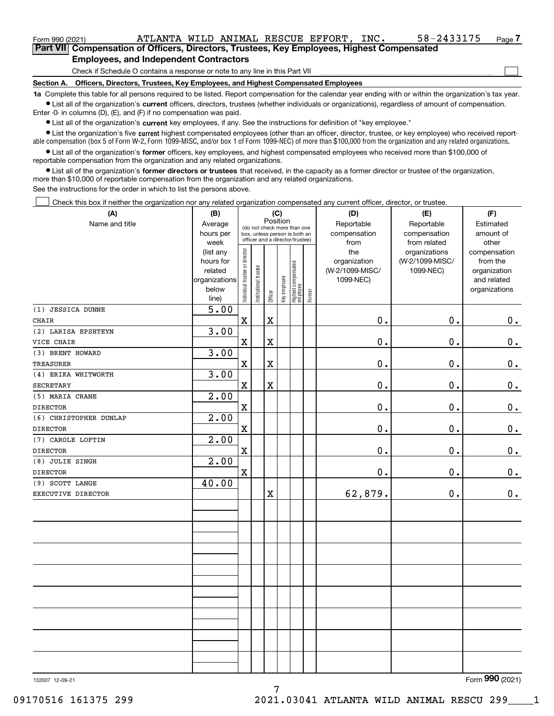| Form 990 (2021)                                                                             | ATLANTA WILD ANIMAL RESCUE EFFORT,                                           |  |  |  |  | INC. | 58-2433175 | Page 7 |  |  |
|---------------------------------------------------------------------------------------------|------------------------------------------------------------------------------|--|--|--|--|------|------------|--------|--|--|
| Part VIII Compensation of Officers, Directors, Trustees, Key Employees, Highest Compensated |                                                                              |  |  |  |  |      |            |        |  |  |
| <b>Employees, and Independent Contractors</b>                                               |                                                                              |  |  |  |  |      |            |        |  |  |
|                                                                                             | Check if Schedule O contains a response or note to any line in this Part VII |  |  |  |  |      |            |        |  |  |

**Section A. Officers, Directors, Trustees, Key Employees, and Highest Compensated Employees**

**1a**  Complete this table for all persons required to be listed. Report compensation for the calendar year ending with or within the organization's tax year.

 $\bullet$  List all of the organization's current officers, directors, trustees (whether individuals or organizations), regardless of amount of compensation. Enter -0- in columns (D), (E), and (F) if no compensation was paid.

**•** List all of the organization's current key employees, if any. See the instructions for definition of "key employee."

**•** List the organization's five current highest compensated employees (other than an officer, director, trustee, or key employee) who received reportable compensation (box 5 of Form W-2, Form 1099-MISC, and/or box 1 of Form 1099-NEC) of more than \$100,000 from the organization and any related organizations.

 $\bullet$  List all of the organization's former officers, key employees, and highest compensated employees who received more than \$100,000 of reportable compensation from the organization and any related organizations.

**•** List all of the organization's former directors or trustees that received, in the capacity as a former director or trustee of the organization, more than \$10,000 of reportable compensation from the organization and any related organizations.

See the instructions for the order in which to list the persons above.

Check this box if neither the organization nor any related organization compensated any current officer, director, or trustee.  $\Box$ 

| (A)                    | (B)<br>(C)             |                                         |                                                                  |             |              |                                 |        | (D)                             | (E)                              | (F)                      |
|------------------------|------------------------|-----------------------------------------|------------------------------------------------------------------|-------------|--------------|---------------------------------|--------|---------------------------------|----------------------------------|--------------------------|
| Name and title         | Average                | Position<br>(do not check more than one |                                                                  |             |              |                                 |        | Reportable                      | Reportable                       | Estimated                |
|                        | hours per              |                                         | box, unless person is both an<br>officer and a director/trustee) |             |              |                                 |        | compensation                    | compensation                     | amount of                |
|                        | week                   |                                         |                                                                  |             |              |                                 |        | from                            | from related                     | other                    |
|                        | (list any<br>hours for |                                         |                                                                  |             |              |                                 |        | the                             | organizations<br>(W-2/1099-MISC/ | compensation             |
|                        | related                |                                         |                                                                  |             |              |                                 |        | organization<br>(W-2/1099-MISC/ | 1099-NEC)                        | from the<br>organization |
|                        | organizations          |                                         |                                                                  |             |              |                                 |        | 1099-NEC)                       |                                  | and related              |
|                        | below                  |                                         |                                                                  |             |              |                                 |        |                                 |                                  | organizations            |
|                        | line)                  | Individual trustee or director          | Institutional trustee                                            | Officer     | Key employee | Highest compensated<br>employee | Former |                                 |                                  |                          |
| (1) JESSICA DUNNE      | 5.00                   |                                         |                                                                  |             |              |                                 |        |                                 |                                  |                          |
| <b>CHAIR</b>           |                        | $\mathbf x$                             |                                                                  | $\mathbf X$ |              |                                 |        | $0$ .                           | 0.                               | 0.                       |
| (2) LARISA EPSHTEYN    | 3.00                   |                                         |                                                                  |             |              |                                 |        |                                 |                                  |                          |
| VICE CHAIR             |                        | $\mathbf X$                             |                                                                  | $\rm X$     |              |                                 |        | 0.                              | 0.                               | $\mathbf 0$ .            |
| (3) BRENT HOWARD       | 3.00                   |                                         |                                                                  |             |              |                                 |        |                                 |                                  |                          |
| <b>TREASURER</b>       |                        | $\mathbf x$                             |                                                                  | $\mathbf X$ |              |                                 |        | 0.                              | 0.                               | $0_{\cdot}$              |
| (4) ERIKA WHITWORTH    | 3.00                   |                                         |                                                                  |             |              |                                 |        |                                 |                                  |                          |
| <b>SECRETARY</b>       |                        | $\mathbf X$                             |                                                                  | $\rm X$     |              |                                 |        | $0$ .                           | 0.                               | $0_{.}$                  |
| (5) MARIA CRANE        | 2.00                   |                                         |                                                                  |             |              |                                 |        |                                 |                                  |                          |
| <b>DIRECTOR</b>        |                        | $\mathbf X$                             |                                                                  |             |              |                                 |        | $0$ .                           | 0.                               | $\mathbf 0$ .            |
| (6) CHRISTOPHER DUNLAP | 2.00                   |                                         |                                                                  |             |              |                                 |        |                                 |                                  |                          |
| <b>DIRECTOR</b>        |                        | $\mathbf X$                             |                                                                  |             |              |                                 |        | 0.                              | 0.                               | $\mathbf 0$ .            |
| (7) CAROLE LOFTIN      | 2.00                   |                                         |                                                                  |             |              |                                 |        |                                 |                                  |                          |
| <b>DIRECTOR</b>        |                        | $\mathbf x$                             |                                                                  |             |              |                                 |        | 0.                              | 0.                               | $\mathbf 0$ .            |
| (8) JULIE SINGH        | 2.00                   |                                         |                                                                  |             |              |                                 |        |                                 |                                  |                          |
| <b>DIRECTOR</b>        |                        | $\mathbf X$                             |                                                                  |             |              |                                 |        | $0$ .                           | 0.                               | $\mathbf 0$ .            |
| (9) SCOTT LANGE        | 40.00                  |                                         |                                                                  |             |              |                                 |        |                                 |                                  |                          |
| EXECUTIVE DIRECTOR     |                        |                                         |                                                                  | $\mathbf X$ |              |                                 |        | 62,879.                         | $0$ .                            | 0.                       |
|                        |                        |                                         |                                                                  |             |              |                                 |        |                                 |                                  |                          |
|                        |                        |                                         |                                                                  |             |              |                                 |        |                                 |                                  |                          |
|                        |                        |                                         |                                                                  |             |              |                                 |        |                                 |                                  |                          |
|                        |                        |                                         |                                                                  |             |              |                                 |        |                                 |                                  |                          |
|                        |                        |                                         |                                                                  |             |              |                                 |        |                                 |                                  |                          |
|                        |                        |                                         |                                                                  |             |              |                                 |        |                                 |                                  |                          |
|                        |                        |                                         |                                                                  |             |              |                                 |        |                                 |                                  |                          |
|                        |                        |                                         |                                                                  |             |              |                                 |        |                                 |                                  |                          |
|                        |                        |                                         |                                                                  |             |              |                                 |        |                                 |                                  |                          |
|                        |                        |                                         |                                                                  |             |              |                                 |        |                                 |                                  |                          |
|                        |                        |                                         |                                                                  |             |              |                                 |        |                                 |                                  |                          |
|                        |                        |                                         |                                                                  |             |              |                                 |        |                                 |                                  |                          |
|                        |                        |                                         |                                                                  |             |              |                                 |        |                                 |                                  |                          |
|                        |                        |                                         |                                                                  |             |              |                                 |        |                                 |                                  |                          |
|                        |                        |                                         |                                                                  |             |              |                                 |        |                                 |                                  |                          |

7

132007 12-09-21

Form (2021) **990**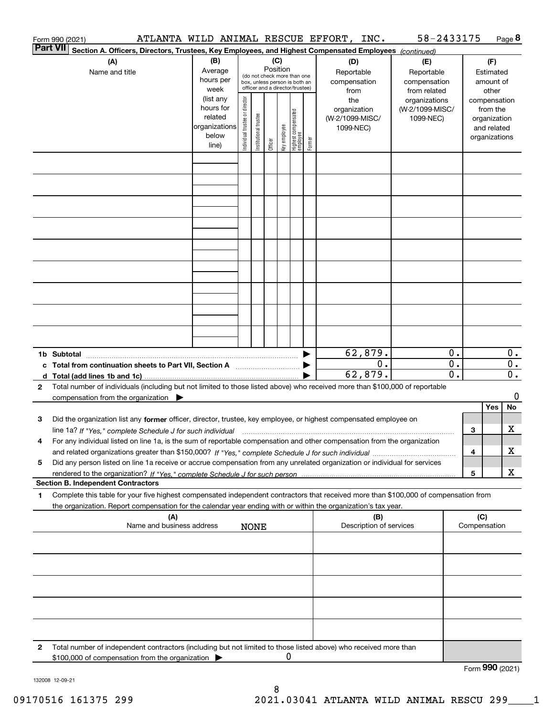|          | Form 990 (2021)                                                                                                                                                                                                                                                      |                                                                      |                                |                            |                 |              |                                                                                                 |        | ATLANTA WILD ANIMAL RESCUE EFFORT, INC.             | 58-2433175                                        |                                      |     |                                                                          | Page 8                               |
|----------|----------------------------------------------------------------------------------------------------------------------------------------------------------------------------------------------------------------------------------------------------------------------|----------------------------------------------------------------------|--------------------------------|----------------------------|-----------------|--------------|-------------------------------------------------------------------------------------------------|--------|-----------------------------------------------------|---------------------------------------------------|--------------------------------------|-----|--------------------------------------------------------------------------|--------------------------------------|
| Part VII | Section A. Officers, Directors, Trustees, Key Employees, and Highest Compensated Employees (continued)                                                                                                                                                               |                                                                      |                                |                            |                 |              |                                                                                                 |        |                                                     |                                                   |                                      |     |                                                                          |                                      |
|          | (A)<br>Name and title                                                                                                                                                                                                                                                | (B)<br>Average<br>hours per<br>week                                  |                                |                            | (C)<br>Position |              | (do not check more than one<br>box, unless person is both an<br>officer and a director/trustee) |        | (D)<br>Reportable<br>compensation<br>from           | (E)<br>Reportable<br>compensation<br>from related |                                      |     | (F)<br>Estimated<br>amount of<br>other                                   |                                      |
|          |                                                                                                                                                                                                                                                                      | (list any<br>hours for<br>related<br>organizations<br>below<br>line) | Individual trustee or director | trustee<br>Institutional t | Officer         | Key employee | Highest compensated<br>employee                                                                 | Former | the<br>organization<br>(W-2/1099-MISC/<br>1099-NEC) | organizations<br>(W-2/1099-MISC/<br>1099-NEC)     |                                      |     | compensation<br>from the<br>organization<br>and related<br>organizations |                                      |
|          |                                                                                                                                                                                                                                                                      |                                                                      |                                |                            |                 |              |                                                                                                 |        |                                                     |                                                   |                                      |     |                                                                          |                                      |
|          |                                                                                                                                                                                                                                                                      |                                                                      |                                |                            |                 |              |                                                                                                 |        |                                                     |                                                   |                                      |     |                                                                          |                                      |
|          |                                                                                                                                                                                                                                                                      |                                                                      |                                |                            |                 |              |                                                                                                 |        |                                                     |                                                   |                                      |     |                                                                          |                                      |
|          |                                                                                                                                                                                                                                                                      |                                                                      |                                |                            |                 |              |                                                                                                 |        |                                                     |                                                   |                                      |     |                                                                          |                                      |
|          |                                                                                                                                                                                                                                                                      |                                                                      |                                |                            |                 |              |                                                                                                 |        |                                                     |                                                   |                                      |     |                                                                          |                                      |
|          |                                                                                                                                                                                                                                                                      |                                                                      |                                |                            |                 |              |                                                                                                 |        |                                                     |                                                   |                                      |     |                                                                          |                                      |
|          | 1b Subtotal                                                                                                                                                                                                                                                          |                                                                      |                                |                            |                 |              |                                                                                                 |        | 62,879.                                             |                                                   | 0.                                   |     |                                                                          | $0$ .                                |
| 2        | c Total from continuation sheets to Part VII, Section A manufactor continuum<br>Total number of individuals (including but not limited to those listed above) who received more than \$100,000 of reportable                                                         |                                                                      |                                |                            |                 |              |                                                                                                 |        | 0.<br>62,879.                                       |                                                   | $\overline{0}$ .<br>$\overline{0}$ . |     |                                                                          | $\overline{0}$ .<br>$\overline{0}$ . |
|          | compensation from the organization $\blacktriangleright$                                                                                                                                                                                                             |                                                                      |                                |                            |                 |              |                                                                                                 |        |                                                     |                                                   |                                      |     |                                                                          | 0                                    |
|          |                                                                                                                                                                                                                                                                      |                                                                      |                                |                            |                 |              |                                                                                                 |        |                                                     |                                                   |                                      |     | Yes                                                                      | No                                   |
| з        | Did the organization list any former officer, director, trustee, key employee, or highest compensated employee on<br>line 1a? If "Yes," complete Schedule J for such individual manufactured contained and the 1a? If "Yes," complete Schedule J for such individual |                                                                      |                                |                            |                 |              |                                                                                                 |        |                                                     |                                                   |                                      | З   |                                                                          | x                                    |
| 4        | For any individual listed on line 1a, is the sum of reportable compensation and other compensation from the organization                                                                                                                                             |                                                                      |                                |                            |                 |              |                                                                                                 |        |                                                     |                                                   |                                      | 4   |                                                                          | x                                    |
| 5        | Did any person listed on line 1a receive or accrue compensation from any unrelated organization or individual for services                                                                                                                                           |                                                                      |                                |                            |                 |              |                                                                                                 |        |                                                     |                                                   |                                      | 5   |                                                                          | x                                    |
|          | <b>Section B. Independent Contractors</b>                                                                                                                                                                                                                            |                                                                      |                                |                            |                 |              |                                                                                                 |        |                                                     |                                                   |                                      |     |                                                                          |                                      |
| 1        | Complete this table for your five highest compensated independent contractors that received more than \$100,000 of compensation from<br>the organization. Report compensation for the calendar year ending with or within the organization's tax year.               |                                                                      |                                |                            |                 |              |                                                                                                 |        |                                                     |                                                   |                                      |     |                                                                          |                                      |
|          | (A)<br>Name and business address                                                                                                                                                                                                                                     |                                                                      |                                | <b>NONE</b>                |                 |              |                                                                                                 |        | (B)<br>Description of services                      |                                                   |                                      | (C) | Compensation                                                             |                                      |
|          |                                                                                                                                                                                                                                                                      |                                                                      |                                |                            |                 |              |                                                                                                 |        |                                                     |                                                   |                                      |     |                                                                          |                                      |
|          |                                                                                                                                                                                                                                                                      |                                                                      |                                |                            |                 |              |                                                                                                 |        |                                                     |                                                   |                                      |     |                                                                          |                                      |
|          |                                                                                                                                                                                                                                                                      |                                                                      |                                |                            |                 |              |                                                                                                 |        |                                                     |                                                   |                                      |     |                                                                          |                                      |
| 2        | Total number of independent contractors (including but not limited to those listed above) who received more than<br>\$100,000 of compensation from the organization                                                                                                  |                                                                      |                                |                            |                 | 0            |                                                                                                 |        |                                                     |                                                   |                                      |     |                                                                          |                                      |
|          |                                                                                                                                                                                                                                                                      |                                                                      |                                |                            |                 |              |                                                                                                 |        |                                                     |                                                   |                                      |     | Form 990 (2021)                                                          |                                      |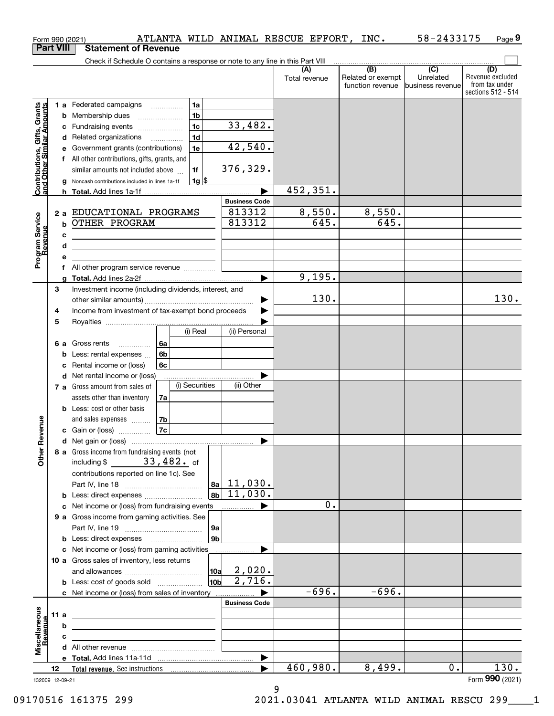|                                                           |                                                              |   | ATLANTA WILD ANIMAL RESCUE EFFORT, INC.<br>Form 990 (2021)                    |                      |                      |          |                           | 58-2433175        | Page 9                               |
|-----------------------------------------------------------|--------------------------------------------------------------|---|-------------------------------------------------------------------------------|----------------------|----------------------|----------|---------------------------|-------------------|--------------------------------------|
|                                                           | <b>Part VIII</b>                                             |   | <b>Statement of Revenue</b>                                                   |                      |                      |          |                           |                   |                                      |
|                                                           |                                                              |   | Check if Schedule O contains a response or note to any line in this Part VIII |                      |                      |          | $\overline{(\mathsf{B})}$ | $\overline{C}$    | (D)                                  |
|                                                           |                                                              |   |                                                                               |                      | (A)<br>Total revenue |          | Related or exempt         | Unrelated         | Revenue excluded                     |
|                                                           |                                                              |   |                                                                               |                      |                      |          | function revenue          | Ibusiness revenue | from tax under<br>sections 512 - 514 |
|                                                           |                                                              |   | 1a<br>1 a Federated campaigns                                                 |                      |                      |          |                           |                   |                                      |
| Contributions, Gifts, Grants<br>and Other Similar Amounts |                                                              |   | 1 <sub>b</sub><br><b>b</b> Membership dues                                    |                      |                      |          |                           |                   |                                      |
|                                                           |                                                              |   | 1 <sub>c</sub><br>c Fundraising events                                        | 33,482.              |                      |          |                           |                   |                                      |
|                                                           |                                                              |   | 1 <sub>d</sub><br>d Related organizations                                     |                      |                      |          |                           |                   |                                      |
|                                                           |                                                              |   | 1e<br>e Government grants (contributions)                                     | 42,540.              |                      |          |                           |                   |                                      |
|                                                           |                                                              |   | f All other contributions, gifts, grants, and                                 |                      |                      |          |                           |                   |                                      |
|                                                           |                                                              |   | similar amounts not included above<br>1f                                      | 376, 329.            |                      |          |                           |                   |                                      |
|                                                           |                                                              |   | 1g <br>g Noncash contributions included in lines 1a-1f                        |                      |                      |          |                           |                   |                                      |
|                                                           |                                                              |   |                                                                               |                      |                      | 452,351. |                           |                   |                                      |
|                                                           |                                                              |   |                                                                               | <b>Business Code</b> |                      |          |                           |                   |                                      |
|                                                           |                                                              |   | 2 a EDUCATIONAL PROGRAMS                                                      | 813312               |                      | 8,550.   | 8,550.                    |                   |                                      |
|                                                           |                                                              |   | <b>b OTHER PROGRAM</b>                                                        | 813312               |                      | 645.     | $\overline{645}$ .        |                   |                                      |
| Program Service<br>Revenue                                |                                                              | c |                                                                               |                      |                      |          |                           |                   |                                      |
|                                                           |                                                              | d | <u> 1980 - Jan Barnett, fransk politiker (d. 1980)</u>                        |                      |                      |          |                           |                   |                                      |
|                                                           |                                                              | е |                                                                               |                      |                      |          |                           |                   |                                      |
|                                                           |                                                              |   | f All other program service revenue                                           |                      |                      |          |                           |                   |                                      |
|                                                           |                                                              |   |                                                                               |                      |                      | 9,195.   |                           |                   |                                      |
|                                                           | з                                                            |   | Investment income (including dividends, interest, and                         |                      |                      |          |                           |                   |                                      |
|                                                           |                                                              |   |                                                                               |                      | ▶                    | 130.     |                           |                   | 130.                                 |
|                                                           | Income from investment of tax-exempt bond proceeds<br>4<br>5 |   |                                                                               |                      |                      |          |                           |                   |                                      |
|                                                           |                                                              |   | (i) Real                                                                      | (ii) Personal        |                      |          |                           |                   |                                      |
|                                                           |                                                              |   | 6 a Gross rents<br>l 6a                                                       |                      |                      |          |                           |                   |                                      |
|                                                           |                                                              |   | 6 <sub>b</sub><br><b>b</b> Less: rental expenses                              |                      |                      |          |                           |                   |                                      |
|                                                           |                                                              |   | c Rental income or (loss)<br>6c                                               |                      |                      |          |                           |                   |                                      |
|                                                           |                                                              |   | d Net rental income or (loss)                                                 |                      |                      |          |                           |                   |                                      |
|                                                           |                                                              |   | (i) Securities<br>7 a Gross amount from sales of                              | (ii) Other           |                      |          |                           |                   |                                      |
|                                                           |                                                              |   | assets other than inventory<br>7a                                             |                      |                      |          |                           |                   |                                      |
|                                                           |                                                              |   | <b>b</b> Less: cost or other basis                                            |                      |                      |          |                           |                   |                                      |
|                                                           |                                                              |   | and sales expenses<br>7b                                                      |                      |                      |          |                           |                   |                                      |
| wenue                                                     |                                                              |   | 7c<br>c Gain or (loss)                                                        |                      |                      |          |                           |                   |                                      |
|                                                           |                                                              |   |                                                                               |                      |                      |          |                           |                   |                                      |
| Other Re                                                  |                                                              |   | 8 a Gross income from fundraising events (not                                 |                      |                      |          |                           |                   |                                      |
|                                                           |                                                              |   | $33,482.$ of<br>including \$                                                  |                      |                      |          |                           |                   |                                      |
|                                                           |                                                              |   | contributions reported on line 1c). See                                       |                      |                      |          |                           |                   |                                      |
|                                                           |                                                              |   |                                                                               | $ a_1 $ 11,030.      |                      |          |                           |                   |                                      |
|                                                           |                                                              |   | <b>b</b> Less: direct expenses <b>constants b</b>                             | $ 8b $ 11,030.       |                      |          |                           |                   |                                      |
|                                                           |                                                              |   | c Net income or (loss) from fundraising events                                |                      |                      | 0.       |                           |                   |                                      |
|                                                           |                                                              |   | 9 a Gross income from gaming activities. See                                  |                      |                      |          |                           |                   |                                      |
|                                                           |                                                              |   | 9а<br>9 <sub>b</sub>                                                          |                      |                      |          |                           |                   |                                      |
|                                                           |                                                              |   | <b>b</b> Less: direct expenses <b>manually</b>                                |                      |                      |          |                           |                   |                                      |
|                                                           |                                                              |   | c Net income or (loss) from gaming activities                                 |                      |                      |          |                           |                   |                                      |
|                                                           |                                                              |   | 10 a Gross sales of inventory, less returns<br>10a                            | 2,020.               |                      |          |                           |                   |                                      |
|                                                           |                                                              |   | 10b                                                                           | $\overline{2,716}$ . |                      |          |                           |                   |                                      |
|                                                           |                                                              |   | c Net income or (loss) from sales of inventory                                |                      |                      | $-696.$  | $-696.$                   |                   |                                      |
|                                                           |                                                              |   |                                                                               | <b>Business Code</b> |                      |          |                           |                   |                                      |
| Miscellaneous<br>Revenue                                  | 11a                                                          |   |                                                                               |                      |                      |          |                           |                   |                                      |
|                                                           |                                                              | b |                                                                               |                      |                      |          |                           |                   |                                      |
|                                                           |                                                              | c |                                                                               |                      |                      |          |                           |                   |                                      |
|                                                           |                                                              |   |                                                                               |                      |                      |          |                           |                   |                                      |
|                                                           |                                                              |   |                                                                               |                      | ▶                    |          |                           |                   |                                      |
|                                                           | 12                                                           |   |                                                                               |                      |                      | 460,980. | 8,499.                    | 0.                | 130.                                 |
| 132009 12-09-21                                           |                                                              |   |                                                                               |                      |                      |          |                           |                   | Form 990 (2021)                      |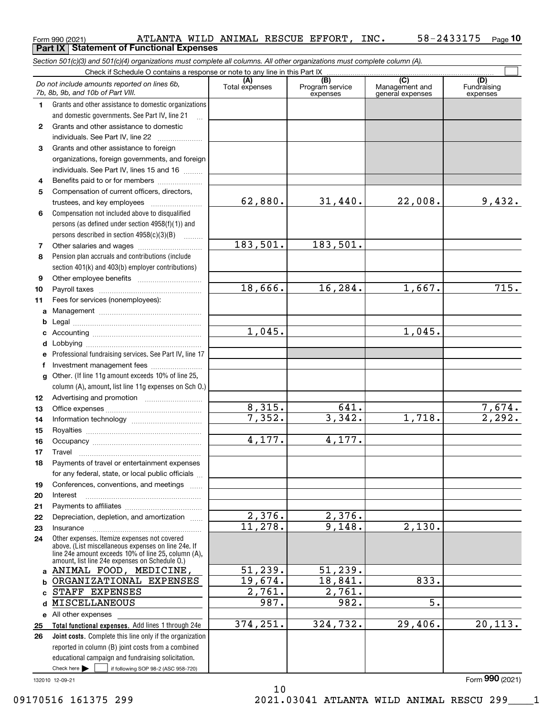|              | Section 501(c)(3) and 501(c)(4) organizations must complete all columns. All other organizations must complete column (A). |                       |                                    |                                           |                                |  |  |  |  |  |  |
|--------------|----------------------------------------------------------------------------------------------------------------------------|-----------------------|------------------------------------|-------------------------------------------|--------------------------------|--|--|--|--|--|--|
|              | Check if Schedule O contains a response or note to any line in this Part IX                                                |                       |                                    |                                           |                                |  |  |  |  |  |  |
|              | Do not include amounts reported on lines 6b,<br>7b, 8b, 9b, and 10b of Part VIII.                                          | (A)<br>Total expenses | (B)<br>Program service<br>expenses | (C)<br>Management and<br>general expenses | (D)<br>Fundraising<br>expenses |  |  |  |  |  |  |
| 1.           | Grants and other assistance to domestic organizations                                                                      |                       |                                    |                                           |                                |  |  |  |  |  |  |
|              | and domestic governments. See Part IV, line 21                                                                             |                       |                                    |                                           |                                |  |  |  |  |  |  |
| $\mathbf{2}$ | Grants and other assistance to domestic                                                                                    |                       |                                    |                                           |                                |  |  |  |  |  |  |
|              | individuals. See Part IV, line 22                                                                                          |                       |                                    |                                           |                                |  |  |  |  |  |  |
| 3            | Grants and other assistance to foreign                                                                                     |                       |                                    |                                           |                                |  |  |  |  |  |  |
|              | organizations, foreign governments, and foreign                                                                            |                       |                                    |                                           |                                |  |  |  |  |  |  |
|              | individuals. See Part IV, lines 15 and 16                                                                                  |                       |                                    |                                           |                                |  |  |  |  |  |  |
| 4            | Benefits paid to or for members                                                                                            |                       |                                    |                                           |                                |  |  |  |  |  |  |
| 5            | Compensation of current officers, directors,                                                                               |                       |                                    |                                           |                                |  |  |  |  |  |  |
|              |                                                                                                                            | 62,880.               | 31,440.                            | 22,008.                                   | 9,432.                         |  |  |  |  |  |  |
| 6            | Compensation not included above to disqualified                                                                            |                       |                                    |                                           |                                |  |  |  |  |  |  |
|              | persons (as defined under section $4958(f)(1)$ ) and                                                                       |                       |                                    |                                           |                                |  |  |  |  |  |  |
|              | persons described in section 4958(c)(3)(B)                                                                                 |                       |                                    |                                           |                                |  |  |  |  |  |  |
| 7            |                                                                                                                            | 183,501.              | 183,501.                           |                                           |                                |  |  |  |  |  |  |
| 8            | Pension plan accruals and contributions (include                                                                           |                       |                                    |                                           |                                |  |  |  |  |  |  |
|              | section 401(k) and 403(b) employer contributions)                                                                          |                       |                                    |                                           |                                |  |  |  |  |  |  |
| 9            |                                                                                                                            |                       |                                    |                                           |                                |  |  |  |  |  |  |
| 10           |                                                                                                                            | 18,666.               | 16,284.                            | 1,667.                                    | $\overline{715}$ .             |  |  |  |  |  |  |
| 11           | Fees for services (nonemployees):                                                                                          |                       |                                    |                                           |                                |  |  |  |  |  |  |
|              |                                                                                                                            |                       |                                    |                                           |                                |  |  |  |  |  |  |
|              |                                                                                                                            |                       |                                    |                                           |                                |  |  |  |  |  |  |
|              |                                                                                                                            | 1,045.                |                                    | 1,045.                                    |                                |  |  |  |  |  |  |
| d            |                                                                                                                            |                       |                                    |                                           |                                |  |  |  |  |  |  |
|              | Professional fundraising services. See Part IV, line 17                                                                    |                       |                                    |                                           |                                |  |  |  |  |  |  |
| f            | Investment management fees                                                                                                 |                       |                                    |                                           |                                |  |  |  |  |  |  |
| g            | Other. (If line 11g amount exceeds 10% of line 25,                                                                         |                       |                                    |                                           |                                |  |  |  |  |  |  |
|              | column (A), amount, list line 11g expenses on Sch O.)                                                                      |                       |                                    |                                           |                                |  |  |  |  |  |  |
| 12           |                                                                                                                            |                       |                                    |                                           |                                |  |  |  |  |  |  |
| 13           |                                                                                                                            | 8,315.<br>7,352.      | 641.<br>3,342.                     | 1,718.                                    | $\frac{7,674.}{2,292.}$        |  |  |  |  |  |  |
| 14           |                                                                                                                            |                       |                                    |                                           |                                |  |  |  |  |  |  |
| 15           |                                                                                                                            | 4,177.                | 4,177.                             |                                           |                                |  |  |  |  |  |  |
| 16           |                                                                                                                            |                       |                                    |                                           |                                |  |  |  |  |  |  |
| 17           |                                                                                                                            |                       |                                    |                                           |                                |  |  |  |  |  |  |
| 18           | Payments of travel or entertainment expenses<br>for any federal, state, or local public officials                          |                       |                                    |                                           |                                |  |  |  |  |  |  |
| 19           | Conferences, conventions, and meetings                                                                                     |                       |                                    |                                           |                                |  |  |  |  |  |  |
| 20           | Interest                                                                                                                   |                       |                                    |                                           |                                |  |  |  |  |  |  |
| 21           |                                                                                                                            |                       |                                    |                                           |                                |  |  |  |  |  |  |
| 22           | Depreciation, depletion, and amortization                                                                                  | 2,376.                | 2,376.                             |                                           |                                |  |  |  |  |  |  |
| 23           | Insurance                                                                                                                  | 11,278.               | 9,148.                             | 2,130.                                    |                                |  |  |  |  |  |  |
| 24           | Other expenses. Itemize expenses not covered                                                                               |                       |                                    |                                           |                                |  |  |  |  |  |  |
|              | above. (List miscellaneous expenses on line 24e. If<br>line 24e amount exceeds 10% of line 25, column (A),                 |                       |                                    |                                           |                                |  |  |  |  |  |  |
|              | amount, list line 24e expenses on Schedule O.)                                                                             |                       |                                    |                                           |                                |  |  |  |  |  |  |
|              | a ANIMAL FOOD, MEDICINE,                                                                                                   | 51,239.               | 51, 239.                           |                                           |                                |  |  |  |  |  |  |
|              | ORGANIZATIONAL EXPENSES                                                                                                    | 19,674.               | 18,841.                            | 833.                                      |                                |  |  |  |  |  |  |
|              | STAFF EXPENSES                                                                                                             | 2,761.                | 2,761.                             |                                           |                                |  |  |  |  |  |  |
| d            | MISCELLANEOUS                                                                                                              | 987.                  | 982.                               | $\overline{5}$ .                          |                                |  |  |  |  |  |  |
|              | e All other expenses                                                                                                       |                       |                                    |                                           |                                |  |  |  |  |  |  |
| 25           | Total functional expenses. Add lines 1 through 24e                                                                         | 374,251.              | 324,732.                           | 29,406.                                   | 20, 113.                       |  |  |  |  |  |  |
| 26           | Joint costs. Complete this line only if the organization                                                                   |                       |                                    |                                           |                                |  |  |  |  |  |  |
|              | reported in column (B) joint costs from a combined                                                                         |                       |                                    |                                           |                                |  |  |  |  |  |  |
|              | educational campaign and fundraising solicitation.                                                                         |                       |                                    |                                           |                                |  |  |  |  |  |  |
|              | Check here<br>if following SOP 98-2 (ASC 958-720)                                                                          |                       |                                    |                                           | Form 990 (2021)                |  |  |  |  |  |  |
|              | 132010 12-09-21                                                                                                            |                       |                                    |                                           |                                |  |  |  |  |  |  |

10

Form 990 (2021) Page **10**

ATLANTA WILD ANIMAL RESCUE EFFORT, INC. 58-2433175

**Part IX Statement of Functional Expenses**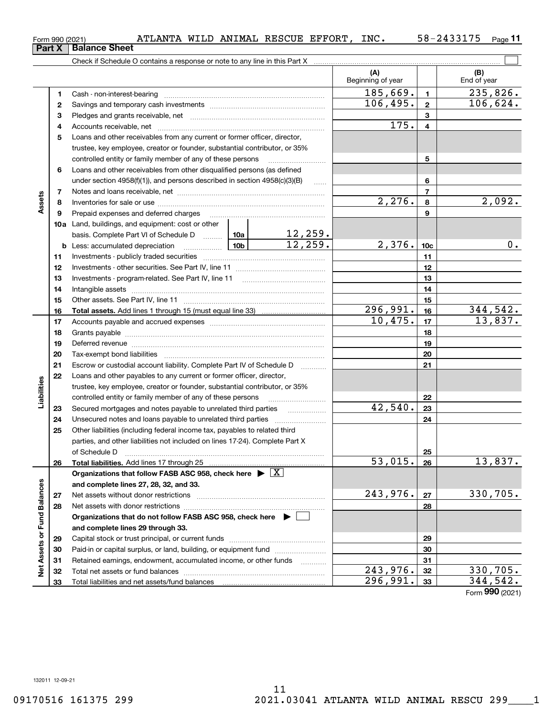| 4<br>4<br>Loans and other receivables from any current or former officer, director,<br>5<br>trustee, key employee, creator or founder, substantial contributor, or 35%<br>controlled entity or family member of any of these persons<br>5<br>Loans and other receivables from other disqualified persons (as defined<br>6<br>under section $4958(f)(1)$ , and persons described in section $4958(c)(3)(B)$<br>6<br>$\ldots$<br>$\overline{7}$<br>7<br>Assets<br>2,276.<br>8<br>8<br>9<br>9<br>Prepaid expenses and deferred charges<br>10a Land, buildings, and equipment: cost or other<br>basis. Complete Part VI of Schedule D $\begin{array}{ c c c c c }\n\hline\n12,259. \text{Less: accumulated depreciation} & & \text{10b} & & 12,259. \end{array}$<br>2,376.<br><u>  10b</u><br><b>b</b> Less: accumulated depreciation<br>10 <sub>c</sub><br>11<br>11<br>12<br>12<br>Investments - program-related. See Part IV, line 11<br>13<br>13<br>14<br>14<br>15<br>15<br>296,991.<br>16<br>16<br>10,475.<br>17<br>17<br>18<br>18<br>19<br>19<br>20<br>20<br>21<br>Escrow or custodial account liability. Complete Part IV of Schedule D<br>21<br>1.1.1.1.1.1.1.1.1.1<br>22<br>Loans and other payables to any current or former officer, director,<br>Liabilities<br>trustee, key employee, creator or founder, substantial contributor, or 35%<br>controlled entity or family member of any of these persons<br>22<br>42,540.<br>23<br>Secured mortgages and notes payable to unrelated third parties<br>23<br>.<br>24<br>24<br>25<br>Other liabilities (including federal income tax, payables to related third<br>parties, and other liabilities not included on lines 17-24). Complete Part X<br>of Schedule D<br>25<br>53,015.<br>13,837.<br>26<br>26<br>Total liabilities. Add lines 17 through 25<br>Organizations that follow FASB ASC 958, check here $\triangleright \lfloor X \rfloor$<br><b>Balances</b><br>and complete lines 27, 28, 32, and 33.<br>243,976.<br>330,705.<br>27<br>Net assets without donor restrictions<br>27<br>28<br>28<br>ত<br>Organizations that do not follow FASB ASC 958, check here $\blacktriangleright$<br>Net Assets or Fur<br>and complete lines 29 through 33.<br>29<br>29<br>Paid-in or capital surplus, or land, building, or equipment fund<br>30<br>30<br>Retained earnings, endowment, accumulated income, or other funds<br>31<br>31<br>.<br>243,976.<br>330,705.<br>32<br>32<br>296,991.<br>344,542.<br>33<br>33 |  | 3 |  |  |  |      | 3        |                 |
|----------------------------------------------------------------------------------------------------------------------------------------------------------------------------------------------------------------------------------------------------------------------------------------------------------------------------------------------------------------------------------------------------------------------------------------------------------------------------------------------------------------------------------------------------------------------------------------------------------------------------------------------------------------------------------------------------------------------------------------------------------------------------------------------------------------------------------------------------------------------------------------------------------------------------------------------------------------------------------------------------------------------------------------------------------------------------------------------------------------------------------------------------------------------------------------------------------------------------------------------------------------------------------------------------------------------------------------------------------------------------------------------------------------------------------------------------------------------------------------------------------------------------------------------------------------------------------------------------------------------------------------------------------------------------------------------------------------------------------------------------------------------------------------------------------------------------------------------------------------------------------------------------------------------------------------------------------------------------------------------------------------------------------------------------------------------------------------------------------------------------------------------------------------------------------------------------------------------------------------------------------------------------------------------------------------------------------------------------------------------------------------------------------------------------------------------------------------------|--|---|--|--|--|------|----------|-----------------|
|                                                                                                                                                                                                                                                                                                                                                                                                                                                                                                                                                                                                                                                                                                                                                                                                                                                                                                                                                                                                                                                                                                                                                                                                                                                                                                                                                                                                                                                                                                                                                                                                                                                                                                                                                                                                                                                                                                                                                                                                                                                                                                                                                                                                                                                                                                                                                                                                                                                                      |  |   |  |  |  | 175. |          |                 |
|                                                                                                                                                                                                                                                                                                                                                                                                                                                                                                                                                                                                                                                                                                                                                                                                                                                                                                                                                                                                                                                                                                                                                                                                                                                                                                                                                                                                                                                                                                                                                                                                                                                                                                                                                                                                                                                                                                                                                                                                                                                                                                                                                                                                                                                                                                                                                                                                                                                                      |  |   |  |  |  |      |          |                 |
|                                                                                                                                                                                                                                                                                                                                                                                                                                                                                                                                                                                                                                                                                                                                                                                                                                                                                                                                                                                                                                                                                                                                                                                                                                                                                                                                                                                                                                                                                                                                                                                                                                                                                                                                                                                                                                                                                                                                                                                                                                                                                                                                                                                                                                                                                                                                                                                                                                                                      |  |   |  |  |  |      |          |                 |
|                                                                                                                                                                                                                                                                                                                                                                                                                                                                                                                                                                                                                                                                                                                                                                                                                                                                                                                                                                                                                                                                                                                                                                                                                                                                                                                                                                                                                                                                                                                                                                                                                                                                                                                                                                                                                                                                                                                                                                                                                                                                                                                                                                                                                                                                                                                                                                                                                                                                      |  |   |  |  |  |      |          |                 |
|                                                                                                                                                                                                                                                                                                                                                                                                                                                                                                                                                                                                                                                                                                                                                                                                                                                                                                                                                                                                                                                                                                                                                                                                                                                                                                                                                                                                                                                                                                                                                                                                                                                                                                                                                                                                                                                                                                                                                                                                                                                                                                                                                                                                                                                                                                                                                                                                                                                                      |  |   |  |  |  |      |          |                 |
|                                                                                                                                                                                                                                                                                                                                                                                                                                                                                                                                                                                                                                                                                                                                                                                                                                                                                                                                                                                                                                                                                                                                                                                                                                                                                                                                                                                                                                                                                                                                                                                                                                                                                                                                                                                                                                                                                                                                                                                                                                                                                                                                                                                                                                                                                                                                                                                                                                                                      |  |   |  |  |  |      |          |                 |
|                                                                                                                                                                                                                                                                                                                                                                                                                                                                                                                                                                                                                                                                                                                                                                                                                                                                                                                                                                                                                                                                                                                                                                                                                                                                                                                                                                                                                                                                                                                                                                                                                                                                                                                                                                                                                                                                                                                                                                                                                                                                                                                                                                                                                                                                                                                                                                                                                                                                      |  |   |  |  |  |      |          |                 |
|                                                                                                                                                                                                                                                                                                                                                                                                                                                                                                                                                                                                                                                                                                                                                                                                                                                                                                                                                                                                                                                                                                                                                                                                                                                                                                                                                                                                                                                                                                                                                                                                                                                                                                                                                                                                                                                                                                                                                                                                                                                                                                                                                                                                                                                                                                                                                                                                                                                                      |  |   |  |  |  |      | 2,092.   |                 |
|                                                                                                                                                                                                                                                                                                                                                                                                                                                                                                                                                                                                                                                                                                                                                                                                                                                                                                                                                                                                                                                                                                                                                                                                                                                                                                                                                                                                                                                                                                                                                                                                                                                                                                                                                                                                                                                                                                                                                                                                                                                                                                                                                                                                                                                                                                                                                                                                                                                                      |  |   |  |  |  |      |          |                 |
|                                                                                                                                                                                                                                                                                                                                                                                                                                                                                                                                                                                                                                                                                                                                                                                                                                                                                                                                                                                                                                                                                                                                                                                                                                                                                                                                                                                                                                                                                                                                                                                                                                                                                                                                                                                                                                                                                                                                                                                                                                                                                                                                                                                                                                                                                                                                                                                                                                                                      |  |   |  |  |  |      |          |                 |
|                                                                                                                                                                                                                                                                                                                                                                                                                                                                                                                                                                                                                                                                                                                                                                                                                                                                                                                                                                                                                                                                                                                                                                                                                                                                                                                                                                                                                                                                                                                                                                                                                                                                                                                                                                                                                                                                                                                                                                                                                                                                                                                                                                                                                                                                                                                                                                                                                                                                      |  |   |  |  |  |      |          |                 |
|                                                                                                                                                                                                                                                                                                                                                                                                                                                                                                                                                                                                                                                                                                                                                                                                                                                                                                                                                                                                                                                                                                                                                                                                                                                                                                                                                                                                                                                                                                                                                                                                                                                                                                                                                                                                                                                                                                                                                                                                                                                                                                                                                                                                                                                                                                                                                                                                                                                                      |  |   |  |  |  |      |          | 0.              |
|                                                                                                                                                                                                                                                                                                                                                                                                                                                                                                                                                                                                                                                                                                                                                                                                                                                                                                                                                                                                                                                                                                                                                                                                                                                                                                                                                                                                                                                                                                                                                                                                                                                                                                                                                                                                                                                                                                                                                                                                                                                                                                                                                                                                                                                                                                                                                                                                                                                                      |  |   |  |  |  |      |          |                 |
|                                                                                                                                                                                                                                                                                                                                                                                                                                                                                                                                                                                                                                                                                                                                                                                                                                                                                                                                                                                                                                                                                                                                                                                                                                                                                                                                                                                                                                                                                                                                                                                                                                                                                                                                                                                                                                                                                                                                                                                                                                                                                                                                                                                                                                                                                                                                                                                                                                                                      |  |   |  |  |  |      |          |                 |
|                                                                                                                                                                                                                                                                                                                                                                                                                                                                                                                                                                                                                                                                                                                                                                                                                                                                                                                                                                                                                                                                                                                                                                                                                                                                                                                                                                                                                                                                                                                                                                                                                                                                                                                                                                                                                                                                                                                                                                                                                                                                                                                                                                                                                                                                                                                                                                                                                                                                      |  |   |  |  |  |      |          |                 |
|                                                                                                                                                                                                                                                                                                                                                                                                                                                                                                                                                                                                                                                                                                                                                                                                                                                                                                                                                                                                                                                                                                                                                                                                                                                                                                                                                                                                                                                                                                                                                                                                                                                                                                                                                                                                                                                                                                                                                                                                                                                                                                                                                                                                                                                                                                                                                                                                                                                                      |  |   |  |  |  |      |          |                 |
|                                                                                                                                                                                                                                                                                                                                                                                                                                                                                                                                                                                                                                                                                                                                                                                                                                                                                                                                                                                                                                                                                                                                                                                                                                                                                                                                                                                                                                                                                                                                                                                                                                                                                                                                                                                                                                                                                                                                                                                                                                                                                                                                                                                                                                                                                                                                                                                                                                                                      |  |   |  |  |  |      |          |                 |
|                                                                                                                                                                                                                                                                                                                                                                                                                                                                                                                                                                                                                                                                                                                                                                                                                                                                                                                                                                                                                                                                                                                                                                                                                                                                                                                                                                                                                                                                                                                                                                                                                                                                                                                                                                                                                                                                                                                                                                                                                                                                                                                                                                                                                                                                                                                                                                                                                                                                      |  |   |  |  |  |      | 344,542. |                 |
|                                                                                                                                                                                                                                                                                                                                                                                                                                                                                                                                                                                                                                                                                                                                                                                                                                                                                                                                                                                                                                                                                                                                                                                                                                                                                                                                                                                                                                                                                                                                                                                                                                                                                                                                                                                                                                                                                                                                                                                                                                                                                                                                                                                                                                                                                                                                                                                                                                                                      |  |   |  |  |  |      | 13,837.  |                 |
|                                                                                                                                                                                                                                                                                                                                                                                                                                                                                                                                                                                                                                                                                                                                                                                                                                                                                                                                                                                                                                                                                                                                                                                                                                                                                                                                                                                                                                                                                                                                                                                                                                                                                                                                                                                                                                                                                                                                                                                                                                                                                                                                                                                                                                                                                                                                                                                                                                                                      |  |   |  |  |  |      |          |                 |
|                                                                                                                                                                                                                                                                                                                                                                                                                                                                                                                                                                                                                                                                                                                                                                                                                                                                                                                                                                                                                                                                                                                                                                                                                                                                                                                                                                                                                                                                                                                                                                                                                                                                                                                                                                                                                                                                                                                                                                                                                                                                                                                                                                                                                                                                                                                                                                                                                                                                      |  |   |  |  |  |      |          |                 |
|                                                                                                                                                                                                                                                                                                                                                                                                                                                                                                                                                                                                                                                                                                                                                                                                                                                                                                                                                                                                                                                                                                                                                                                                                                                                                                                                                                                                                                                                                                                                                                                                                                                                                                                                                                                                                                                                                                                                                                                                                                                                                                                                                                                                                                                                                                                                                                                                                                                                      |  |   |  |  |  |      |          |                 |
|                                                                                                                                                                                                                                                                                                                                                                                                                                                                                                                                                                                                                                                                                                                                                                                                                                                                                                                                                                                                                                                                                                                                                                                                                                                                                                                                                                                                                                                                                                                                                                                                                                                                                                                                                                                                                                                                                                                                                                                                                                                                                                                                                                                                                                                                                                                                                                                                                                                                      |  |   |  |  |  |      |          |                 |
|                                                                                                                                                                                                                                                                                                                                                                                                                                                                                                                                                                                                                                                                                                                                                                                                                                                                                                                                                                                                                                                                                                                                                                                                                                                                                                                                                                                                                                                                                                                                                                                                                                                                                                                                                                                                                                                                                                                                                                                                                                                                                                                                                                                                                                                                                                                                                                                                                                                                      |  |   |  |  |  |      |          |                 |
|                                                                                                                                                                                                                                                                                                                                                                                                                                                                                                                                                                                                                                                                                                                                                                                                                                                                                                                                                                                                                                                                                                                                                                                                                                                                                                                                                                                                                                                                                                                                                                                                                                                                                                                                                                                                                                                                                                                                                                                                                                                                                                                                                                                                                                                                                                                                                                                                                                                                      |  |   |  |  |  |      |          |                 |
|                                                                                                                                                                                                                                                                                                                                                                                                                                                                                                                                                                                                                                                                                                                                                                                                                                                                                                                                                                                                                                                                                                                                                                                                                                                                                                                                                                                                                                                                                                                                                                                                                                                                                                                                                                                                                                                                                                                                                                                                                                                                                                                                                                                                                                                                                                                                                                                                                                                                      |  |   |  |  |  |      |          |                 |
|                                                                                                                                                                                                                                                                                                                                                                                                                                                                                                                                                                                                                                                                                                                                                                                                                                                                                                                                                                                                                                                                                                                                                                                                                                                                                                                                                                                                                                                                                                                                                                                                                                                                                                                                                                                                                                                                                                                                                                                                                                                                                                                                                                                                                                                                                                                                                                                                                                                                      |  |   |  |  |  |      |          |                 |
|                                                                                                                                                                                                                                                                                                                                                                                                                                                                                                                                                                                                                                                                                                                                                                                                                                                                                                                                                                                                                                                                                                                                                                                                                                                                                                                                                                                                                                                                                                                                                                                                                                                                                                                                                                                                                                                                                                                                                                                                                                                                                                                                                                                                                                                                                                                                                                                                                                                                      |  |   |  |  |  |      |          |                 |
|                                                                                                                                                                                                                                                                                                                                                                                                                                                                                                                                                                                                                                                                                                                                                                                                                                                                                                                                                                                                                                                                                                                                                                                                                                                                                                                                                                                                                                                                                                                                                                                                                                                                                                                                                                                                                                                                                                                                                                                                                                                                                                                                                                                                                                                                                                                                                                                                                                                                      |  |   |  |  |  |      |          |                 |
|                                                                                                                                                                                                                                                                                                                                                                                                                                                                                                                                                                                                                                                                                                                                                                                                                                                                                                                                                                                                                                                                                                                                                                                                                                                                                                                                                                                                                                                                                                                                                                                                                                                                                                                                                                                                                                                                                                                                                                                                                                                                                                                                                                                                                                                                                                                                                                                                                                                                      |  |   |  |  |  |      |          |                 |
|                                                                                                                                                                                                                                                                                                                                                                                                                                                                                                                                                                                                                                                                                                                                                                                                                                                                                                                                                                                                                                                                                                                                                                                                                                                                                                                                                                                                                                                                                                                                                                                                                                                                                                                                                                                                                                                                                                                                                                                                                                                                                                                                                                                                                                                                                                                                                                                                                                                                      |  |   |  |  |  |      |          |                 |
|                                                                                                                                                                                                                                                                                                                                                                                                                                                                                                                                                                                                                                                                                                                                                                                                                                                                                                                                                                                                                                                                                                                                                                                                                                                                                                                                                                                                                                                                                                                                                                                                                                                                                                                                                                                                                                                                                                                                                                                                                                                                                                                                                                                                                                                                                                                                                                                                                                                                      |  |   |  |  |  |      |          |                 |
|                                                                                                                                                                                                                                                                                                                                                                                                                                                                                                                                                                                                                                                                                                                                                                                                                                                                                                                                                                                                                                                                                                                                                                                                                                                                                                                                                                                                                                                                                                                                                                                                                                                                                                                                                                                                                                                                                                                                                                                                                                                                                                                                                                                                                                                                                                                                                                                                                                                                      |  |   |  |  |  |      |          |                 |
|                                                                                                                                                                                                                                                                                                                                                                                                                                                                                                                                                                                                                                                                                                                                                                                                                                                                                                                                                                                                                                                                                                                                                                                                                                                                                                                                                                                                                                                                                                                                                                                                                                                                                                                                                                                                                                                                                                                                                                                                                                                                                                                                                                                                                                                                                                                                                                                                                                                                      |  |   |  |  |  |      |          |                 |
|                                                                                                                                                                                                                                                                                                                                                                                                                                                                                                                                                                                                                                                                                                                                                                                                                                                                                                                                                                                                                                                                                                                                                                                                                                                                                                                                                                                                                                                                                                                                                                                                                                                                                                                                                                                                                                                                                                                                                                                                                                                                                                                                                                                                                                                                                                                                                                                                                                                                      |  |   |  |  |  |      |          |                 |
|                                                                                                                                                                                                                                                                                                                                                                                                                                                                                                                                                                                                                                                                                                                                                                                                                                                                                                                                                                                                                                                                                                                                                                                                                                                                                                                                                                                                                                                                                                                                                                                                                                                                                                                                                                                                                                                                                                                                                                                                                                                                                                                                                                                                                                                                                                                                                                                                                                                                      |  |   |  |  |  |      |          |                 |
|                                                                                                                                                                                                                                                                                                                                                                                                                                                                                                                                                                                                                                                                                                                                                                                                                                                                                                                                                                                                                                                                                                                                                                                                                                                                                                                                                                                                                                                                                                                                                                                                                                                                                                                                                                                                                                                                                                                                                                                                                                                                                                                                                                                                                                                                                                                                                                                                                                                                      |  |   |  |  |  |      |          |                 |
|                                                                                                                                                                                                                                                                                                                                                                                                                                                                                                                                                                                                                                                                                                                                                                                                                                                                                                                                                                                                                                                                                                                                                                                                                                                                                                                                                                                                                                                                                                                                                                                                                                                                                                                                                                                                                                                                                                                                                                                                                                                                                                                                                                                                                                                                                                                                                                                                                                                                      |  |   |  |  |  |      |          |                 |
|                                                                                                                                                                                                                                                                                                                                                                                                                                                                                                                                                                                                                                                                                                                                                                                                                                                                                                                                                                                                                                                                                                                                                                                                                                                                                                                                                                                                                                                                                                                                                                                                                                                                                                                                                                                                                                                                                                                                                                                                                                                                                                                                                                                                                                                                                                                                                                                                                                                                      |  |   |  |  |  |      |          |                 |
|                                                                                                                                                                                                                                                                                                                                                                                                                                                                                                                                                                                                                                                                                                                                                                                                                                                                                                                                                                                                                                                                                                                                                                                                                                                                                                                                                                                                                                                                                                                                                                                                                                                                                                                                                                                                                                                                                                                                                                                                                                                                                                                                                                                                                                                                                                                                                                                                                                                                      |  |   |  |  |  |      |          |                 |
|                                                                                                                                                                                                                                                                                                                                                                                                                                                                                                                                                                                                                                                                                                                                                                                                                                                                                                                                                                                                                                                                                                                                                                                                                                                                                                                                                                                                                                                                                                                                                                                                                                                                                                                                                                                                                                                                                                                                                                                                                                                                                                                                                                                                                                                                                                                                                                                                                                                                      |  |   |  |  |  |      |          |                 |
|                                                                                                                                                                                                                                                                                                                                                                                                                                                                                                                                                                                                                                                                                                                                                                                                                                                                                                                                                                                                                                                                                                                                                                                                                                                                                                                                                                                                                                                                                                                                                                                                                                                                                                                                                                                                                                                                                                                                                                                                                                                                                                                                                                                                                                                                                                                                                                                                                                                                      |  |   |  |  |  |      |          |                 |
|                                                                                                                                                                                                                                                                                                                                                                                                                                                                                                                                                                                                                                                                                                                                                                                                                                                                                                                                                                                                                                                                                                                                                                                                                                                                                                                                                                                                                                                                                                                                                                                                                                                                                                                                                                                                                                                                                                                                                                                                                                                                                                                                                                                                                                                                                                                                                                                                                                                                      |  |   |  |  |  |      |          | Form 990 (2021) |

Form 990 (2021) Page ATLANTA WILD ANIMAL RESCUE EFFORT, INC. 58-2433175

Check if Schedule O contains a response or note to any line in this Part X

Cash - non-interest-bearing ~~~~~~~~~~~~~~~~~~~~~~~~~ Savings and temporary cash investments ~~~~~~~~~~~~~~~~~~ 58-2433175 Page 11

 $\boxed{\phantom{1}}$ 

**(A) (B)**

Beginning of year  $\vert$  | End of year

**1 2**

 $185,669.$  1 235,826.

 $106,495. | z | 106,624.$ 

| Form 990 (2021)               |  |  |
|-------------------------------|--|--|
| <b>Part X   Balance Sheet</b> |  |  |

**1 2**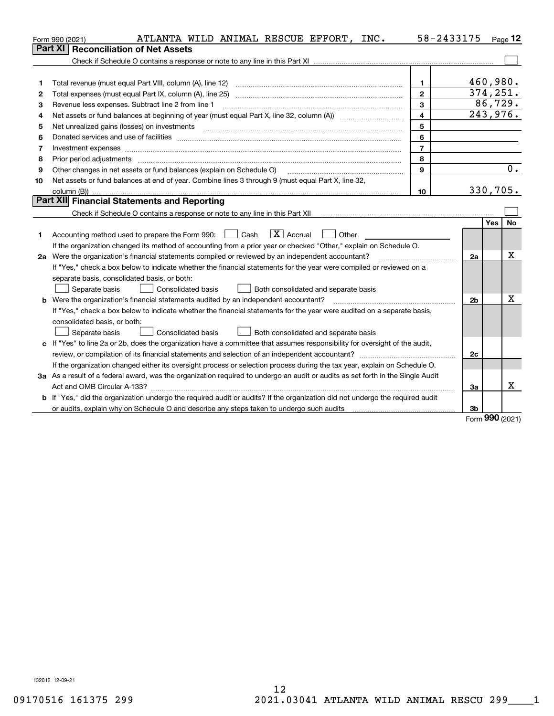|    | ATLANTA WILD ANIMAL RESCUE EFFORT, INC.<br>Form 990 (2021)                                                                                                                                                                     | 58-2433175              |                | $Page$ 12        |
|----|--------------------------------------------------------------------------------------------------------------------------------------------------------------------------------------------------------------------------------|-------------------------|----------------|------------------|
|    | <b>Part XI</b><br><b>Reconciliation of Net Assets</b>                                                                                                                                                                          |                         |                |                  |
|    |                                                                                                                                                                                                                                |                         |                |                  |
|    |                                                                                                                                                                                                                                |                         |                |                  |
| 1  | Total revenue (must equal Part VIII, column (A), line 12)                                                                                                                                                                      | $\mathbf{1}$            |                | 460,980.         |
| 2  |                                                                                                                                                                                                                                | $\mathbf{2}$            |                | 374, 251.        |
| 3  | Revenue less expenses. Subtract line 2 from line 1                                                                                                                                                                             | $\overline{3}$          |                | 86,729.          |
| 4  |                                                                                                                                                                                                                                | $\overline{\mathbf{4}}$ |                | 243,976.         |
| 5  |                                                                                                                                                                                                                                | 5                       |                |                  |
| 6  |                                                                                                                                                                                                                                | 6                       |                |                  |
| 7  | Investment expenses with an announcement of the contract of the contract of the contract of the contract of the contract of the contract of the contract of the contract of the contract of the contract of the contract of th | $\overline{7}$          |                |                  |
| 8  | Prior period adjustments                                                                                                                                                                                                       | 8                       |                |                  |
| 9  | Other changes in net assets or fund balances (explain on Schedule O)                                                                                                                                                           | 9                       |                | 0.               |
| 10 | Net assets or fund balances at end of year. Combine lines 3 through 9 (must equal Part X, line 32,                                                                                                                             |                         |                |                  |
|    | column (B))                                                                                                                                                                                                                    | 10                      |                | 330,705.         |
|    | Part XII Financial Statements and Reporting                                                                                                                                                                                    |                         |                |                  |
|    |                                                                                                                                                                                                                                |                         |                |                  |
|    |                                                                                                                                                                                                                                |                         |                | Yes<br><b>No</b> |
| 1  | $\boxed{\text{X}}$ Accrual<br>Accounting method used to prepare the Form 990: <u>June</u> Cash<br>Other                                                                                                                        |                         |                |                  |
|    | If the organization changed its method of accounting from a prior year or checked "Other," explain on Schedule O.                                                                                                              |                         |                |                  |
|    | 2a Were the organization's financial statements compiled or reviewed by an independent accountant?                                                                                                                             |                         | 2a             | x                |
|    | If "Yes," check a box below to indicate whether the financial statements for the year were compiled or reviewed on a                                                                                                           |                         |                |                  |
|    | separate basis, consolidated basis, or both:                                                                                                                                                                                   |                         |                |                  |
|    | Separate basis<br>Consolidated basis<br>Both consolidated and separate basis                                                                                                                                                   |                         |                |                  |
|    | <b>b</b> Were the organization's financial statements audited by an independent accountant?                                                                                                                                    |                         | 2 <sub>b</sub> | X                |
|    | If "Yes," check a box below to indicate whether the financial statements for the year were audited on a separate basis,                                                                                                        |                         |                |                  |
|    | consolidated basis, or both:                                                                                                                                                                                                   |                         |                |                  |
|    | <b>Consolidated basis</b><br>Separate basis<br>Both consolidated and separate basis                                                                                                                                            |                         |                |                  |
|    | c If "Yes" to line 2a or 2b, does the organization have a committee that assumes responsibility for oversight of the audit,                                                                                                    |                         |                |                  |
|    | review, or compilation of its financial statements and selection of an independent accountant?                                                                                                                                 |                         | 2c             |                  |
|    | If the organization changed either its oversight process or selection process during the tax year, explain on Schedule O.                                                                                                      |                         |                |                  |
|    | 3a As a result of a federal award, was the organization required to undergo an audit or audits as set forth in the Single Audit                                                                                                |                         |                |                  |
|    |                                                                                                                                                                                                                                |                         | За             | x                |
|    | b If "Yes," did the organization undergo the required audit or audits? If the organization did not undergo the required audit                                                                                                  |                         |                |                  |
|    | or audits, explain why on Schedule O and describe any steps taken to undergo such audits                                                                                                                                       |                         | 3b             | nnn              |

Form (2021) **990**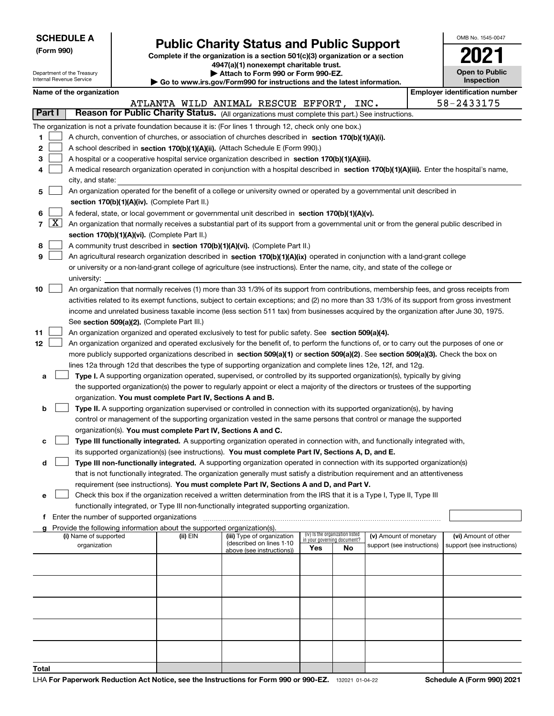# **Public Charity Status and Public Support**<br> **Expansive Status and Public Support**<br> **2021**

**(Form 990) Complete if the organization is a section 501(c)(3) organization or a section 4947(a)(1) nonexempt charitable trust.**

**| Attach to Form 990 or Form 990-EZ.** 

|                  |            | Department of the Treasury<br>Internal Revenue Service                                                                                                                                                                                                                                                                                                                                                                                                                           |  |                                                                        | Attach to Form 990 or Form 990-EZ.<br>Go to www.irs.gov/Form990 for instructions and the latest information.                                                                                                                                                                                                                                                                                                                                                                                                                                             |                                                                       |    |                                                      |  | <b>Open to Public</b><br><b>Inspection</b>         |
|------------------|------------|----------------------------------------------------------------------------------------------------------------------------------------------------------------------------------------------------------------------------------------------------------------------------------------------------------------------------------------------------------------------------------------------------------------------------------------------------------------------------------|--|------------------------------------------------------------------------|----------------------------------------------------------------------------------------------------------------------------------------------------------------------------------------------------------------------------------------------------------------------------------------------------------------------------------------------------------------------------------------------------------------------------------------------------------------------------------------------------------------------------------------------------------|-----------------------------------------------------------------------|----|------------------------------------------------------|--|----------------------------------------------------|
|                  |            | Name of the organization                                                                                                                                                                                                                                                                                                                                                                                                                                                         |  |                                                                        |                                                                                                                                                                                                                                                                                                                                                                                                                                                                                                                                                          |                                                                       |    |                                                      |  | <b>Employer identification number</b>              |
|                  |            |                                                                                                                                                                                                                                                                                                                                                                                                                                                                                  |  |                                                                        | ATLANTA WILD ANIMAL RESCUE EFFORT, INC.                                                                                                                                                                                                                                                                                                                                                                                                                                                                                                                  |                                                                       |    |                                                      |  | 58-2433175                                         |
|                  | Part I     |                                                                                                                                                                                                                                                                                                                                                                                                                                                                                  |  |                                                                        | Reason for Public Charity Status. (All organizations must complete this part.) See instructions.                                                                                                                                                                                                                                                                                                                                                                                                                                                         |                                                                       |    |                                                      |  |                                                    |
| 1<br>2<br>3<br>4 |            | city, and state:                                                                                                                                                                                                                                                                                                                                                                                                                                                                 |  |                                                                        | The organization is not a private foundation because it is: (For lines 1 through 12, check only one box.)<br>A church, convention of churches, or association of churches described in section 170(b)(1)(A)(i).<br>A school described in section 170(b)(1)(A)(ii). (Attach Schedule E (Form 990).)<br>A hospital or a cooperative hospital service organization described in section $170(b)(1)(A)(iii)$ .<br>A medical research organization operated in conjunction with a hospital described in section 170(b)(1)(A)(iii). Enter the hospital's name, |                                                                       |    |                                                      |  |                                                    |
| 5                |            |                                                                                                                                                                                                                                                                                                                                                                                                                                                                                  |  |                                                                        | An organization operated for the benefit of a college or university owned or operated by a governmental unit described in                                                                                                                                                                                                                                                                                                                                                                                                                                |                                                                       |    |                                                      |  |                                                    |
|                  |            |                                                                                                                                                                                                                                                                                                                                                                                                                                                                                  |  | section 170(b)(1)(A)(iv). (Complete Part II.)                          |                                                                                                                                                                                                                                                                                                                                                                                                                                                                                                                                                          |                                                                       |    |                                                      |  |                                                    |
| 6                | $7 \times$ | A federal, state, or local government or governmental unit described in section 170(b)(1)(A)(v).<br>An organization that normally receives a substantial part of its support from a governmental unit or from the general public described in                                                                                                                                                                                                                                    |  |                                                                        |                                                                                                                                                                                                                                                                                                                                                                                                                                                                                                                                                          |                                                                       |    |                                                      |  |                                                    |
|                  |            |                                                                                                                                                                                                                                                                                                                                                                                                                                                                                  |  | section 170(b)(1)(A)(vi). (Complete Part II.)                          |                                                                                                                                                                                                                                                                                                                                                                                                                                                                                                                                                          |                                                                       |    |                                                      |  |                                                    |
| 8                |            |                                                                                                                                                                                                                                                                                                                                                                                                                                                                                  |  |                                                                        | A community trust described in section 170(b)(1)(A)(vi). (Complete Part II.)                                                                                                                                                                                                                                                                                                                                                                                                                                                                             |                                                                       |    |                                                      |  |                                                    |
| 9                |            |                                                                                                                                                                                                                                                                                                                                                                                                                                                                                  |  |                                                                        | An agricultural research organization described in section 170(b)(1)(A)(ix) operated in conjunction with a land-grant college                                                                                                                                                                                                                                                                                                                                                                                                                            |                                                                       |    |                                                      |  |                                                    |
|                  |            | university:                                                                                                                                                                                                                                                                                                                                                                                                                                                                      |  |                                                                        | or university or a non-land-grant college of agriculture (see instructions). Enter the name, city, and state of the college or                                                                                                                                                                                                                                                                                                                                                                                                                           |                                                                       |    |                                                      |  |                                                    |
| 10               |            | An organization that normally receives (1) more than 33 1/3% of its support from contributions, membership fees, and gross receipts from<br>activities related to its exempt functions, subject to certain exceptions; and (2) no more than 33 1/3% of its support from gross investment<br>income and unrelated business taxable income (less section 511 tax) from businesses acquired by the organization after June 30, 1975.<br>See section 509(a)(2). (Complete Part III.) |  |                                                                        |                                                                                                                                                                                                                                                                                                                                                                                                                                                                                                                                                          |                                                                       |    |                                                      |  |                                                    |
| 11               |            |                                                                                                                                                                                                                                                                                                                                                                                                                                                                                  |  |                                                                        | An organization organized and operated exclusively to test for public safety. See section 509(a)(4).                                                                                                                                                                                                                                                                                                                                                                                                                                                     |                                                                       |    |                                                      |  |                                                    |
| 12               |            |                                                                                                                                                                                                                                                                                                                                                                                                                                                                                  |  |                                                                        | An organization organized and operated exclusively for the benefit of, to perform the functions of, or to carry out the purposes of one or                                                                                                                                                                                                                                                                                                                                                                                                               |                                                                       |    |                                                      |  |                                                    |
|                  |            |                                                                                                                                                                                                                                                                                                                                                                                                                                                                                  |  |                                                                        | more publicly supported organizations described in section 509(a)(1) or section 509(a)(2). See section 509(a)(3). Check the box on                                                                                                                                                                                                                                                                                                                                                                                                                       |                                                                       |    |                                                      |  |                                                    |
|                  |            |                                                                                                                                                                                                                                                                                                                                                                                                                                                                                  |  |                                                                        | lines 12a through 12d that describes the type of supporting organization and complete lines 12e, 12f, and 12g.                                                                                                                                                                                                                                                                                                                                                                                                                                           |                                                                       |    |                                                      |  |                                                    |
| а                |            |                                                                                                                                                                                                                                                                                                                                                                                                                                                                                  |  |                                                                        | Type I. A supporting organization operated, supervised, or controlled by its supported organization(s), typically by giving                                                                                                                                                                                                                                                                                                                                                                                                                              |                                                                       |    |                                                      |  |                                                    |
|                  |            |                                                                                                                                                                                                                                                                                                                                                                                                                                                                                  |  |                                                                        | the supported organization(s) the power to regularly appoint or elect a majority of the directors or trustees of the supporting                                                                                                                                                                                                                                                                                                                                                                                                                          |                                                                       |    |                                                      |  |                                                    |
|                  |            |                                                                                                                                                                                                                                                                                                                                                                                                                                                                                  |  | organization. You must complete Part IV, Sections A and B.             |                                                                                                                                                                                                                                                                                                                                                                                                                                                                                                                                                          |                                                                       |    |                                                      |  |                                                    |
| b                |            |                                                                                                                                                                                                                                                                                                                                                                                                                                                                                  |  |                                                                        | Type II. A supporting organization supervised or controlled in connection with its supported organization(s), by having                                                                                                                                                                                                                                                                                                                                                                                                                                  |                                                                       |    |                                                      |  |                                                    |
|                  |            |                                                                                                                                                                                                                                                                                                                                                                                                                                                                                  |  |                                                                        | control or management of the supporting organization vested in the same persons that control or manage the supported                                                                                                                                                                                                                                                                                                                                                                                                                                     |                                                                       |    |                                                      |  |                                                    |
|                  |            |                                                                                                                                                                                                                                                                                                                                                                                                                                                                                  |  | organization(s). You must complete Part IV, Sections A and C.          |                                                                                                                                                                                                                                                                                                                                                                                                                                                                                                                                                          |                                                                       |    |                                                      |  |                                                    |
| с                |            |                                                                                                                                                                                                                                                                                                                                                                                                                                                                                  |  |                                                                        | Type III functionally integrated. A supporting organization operated in connection with, and functionally integrated with,                                                                                                                                                                                                                                                                                                                                                                                                                               |                                                                       |    |                                                      |  |                                                    |
|                  |            |                                                                                                                                                                                                                                                                                                                                                                                                                                                                                  |  |                                                                        | its supported organization(s) (see instructions). You must complete Part IV, Sections A, D, and E.                                                                                                                                                                                                                                                                                                                                                                                                                                                       |                                                                       |    |                                                      |  |                                                    |
| d                |            |                                                                                                                                                                                                                                                                                                                                                                                                                                                                                  |  |                                                                        | Type III non-functionally integrated. A supporting organization operated in connection with its supported organization(s)<br>that is not functionally integrated. The organization generally must satisfy a distribution requirement and an attentiveness                                                                                                                                                                                                                                                                                                |                                                                       |    |                                                      |  |                                                    |
|                  |            |                                                                                                                                                                                                                                                                                                                                                                                                                                                                                  |  |                                                                        | requirement (see instructions). You must complete Part IV, Sections A and D, and Part V.                                                                                                                                                                                                                                                                                                                                                                                                                                                                 |                                                                       |    |                                                      |  |                                                    |
| е                |            |                                                                                                                                                                                                                                                                                                                                                                                                                                                                                  |  |                                                                        | Check this box if the organization received a written determination from the IRS that it is a Type I, Type II, Type III                                                                                                                                                                                                                                                                                                                                                                                                                                  |                                                                       |    |                                                      |  |                                                    |
|                  |            |                                                                                                                                                                                                                                                                                                                                                                                                                                                                                  |  |                                                                        | functionally integrated, or Type III non-functionally integrated supporting organization.                                                                                                                                                                                                                                                                                                                                                                                                                                                                |                                                                       |    |                                                      |  |                                                    |
| f                |            | Enter the number of supported organizations                                                                                                                                                                                                                                                                                                                                                                                                                                      |  |                                                                        |                                                                                                                                                                                                                                                                                                                                                                                                                                                                                                                                                          |                                                                       |    |                                                      |  |                                                    |
|                  |            |                                                                                                                                                                                                                                                                                                                                                                                                                                                                                  |  | Provide the following information about the supported organization(s). |                                                                                                                                                                                                                                                                                                                                                                                                                                                                                                                                                          |                                                                       |    |                                                      |  |                                                    |
|                  |            | (i) Name of supported<br>organization                                                                                                                                                                                                                                                                                                                                                                                                                                            |  | (ii) EIN                                                               | (iii) Type of organization<br>(described on lines 1-10<br>above (see instructions))                                                                                                                                                                                                                                                                                                                                                                                                                                                                      | (iv) Is the organization listed<br>in your governing document?<br>Yes | No | (v) Amount of monetary<br>support (see instructions) |  | (vi) Amount of other<br>support (see instructions) |
|                  |            |                                                                                                                                                                                                                                                                                                                                                                                                                                                                                  |  |                                                                        |                                                                                                                                                                                                                                                                                                                                                                                                                                                                                                                                                          |                                                                       |    |                                                      |  |                                                    |
|                  |            |                                                                                                                                                                                                                                                                                                                                                                                                                                                                                  |  |                                                                        |                                                                                                                                                                                                                                                                                                                                                                                                                                                                                                                                                          |                                                                       |    |                                                      |  |                                                    |
|                  |            |                                                                                                                                                                                                                                                                                                                                                                                                                                                                                  |  |                                                                        |                                                                                                                                                                                                                                                                                                                                                                                                                                                                                                                                                          |                                                                       |    |                                                      |  |                                                    |
|                  |            |                                                                                                                                                                                                                                                                                                                                                                                                                                                                                  |  |                                                                        |                                                                                                                                                                                                                                                                                                                                                                                                                                                                                                                                                          |                                                                       |    |                                                      |  |                                                    |
|                  |            |                                                                                                                                                                                                                                                                                                                                                                                                                                                                                  |  |                                                                        |                                                                                                                                                                                                                                                                                                                                                                                                                                                                                                                                                          |                                                                       |    |                                                      |  |                                                    |
|                  |            |                                                                                                                                                                                                                                                                                                                                                                                                                                                                                  |  |                                                                        |                                                                                                                                                                                                                                                                                                                                                                                                                                                                                                                                                          |                                                                       |    |                                                      |  |                                                    |
| Total            |            |                                                                                                                                                                                                                                                                                                                                                                                                                                                                                  |  |                                                                        |                                                                                                                                                                                                                                                                                                                                                                                                                                                                                                                                                          |                                                                       |    |                                                      |  |                                                    |

OMB No. 1545-0047

**Open to Public**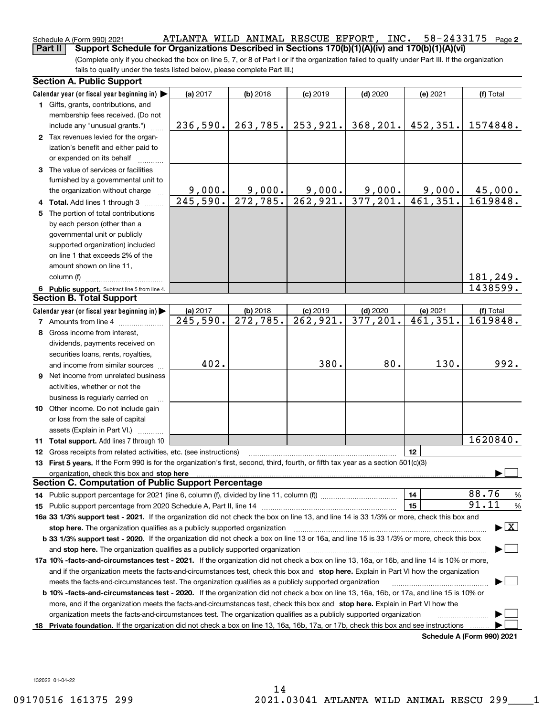#### $58 - 2433175$  Page 2 Schedule A (Form 990) 2021 Page ATLANTA WILD ANIMAL RESCUE EFFORT, INC. 58-2433175 **Part II** Support Schedule for Organizations Described in Sections 170(b)(1)(A)(iv) and 170(b)(1)(A)(vi)

(Complete only if you checked the box on line 5, 7, or 8 of Part I or if the organization failed to qualify under Part III. If the organization fails to qualify under the tests listed below, please complete Part III.)

|     | <b>Section A. Public Support</b>                                                                                                                                                                                               |                        |                        |            |            |          |                                          |
|-----|--------------------------------------------------------------------------------------------------------------------------------------------------------------------------------------------------------------------------------|------------------------|------------------------|------------|------------|----------|------------------------------------------|
|     | Calendar year (or fiscal year beginning in) $\blacktriangleright$                                                                                                                                                              | (a) 2017               | $(b)$ 2018             | $(c)$ 2019 | $(d)$ 2020 | (e) 2021 | (f) Total                                |
|     | 1 Gifts, grants, contributions, and                                                                                                                                                                                            |                        |                        |            |            |          |                                          |
|     | membership fees received. (Do not                                                                                                                                                                                              |                        |                        |            |            |          |                                          |
|     | include any "unusual grants.")                                                                                                                                                                                                 | 236,590.               | 263,785.               | 253,921.   | 368, 201.  | 452,351. | 1574848.                                 |
|     | 2 Tax revenues levied for the organ-                                                                                                                                                                                           |                        |                        |            |            |          |                                          |
|     | ization's benefit and either paid to                                                                                                                                                                                           |                        |                        |            |            |          |                                          |
|     | or expended on its behalf                                                                                                                                                                                                      |                        |                        |            |            |          |                                          |
|     | 3 The value of services or facilities                                                                                                                                                                                          |                        |                        |            |            |          |                                          |
|     | furnished by a governmental unit to                                                                                                                                                                                            |                        |                        |            |            |          |                                          |
|     | the organization without charge                                                                                                                                                                                                | 9,000.                 | 9,000.                 | 9,000.     | 9,000.     | 9,000.   | 45,000.                                  |
|     | 4 Total. Add lines 1 through 3                                                                                                                                                                                                 | $\overline{245,590}$ . | 272, 785.              | 262,921.   | 377,201.   | 461,351. | 1619848.                                 |
| 5.  | The portion of total contributions                                                                                                                                                                                             |                        |                        |            |            |          |                                          |
|     | by each person (other than a                                                                                                                                                                                                   |                        |                        |            |            |          |                                          |
|     | governmental unit or publicly                                                                                                                                                                                                  |                        |                        |            |            |          |                                          |
|     | supported organization) included                                                                                                                                                                                               |                        |                        |            |            |          |                                          |
|     | on line 1 that exceeds 2% of the                                                                                                                                                                                               |                        |                        |            |            |          |                                          |
|     | amount shown on line 11,                                                                                                                                                                                                       |                        |                        |            |            |          |                                          |
|     | column (f)                                                                                                                                                                                                                     |                        |                        |            |            |          | 181,249.                                 |
|     | 6 Public support. Subtract line 5 from line 4.                                                                                                                                                                                 |                        |                        |            |            |          | 1438599.                                 |
|     | <b>Section B. Total Support</b>                                                                                                                                                                                                |                        |                        |            |            |          |                                          |
|     | Calendar year (or fiscal year beginning in)                                                                                                                                                                                    | (a) 2017               | $(b)$ 2018             | $(c)$ 2019 | $(d)$ 2020 | (e) 2021 | (f) Total                                |
|     | <b>7</b> Amounts from line 4                                                                                                                                                                                                   | 245,590.               | $\overline{272,785}$ . | 262,921.   | 377,201.   | 461,351. | 1619848.                                 |
|     | 8 Gross income from interest,                                                                                                                                                                                                  |                        |                        |            |            |          |                                          |
|     | dividends, payments received on                                                                                                                                                                                                |                        |                        |            |            |          |                                          |
|     | securities loans, rents, royalties,                                                                                                                                                                                            |                        |                        |            |            |          |                                          |
|     | and income from similar sources                                                                                                                                                                                                | 402.                   |                        | 380.       | 80.        | 130.     | 992.                                     |
| 9   | Net income from unrelated business                                                                                                                                                                                             |                        |                        |            |            |          |                                          |
|     | activities, whether or not the                                                                                                                                                                                                 |                        |                        |            |            |          |                                          |
|     | business is regularly carried on                                                                                                                                                                                               |                        |                        |            |            |          |                                          |
|     | <b>10</b> Other income. Do not include gain                                                                                                                                                                                    |                        |                        |            |            |          |                                          |
|     | or loss from the sale of capital                                                                                                                                                                                               |                        |                        |            |            |          |                                          |
|     | assets (Explain in Part VI.)                                                                                                                                                                                                   |                        |                        |            |            |          |                                          |
|     | 11 Total support. Add lines 7 through 10                                                                                                                                                                                       |                        |                        |            |            |          | 1620840.                                 |
|     | <b>12</b> Gross receipts from related activities, etc. (see instructions)                                                                                                                                                      |                        |                        |            |            | 12       |                                          |
|     | 13 First 5 years. If the Form 990 is for the organization's first, second, third, fourth, or fifth tax year as a section 501(c)(3)                                                                                             |                        |                        |            |            |          |                                          |
|     | organization, check this box and stop here manufactured and according to the state of the state of the state of the state of the state of the state of the state of the state of the state of the state of the state of the st |                        |                        |            |            |          |                                          |
|     | <b>Section C. Computation of Public Support Percentage</b>                                                                                                                                                                     |                        |                        |            |            |          |                                          |
|     |                                                                                                                                                                                                                                |                        |                        |            |            | 14       | 88.76<br>$\frac{9}{6}$                   |
|     |                                                                                                                                                                                                                                |                        |                        |            |            | 15       | 91.11<br>$\frac{9}{6}$                   |
|     | 16a 33 1/3% support test - 2021. If the organization did not check the box on line 13, and line 14 is 33 1/3% or more, check this box and                                                                                      |                        |                        |            |            |          |                                          |
|     | stop here. The organization qualifies as a publicly supported organization                                                                                                                                                     |                        |                        |            |            |          | $\blacktriangleright$ $\boxed{\text{X}}$ |
|     | b 33 1/3% support test - 2020. If the organization did not check a box on line 13 or 16a, and line 15 is 33 1/3% or more, check this box                                                                                       |                        |                        |            |            |          |                                          |
|     | and stop here. The organization qualifies as a publicly supported organization                                                                                                                                                 |                        |                        |            |            |          |                                          |
|     | 17a 10% -facts-and-circumstances test - 2021. If the organization did not check a box on line 13, 16a, or 16b, and line 14 is 10% or more,                                                                                     |                        |                        |            |            |          |                                          |
|     | and if the organization meets the facts-and-circumstances test, check this box and stop here. Explain in Part VI how the organization                                                                                          |                        |                        |            |            |          |                                          |
|     | meets the facts-and-circumstances test. The organization qualifies as a publicly supported organization                                                                                                                        |                        |                        |            |            |          |                                          |
|     | <b>b 10% -facts-and-circumstances test - 2020.</b> If the organization did not check a box on line 13, 16a, 16b, or 17a, and line 15 is 10% or                                                                                 |                        |                        |            |            |          |                                          |
|     | more, and if the organization meets the facts-and-circumstances test, check this box and stop here. Explain in Part VI how the                                                                                                 |                        |                        |            |            |          |                                          |
|     | organization meets the facts-and-circumstances test. The organization qualifies as a publicly supported organization                                                                                                           |                        |                        |            |            |          |                                          |
| 18. | Private foundation. If the organization did not check a box on line 13, 16a, 16b, 17a, or 17b, check this box and see instructions                                                                                             |                        |                        |            |            |          |                                          |
|     |                                                                                                                                                                                                                                |                        |                        |            |            |          | Schedule A (Form 990) 2021               |

**Schedule A (Form 990) 2021**

132022 01-04-22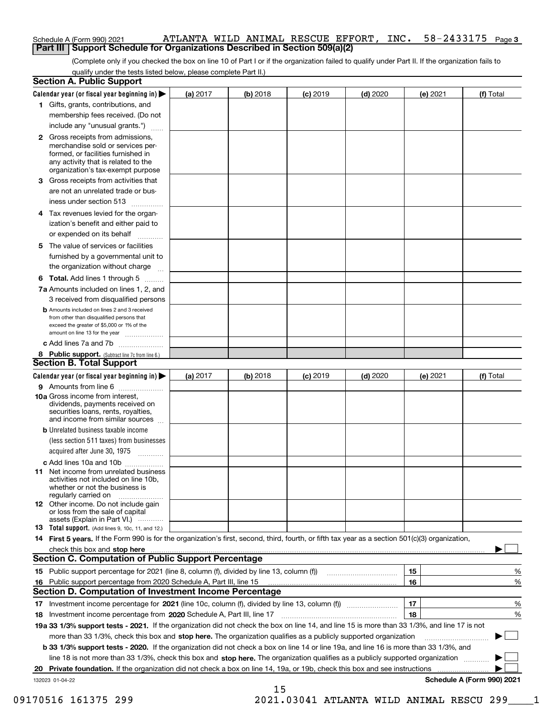| Schedule A (Form 990) 2021                                                        |  |  |  |  |  | ATLANTA WILD ANIMAL RESCUE EFFORT, INC. 58-2433175 Page 3 |  |
|-----------------------------------------------------------------------------------|--|--|--|--|--|-----------------------------------------------------------|--|
| <b>Part III Support Schedule for Organizations Described in Section 509(a)(2)</b> |  |  |  |  |  |                                                           |  |

(Complete only if you checked the box on line 10 of Part I or if the organization failed to qualify under Part II. If the organization fails to qualify under the tests listed below, please complete Part II.)

|    | <b>Section A. Public Support</b>                                                                                                                 |          |          |            |            |          |                            |
|----|--------------------------------------------------------------------------------------------------------------------------------------------------|----------|----------|------------|------------|----------|----------------------------|
|    | Calendar year (or fiscal year beginning in) $\blacktriangleright$                                                                                | (a) 2017 | (b) 2018 | $(c)$ 2019 | $(d)$ 2020 | (e) 2021 | (f) Total                  |
|    | 1 Gifts, grants, contributions, and                                                                                                              |          |          |            |            |          |                            |
|    | membership fees received. (Do not                                                                                                                |          |          |            |            |          |                            |
|    | include any "unusual grants.")                                                                                                                   |          |          |            |            |          |                            |
| 2  | Gross receipts from admissions,                                                                                                                  |          |          |            |            |          |                            |
|    | merchandise sold or services per-                                                                                                                |          |          |            |            |          |                            |
|    | formed, or facilities furnished in<br>any activity that is related to the                                                                        |          |          |            |            |          |                            |
|    | organization's tax-exempt purpose                                                                                                                |          |          |            |            |          |                            |
| 3  | Gross receipts from activities that                                                                                                              |          |          |            |            |          |                            |
|    | are not an unrelated trade or bus-                                                                                                               |          |          |            |            |          |                            |
|    | iness under section 513                                                                                                                          |          |          |            |            |          |                            |
|    | 4 Tax revenues levied for the organ-                                                                                                             |          |          |            |            |          |                            |
|    | ization's benefit and either paid to                                                                                                             |          |          |            |            |          |                            |
|    | or expended on its behalf                                                                                                                        |          |          |            |            |          |                            |
| 5. | The value of services or facilities                                                                                                              |          |          |            |            |          |                            |
|    | furnished by a governmental unit to                                                                                                              |          |          |            |            |          |                            |
|    | the organization without charge                                                                                                                  |          |          |            |            |          |                            |
|    |                                                                                                                                                  |          |          |            |            |          |                            |
|    | <b>6 Total.</b> Add lines 1 through 5                                                                                                            |          |          |            |            |          |                            |
|    | 7a Amounts included on lines 1, 2, and                                                                                                           |          |          |            |            |          |                            |
|    | 3 received from disqualified persons                                                                                                             |          |          |            |            |          |                            |
|    | <b>b</b> Amounts included on lines 2 and 3 received<br>from other than disqualified persons that                                                 |          |          |            |            |          |                            |
|    | exceed the greater of \$5,000 or 1% of the                                                                                                       |          |          |            |            |          |                            |
|    | amount on line 13 for the year                                                                                                                   |          |          |            |            |          |                            |
|    | c Add lines 7a and 7b                                                                                                                            |          |          |            |            |          |                            |
|    | 8 Public support. (Subtract line 7c from line 6.)                                                                                                |          |          |            |            |          |                            |
|    | <b>Section B. Total Support</b>                                                                                                                  |          |          |            |            |          |                            |
|    | Calendar year (or fiscal year beginning in) $\blacktriangleright$                                                                                | (a) 2017 | (b) 2018 | $(c)$ 2019 | $(d)$ 2020 | (e) 2021 | (f) Total                  |
|    | 9 Amounts from line 6                                                                                                                            |          |          |            |            |          |                            |
|    | 10a Gross income from interest,<br>dividends, payments received on                                                                               |          |          |            |            |          |                            |
|    | securities loans, rents, royalties,                                                                                                              |          |          |            |            |          |                            |
|    | and income from similar sources                                                                                                                  |          |          |            |            |          |                            |
|    | <b>b</b> Unrelated business taxable income                                                                                                       |          |          |            |            |          |                            |
|    | (less section 511 taxes) from businesses                                                                                                         |          |          |            |            |          |                            |
|    | acquired after June 30, 1975                                                                                                                     |          |          |            |            |          |                            |
|    | c Add lines 10a and 10b                                                                                                                          |          |          |            |            |          |                            |
|    | <b>11</b> Net income from unrelated business                                                                                                     |          |          |            |            |          |                            |
|    | activities not included on line 10b,<br>whether or not the business is                                                                           |          |          |            |            |          |                            |
|    | regularly carried on                                                                                                                             |          |          |            |            |          |                            |
|    | 12 Other income. Do not include gain                                                                                                             |          |          |            |            |          |                            |
|    | or loss from the sale of capital<br>assets (Explain in Part VI.)                                                                                 |          |          |            |            |          |                            |
|    | <b>13</b> Total support. (Add lines 9, 10c, 11, and 12.)                                                                                         |          |          |            |            |          |                            |
|    | 14 First 5 years. If the Form 990 is for the organization's first, second, third, fourth, or fifth tax year as a section 501(c)(3) organization, |          |          |            |            |          |                            |
|    | check this box and stop here measurements are constructed to the state of the state of the state of the state o                                  |          |          |            |            |          |                            |
|    | <b>Section C. Computation of Public Support Percentage</b>                                                                                       |          |          |            |            |          |                            |
|    | 15 Public support percentage for 2021 (line 8, column (f), divided by line 13, column (f))                                                       |          |          |            |            | 15       | %                          |
|    | 16 Public support percentage from 2020 Schedule A, Part III, line 15                                                                             |          |          |            |            | 16       | %                          |
|    | <b>Section D. Computation of Investment Income Percentage</b>                                                                                    |          |          |            |            |          |                            |
|    |                                                                                                                                                  |          |          |            |            | 17       | %                          |
|    | 18 Investment income percentage from 2020 Schedule A, Part III, line 17                                                                          |          |          |            |            | 18       | %                          |
|    | 19a 33 1/3% support tests - 2021. If the organization did not check the box on line 14, and line 15 is more than 33 1/3%, and line 17 is not     |          |          |            |            |          |                            |
|    | more than 33 1/3%, check this box and stop here. The organization qualifies as a publicly supported organization                                 |          |          |            |            |          |                            |
|    | <b>b 33 1/3% support tests - 2020.</b> If the organization did not check a box on line 14 or line 19a, and line 16 is more than 33 1/3%, and     |          |          |            |            |          |                            |
|    | line 18 is not more than 33 1/3%, check this box and stop here. The organization qualifies as a publicly supported organization                  |          |          |            |            |          |                            |
|    | 20 Private foundation. If the organization did not check a box on line 14, 19a, or 19b, check this box and see instructions                      |          |          |            |            |          |                            |
|    | 132023 01-04-22                                                                                                                                  |          |          |            |            |          | Schedule A (Form 990) 2021 |

15 09170516 161375 299 2021.03041 ATLANTA WILD ANIMAL RESCU 299 1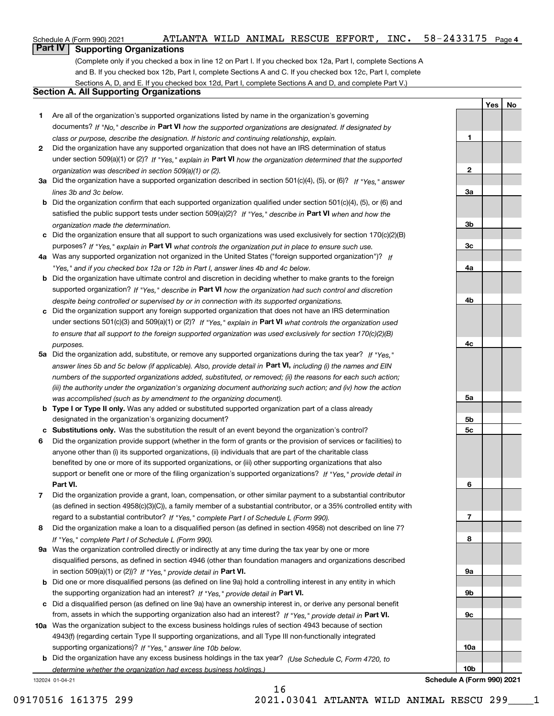132024 01-04-21

# **Part IV Supporting Organizations**

(Complete only if you checked a box in line 12 on Part I. If you checked box 12a, Part I, complete Sections A and B. If you checked box 12b, Part I, complete Sections A and C. If you checked box 12c, Part I, complete Sections A, D, and E. If you checked box 12d, Part I, complete Sections A and D, and complete Part V.)

# **Section A. All Supporting Organizations**

- **1** Are all of the organization's supported organizations listed by name in the organization's governing documents? If "No," describe in Part VI how the supported organizations are designated. If designated by *class or purpose, describe the designation. If historic and continuing relationship, explain.*
- **2** Did the organization have any supported organization that does not have an IRS determination of status under section 509(a)(1) or (2)? If "Yes," explain in Part VI how the organization determined that the supported *organization was described in section 509(a)(1) or (2).*
- **3a** Did the organization have a supported organization described in section 501(c)(4), (5), or (6)? If "Yes," answer *lines 3b and 3c below.*
- **b** Did the organization confirm that each supported organization qualified under section 501(c)(4), (5), or (6) and satisfied the public support tests under section 509(a)(2)? If "Yes," describe in **Part VI** when and how the *organization made the determination.*
- **c** Did the organization ensure that all support to such organizations was used exclusively for section 170(c)(2)(B) purposes? If "Yes," explain in Part VI what controls the organization put in place to ensure such use.
- **4 a** *If* Was any supported organization not organized in the United States ("foreign supported organization")? *"Yes," and if you checked box 12a or 12b in Part I, answer lines 4b and 4c below.*
- **b** Did the organization have ultimate control and discretion in deciding whether to make grants to the foreign supported organization? If "Yes," describe in Part VI how the organization had such control and discretion *despite being controlled or supervised by or in connection with its supported organizations.*
- **c** Did the organization support any foreign supported organization that does not have an IRS determination under sections 501(c)(3) and 509(a)(1) or (2)? If "Yes," explain in Part VI what controls the organization used *to ensure that all support to the foreign supported organization was used exclusively for section 170(c)(2)(B) purposes.*
- **5a** Did the organization add, substitute, or remove any supported organizations during the tax year? If "Yes," answer lines 5b and 5c below (if applicable). Also, provide detail in Part VI, including (i) the names and EIN *numbers of the supported organizations added, substituted, or removed; (ii) the reasons for each such action; (iii) the authority under the organization's organizing document authorizing such action; and (iv) how the action was accomplished (such as by amendment to the organizing document).*
- **b Type I or Type II only.** Was any added or substituted supported organization part of a class already designated in the organization's organizing document?
- **c Substitutions only.**  Was the substitution the result of an event beyond the organization's control?
- **6** Did the organization provide support (whether in the form of grants or the provision of services or facilities) to **Part VI.** *If "Yes," provide detail in* support or benefit one or more of the filing organization's supported organizations? anyone other than (i) its supported organizations, (ii) individuals that are part of the charitable class benefited by one or more of its supported organizations, or (iii) other supporting organizations that also
- **7** Did the organization provide a grant, loan, compensation, or other similar payment to a substantial contributor regard to a substantial contributor? If "Yes," complete Part I of Schedule L (Form 990). (as defined in section 4958(c)(3)(C)), a family member of a substantial contributor, or a 35% controlled entity with
- **8** Did the organization make a loan to a disqualified person (as defined in section 4958) not described on line 7? *If "Yes," complete Part I of Schedule L (Form 990).*
- **9 a** Was the organization controlled directly or indirectly at any time during the tax year by one or more in section 509(a)(1) or (2))? If "Yes," provide detail in Part VI. disqualified persons, as defined in section 4946 (other than foundation managers and organizations described
- **b** Did one or more disqualified persons (as defined on line 9a) hold a controlling interest in any entity in which the supporting organization had an interest? If "Yes," provide detail in Part VI.
- **c** Did a disqualified person (as defined on line 9a) have an ownership interest in, or derive any personal benefit from, assets in which the supporting organization also had an interest? If "Yes," provide detail in Part VI.
- **10 a** Was the organization subject to the excess business holdings rules of section 4943 because of section supporting organizations)? If "Yes," answer line 10b below. 4943(f) (regarding certain Type II supporting organizations, and all Type III non-functionally integrated
	- **b** Did the organization have any excess business holdings in the tax year? (Use Schedule C, Form 4720, to *determine whether the organization had excess business holdings.)*

16

**Schedule A (Form 990) 2021**

**5a 5b 5c 6 7 8 9a 9b 9c 10a 10b**

Yes | No

**1**

**2**

**3a**

**3b**

**3c**

**4a**

**4b**

**4c**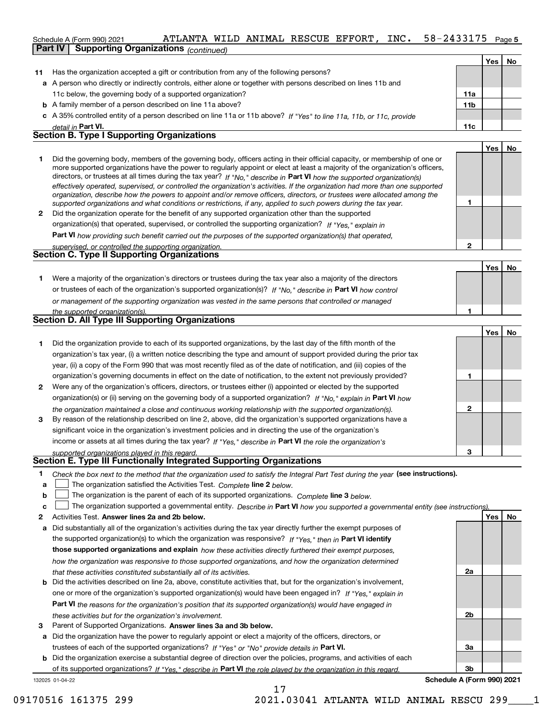#### 58-2433175 Page 5 Schedule A (Form 990) 2021 Page ATLANTA WILD ANIMAL RESCUE EFFORT, INC. 58-2433175 **Part IV | Supporting Organizations** *(continued)*

|    |                                                                                                                            |                 | Yes | <b>No</b> |
|----|----------------------------------------------------------------------------------------------------------------------------|-----------------|-----|-----------|
| 11 | Has the organization accepted a gift or contribution from any of the following persons?                                    |                 |     |           |
|    | a A person who directly or indirectly controls, either alone or together with persons described on lines 11b and           |                 |     |           |
|    | 11c below, the governing body of a supported organization?                                                                 | 11a             |     |           |
|    | <b>b</b> A family member of a person described on line 11a above?                                                          | 11 <sub>b</sub> |     |           |
|    | c A 35% controlled entity of a person described on line 11a or 11b above? If "Yes" to line 11a, 11b, or 11c, provide       |                 |     |           |
|    | detail in Part VI.                                                                                                         | 11c             |     |           |
|    | <b>Section B. Type I Supporting Organizations</b>                                                                          |                 |     |           |
|    |                                                                                                                            |                 | Yes | No        |
|    | Did the governing body, members of the governing body, officers acting in their official capacity, or membership of one or |                 |     |           |

|   | Did the governing body, members of the governing body, onicers acting in their onicial capacity, or membership of one or       |  |
|---|--------------------------------------------------------------------------------------------------------------------------------|--|
|   | more supported organizations have the power to regularly appoint or elect at least a majority of the organization's officers,  |  |
|   | directors, or trustees at all times during the tax year? If "No," describe in Part VI how the supported organization(s)        |  |
|   | effectively operated, supervised, or controlled the organization's activities. If the organization had more than one supported |  |
|   | organization, describe how the powers to appoint and/or remove officers, directors, or trustees were allocated among the       |  |
|   | supported organizations and what conditions or restrictions, if any, applied to such powers during the tax year.               |  |
| 2 | Did the organization operate for the benefit of any supported organization other than the supported                            |  |
|   | organization(s) that operated, supervised, or controlled the supporting organization? If "Yes," explain in                     |  |
|   |                                                                                                                                |  |

**Part VI**  *how providing such benefit carried out the purposes of the supported organization(s) that operated,*

| supervised, or controlled the supporting organization. |  |
|--------------------------------------------------------|--|
| <b>Section C. Type II Supporting Organizations</b>     |  |

Yes | No **1** or trustees of each of the organization's supported organization(s)? If "No," describe in Part VI how control **1** *or management of the supporting organization was vested in the same persons that controlled or managed the supported organization(s).* Were a majority of the organization's directors or trustees during the tax year also a majority of the directors

|   | Section D. All Type III Supporting Organizations                                                                       |   |  |  |  |  |
|---|------------------------------------------------------------------------------------------------------------------------|---|--|--|--|--|
|   |                                                                                                                        |   |  |  |  |  |
|   | Did the organization provide to each of its supported organizations, by the last day of the fifth month of the         |   |  |  |  |  |
|   | organization's tax year, (i) a written notice describing the type and amount of support provided during the prior tax  |   |  |  |  |  |
|   | year, (ii) a copy of the Form 990 that was most recently filed as of the date of notification, and (iii) copies of the |   |  |  |  |  |
|   | organization's governing documents in effect on the date of notification, to the extent not previously provided?       |   |  |  |  |  |
| 2 | Were any of the organization's officers, directors, or trustees either (i) appointed or elected by the supported       |   |  |  |  |  |
|   | organization(s) or (ii) serving on the governing body of a supported organization? If "No." explain in Part VI how     |   |  |  |  |  |
|   | the organization maintained a close and continuous working relationship with the supported organization(s).            | ּ |  |  |  |  |
| з | By reason of the relationship described on line 2, above, did the organization's supported organizations have a        |   |  |  |  |  |
|   | significant voice in the organization's investment policies and in directing the use of the organization's             |   |  |  |  |  |

income or assets at all times during the tax year? If "Yes," describe in Part VI the role the organization's *supported organizations played in this regard.*

# **Section E. Type III Functionally Integrated Supporting Organizations**

- **1** Check the box next to the method that the organization used to satisfy the Integral Part Test during the year (see instructions).
- **a The organization satisfied the Activities Test.** Complete line 2 below.
- **b** The organization is the parent of each of its supported organizations. Complete line 3 below.

|  |  | The organization supported a governmental entity. Describe in Part VI how you supported a governmental entity (see instructions). |  |  |
|--|--|-----------------------------------------------------------------------------------------------------------------------------------|--|--|
|--|--|-----------------------------------------------------------------------------------------------------------------------------------|--|--|

- **2 Answer lines 2a and 2b below. Yes No** Activities Test.
- **a** Did substantially all of the organization's activities during the tax year directly further the exempt purposes of the supported organization(s) to which the organization was responsive? If "Yes," then in **Part VI identify those supported organizations and explain**  *how these activities directly furthered their exempt purposes, how the organization was responsive to those supported organizations, and how the organization determined that these activities constituted substantially all of its activities.*
- **b** Did the activities described on line 2a, above, constitute activities that, but for the organization's involvement, **Part VI**  *the reasons for the organization's position that its supported organization(s) would have engaged in* one or more of the organization's supported organization(s) would have been engaged in? If "Yes," explain in *these activities but for the organization's involvement.*
- 3 Parent of Supported Organizations. Answer lines 3a and 3b below.

**a** Did the organization have the power to regularly appoint or elect a majority of the officers, directors, or trustees of each of the supported organizations? If "Yes" or "No" provide details in Part VI.

**b** Did the organization exercise a substantial degree of direction over the policies, programs, and activities of each of its supported organizations? If "Yes," describe in Part VI the role played by the organization in this regard.

**2a 2b 3a 3b Schedule A (Form 990) 2021**

**2**

**3**

<u>**Yes**</u> | No

132025 01-04-22

17 09170516 161375 299 2021.03041 ATLANTA WILD ANIMAL RESCU 299\_\_\_\_1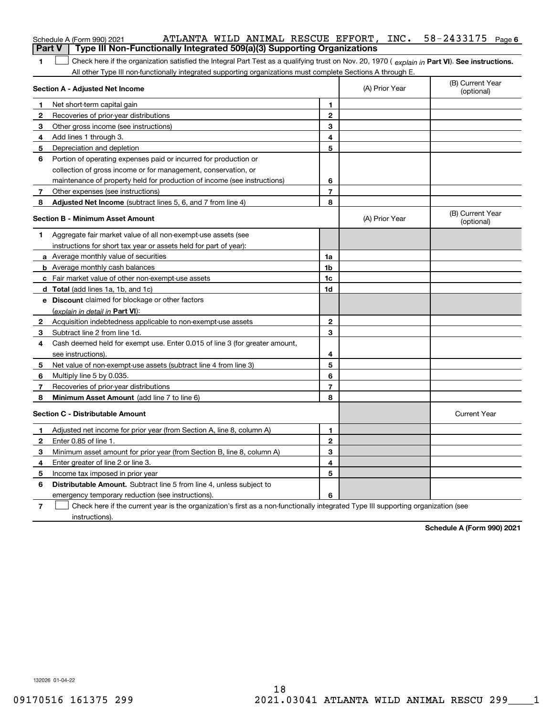|               | ATLANTA WILD ANIMAL RESCUE EFFORT, INC.<br>Schedule A (Form 990) 2021                                                                                                                                                                                         |                |                | 58-2433175<br>Page 6           |
|---------------|---------------------------------------------------------------------------------------------------------------------------------------------------------------------------------------------------------------------------------------------------------------|----------------|----------------|--------------------------------|
| <b>Part V</b> | Type III Non-Functionally Integrated 509(a)(3) Supporting Organizations                                                                                                                                                                                       |                |                |                                |
| 1             | Check here if the organization satisfied the Integral Part Test as a qualifying trust on Nov. 20, 1970 (explain in Part VI). See instructions.<br>All other Type III non-functionally integrated supporting organizations must complete Sections A through E. |                |                |                                |
|               | <b>Section A - Adjusted Net Income</b>                                                                                                                                                                                                                        |                | (A) Prior Year | (B) Current Year<br>(optional) |
| 1             | Net short-term capital gain                                                                                                                                                                                                                                   | 1              |                |                                |
| 2             | Recoveries of prior-year distributions                                                                                                                                                                                                                        | $\mathbf{2}$   |                |                                |
| 3             | Other gross income (see instructions)                                                                                                                                                                                                                         | 3              |                |                                |
| 4             | Add lines 1 through 3.                                                                                                                                                                                                                                        | 4              |                |                                |
| 5             | Depreciation and depletion                                                                                                                                                                                                                                    | 5              |                |                                |
| 6             | Portion of operating expenses paid or incurred for production or                                                                                                                                                                                              |                |                |                                |
|               | collection of gross income or for management, conservation, or                                                                                                                                                                                                |                |                |                                |
|               | maintenance of property held for production of income (see instructions)                                                                                                                                                                                      | 6              |                |                                |
| 7             | Other expenses (see instructions)                                                                                                                                                                                                                             | $\overline{7}$ |                |                                |
| 8             | Adjusted Net Income (subtract lines 5, 6, and 7 from line 4)                                                                                                                                                                                                  | 8              |                |                                |
|               | <b>Section B - Minimum Asset Amount</b>                                                                                                                                                                                                                       |                | (A) Prior Year | (B) Current Year<br>(optional) |
| 1             | Aggregate fair market value of all non-exempt-use assets (see                                                                                                                                                                                                 |                |                |                                |
|               | instructions for short tax year or assets held for part of year):                                                                                                                                                                                             |                |                |                                |
|               | a Average monthly value of securities                                                                                                                                                                                                                         | 1a             |                |                                |
|               | <b>b</b> Average monthly cash balances                                                                                                                                                                                                                        | 1b             |                |                                |
|               | c Fair market value of other non-exempt-use assets                                                                                                                                                                                                            | 1c             |                |                                |
|               | d Total (add lines 1a, 1b, and 1c)                                                                                                                                                                                                                            | 1d             |                |                                |
|               | e Discount claimed for blockage or other factors                                                                                                                                                                                                              |                |                |                                |
|               | (explain in detail in Part VI):                                                                                                                                                                                                                               |                |                |                                |
| 2             | Acquisition indebtedness applicable to non-exempt-use assets                                                                                                                                                                                                  | $\mathbf{2}$   |                |                                |
| 3             | Subtract line 2 from line 1d.                                                                                                                                                                                                                                 | 3              |                |                                |
| 4             | Cash deemed held for exempt use. Enter 0.015 of line 3 (for greater amount,                                                                                                                                                                                   |                |                |                                |
|               | see instructions).                                                                                                                                                                                                                                            | 4              |                |                                |
| 5             | Net value of non-exempt-use assets (subtract line 4 from line 3)                                                                                                                                                                                              | 5              |                |                                |
| 6             | Multiply line 5 by 0.035.                                                                                                                                                                                                                                     | 6              |                |                                |
| 7             | Recoveries of prior-year distributions                                                                                                                                                                                                                        | $\overline{7}$ |                |                                |
| 8             | Minimum Asset Amount (add line 7 to line 6)                                                                                                                                                                                                                   | 8              |                |                                |
|               | <b>Section C - Distributable Amount</b>                                                                                                                                                                                                                       |                |                | <b>Current Year</b>            |
|               | Adjusted net income for prior year (from Section A, line 8, column A)                                                                                                                                                                                         | 1              |                |                                |
| 2             | Enter 0.85 of line 1.                                                                                                                                                                                                                                         | 2              |                |                                |
| 3             | Minimum asset amount for prior year (from Section B, line 8, column A)                                                                                                                                                                                        | 3              |                |                                |
| 4             | Enter greater of line 2 or line 3.                                                                                                                                                                                                                            | 4              |                |                                |
| 5             | Income tax imposed in prior year                                                                                                                                                                                                                              | 5              |                |                                |
| 6             | Distributable Amount. Subtract line 5 from line 4, unless subject to                                                                                                                                                                                          |                |                |                                |
|               | emergency temporary reduction (see instructions).                                                                                                                                                                                                             | 6              |                |                                |
| 7             | Check here if the current year is the organization's first as a non-functionally integrated Type III supporting organization (see                                                                                                                             |                |                |                                |

**Schedule A (Form 990) 2021**

132026 01-04-22

instructions).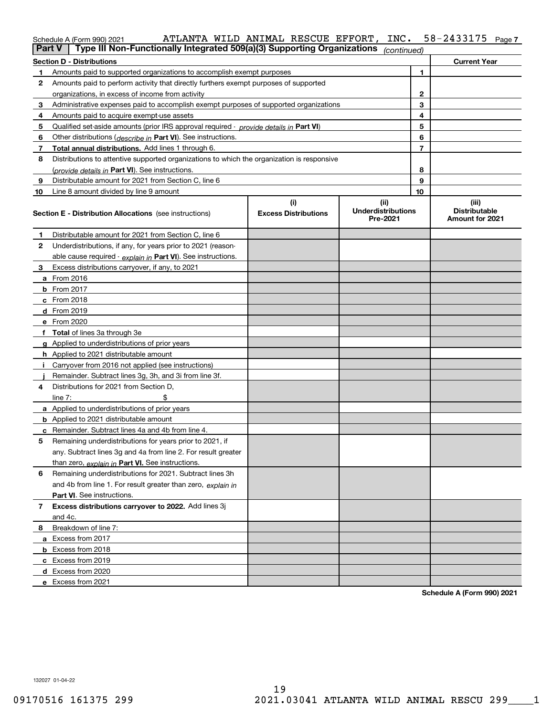| $\sim$ | ATLANTA WILD ANIMAL RESCUE EFFORT, INC. |  |  | 58-2433175 | Page 7 |
|--------|-----------------------------------------|--|--|------------|--------|
|        |                                         |  |  |            |        |

|               | Schedule A (Form 990) 2021                                                                 | ATLANTA WILD ANIMAL RESCUE EFFORT, | INC.                                          |                | 58-2433175<br>Page 7                             |
|---------------|--------------------------------------------------------------------------------------------|------------------------------------|-----------------------------------------------|----------------|--------------------------------------------------|
| <b>Part V</b> | Type III Non-Functionally Integrated 509(a)(3) Supporting Organizations                    |                                    | (continued)                                   |                |                                                  |
|               | <b>Section D - Distributions</b>                                                           |                                    |                                               |                | <b>Current Year</b>                              |
| 1             | Amounts paid to supported organizations to accomplish exempt purposes                      |                                    |                                               | 1              |                                                  |
| 2             | Amounts paid to perform activity that directly furthers exempt purposes of supported       |                                    |                                               |                |                                                  |
|               | organizations, in excess of income from activity                                           |                                    |                                               | $\mathbf{2}$   |                                                  |
| 3             | Administrative expenses paid to accomplish exempt purposes of supported organizations      |                                    |                                               | 3              |                                                  |
| 4             | Amounts paid to acquire exempt-use assets                                                  |                                    |                                               | 4              |                                                  |
| 5             | Qualified set-aside amounts (prior IRS approval required - provide details in Part VI)     |                                    |                                               | 5              |                                                  |
| 6             | Other distributions (describe in Part VI). See instructions.                               |                                    |                                               | 6              |                                                  |
| 7             | Total annual distributions. Add lines 1 through 6.                                         |                                    |                                               | $\overline{7}$ |                                                  |
| 8             | Distributions to attentive supported organizations to which the organization is responsive |                                    |                                               |                |                                                  |
|               | (provide details in Part VI). See instructions.                                            |                                    |                                               | 8              |                                                  |
| 9             | Distributable amount for 2021 from Section C, line 6                                       |                                    |                                               | 9              |                                                  |
| 10            | Line 8 amount divided by line 9 amount                                                     |                                    |                                               | 10             |                                                  |
|               | <b>Section E - Distribution Allocations</b> (see instructions)                             | (i)<br><b>Excess Distributions</b> | (ii)<br><b>Underdistributions</b><br>Pre-2021 |                | (iii)<br><b>Distributable</b><br>Amount for 2021 |
| 1             | Distributable amount for 2021 from Section C, line 6                                       |                                    |                                               |                |                                                  |
| 2             | Underdistributions, if any, for years prior to 2021 (reason-                               |                                    |                                               |                |                                                  |
|               | able cause required - explain in Part VI). See instructions.                               |                                    |                                               |                |                                                  |
| 3             | Excess distributions carryover, if any, to 2021                                            |                                    |                                               |                |                                                  |
|               | a From 2016                                                                                |                                    |                                               |                |                                                  |
|               | <b>b</b> From 2017                                                                         |                                    |                                               |                |                                                  |
|               | c From 2018                                                                                |                                    |                                               |                |                                                  |
|               | d From 2019                                                                                |                                    |                                               |                |                                                  |
|               | e From 2020                                                                                |                                    |                                               |                |                                                  |
|               | f Total of lines 3a through 3e                                                             |                                    |                                               |                |                                                  |
|               | g Applied to underdistributions of prior years                                             |                                    |                                               |                |                                                  |
|               | <b>h</b> Applied to 2021 distributable amount                                              |                                    |                                               |                |                                                  |
| Ť.            | Carryover from 2016 not applied (see instructions)                                         |                                    |                                               |                |                                                  |
|               | Remainder. Subtract lines 3g, 3h, and 3i from line 3f.                                     |                                    |                                               |                |                                                  |
| 4             | Distributions for 2021 from Section D,                                                     |                                    |                                               |                |                                                  |
|               | line $7:$                                                                                  |                                    |                                               |                |                                                  |
|               | a Applied to underdistributions of prior years                                             |                                    |                                               |                |                                                  |
|               | <b>b</b> Applied to 2021 distributable amount                                              |                                    |                                               |                |                                                  |
|               | c Remainder. Subtract lines 4a and 4b from line 4.                                         |                                    |                                               |                |                                                  |
|               | 5 Remaining underdistributions for years prior to 2021, if                                 |                                    |                                               |                |                                                  |
|               | any. Subtract lines 3g and 4a from line 2. For result greater                              |                                    |                                               |                |                                                  |
|               | than zero, explain in Part VI. See instructions.                                           |                                    |                                               |                |                                                  |
| 6             | Remaining underdistributions for 2021. Subtract lines 3h                                   |                                    |                                               |                |                                                  |
|               | and 4b from line 1. For result greater than zero, explain in                               |                                    |                                               |                |                                                  |
|               | <b>Part VI.</b> See instructions.                                                          |                                    |                                               |                |                                                  |
| 7             | Excess distributions carryover to 2022. Add lines 3j                                       |                                    |                                               |                |                                                  |
|               | and 4c.                                                                                    |                                    |                                               |                |                                                  |
| 8             | Breakdown of line 7:                                                                       |                                    |                                               |                |                                                  |
|               | a Excess from 2017                                                                         |                                    |                                               |                |                                                  |
|               | <b>b</b> Excess from 2018                                                                  |                                    |                                               |                |                                                  |
|               | c Excess from 2019                                                                         |                                    |                                               |                |                                                  |
|               | d Excess from 2020                                                                         |                                    |                                               |                |                                                  |
|               | e Excess from 2021                                                                         |                                    |                                               |                |                                                  |

**Schedule A (Form 990) 2021**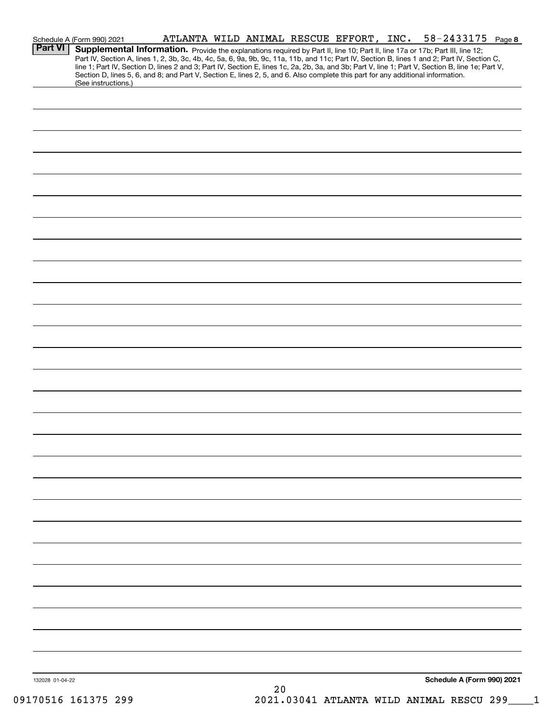|                 | Schedule A (Form 990) 2021                                                                                                                                                                                                                                                                                                                                                                                                        | ATLANTA WILD ANIMAL RESCUE EFFORT, INC. |          |  | $58 - 2433175$ Page 8      |  |
|-----------------|-----------------------------------------------------------------------------------------------------------------------------------------------------------------------------------------------------------------------------------------------------------------------------------------------------------------------------------------------------------------------------------------------------------------------------------|-----------------------------------------|----------|--|----------------------------|--|
| Part VI         | Supplemental Information. Provide the explanations required by Part II, line 10; Part II, line 17a or 17b; Part III, line 12;<br>Part IV, Section A, lines 1, 2, 3b, 3c, 4b, 4c, 5a, 6, 9a, 9b, 9c, 11a, 11b, and 11c; Part IV, Section B, lines 1 and 2; Part IV, Section C,<br>line 1; Part IV, Section D, lines 2 and 3; Part IV, Section E, lines 1c, 2a, 2b, 3a, and 3b; Part V, line 1; Part V, Section B, line 1e; Part V, |                                         |          |  |                            |  |
|                 | Section D, lines 5, 6, and 8; and Part V, Section E, lines 2, 5, and 6. Also complete this part for any additional information.<br>(See instructions.)                                                                                                                                                                                                                                                                            |                                         |          |  |                            |  |
|                 |                                                                                                                                                                                                                                                                                                                                                                                                                                   |                                         |          |  |                            |  |
|                 |                                                                                                                                                                                                                                                                                                                                                                                                                                   |                                         |          |  |                            |  |
|                 |                                                                                                                                                                                                                                                                                                                                                                                                                                   |                                         |          |  |                            |  |
|                 |                                                                                                                                                                                                                                                                                                                                                                                                                                   |                                         |          |  |                            |  |
|                 |                                                                                                                                                                                                                                                                                                                                                                                                                                   |                                         |          |  |                            |  |
|                 |                                                                                                                                                                                                                                                                                                                                                                                                                                   |                                         |          |  |                            |  |
|                 |                                                                                                                                                                                                                                                                                                                                                                                                                                   |                                         |          |  |                            |  |
|                 |                                                                                                                                                                                                                                                                                                                                                                                                                                   |                                         |          |  |                            |  |
|                 |                                                                                                                                                                                                                                                                                                                                                                                                                                   |                                         |          |  |                            |  |
|                 |                                                                                                                                                                                                                                                                                                                                                                                                                                   |                                         |          |  |                            |  |
|                 |                                                                                                                                                                                                                                                                                                                                                                                                                                   |                                         |          |  |                            |  |
|                 |                                                                                                                                                                                                                                                                                                                                                                                                                                   |                                         |          |  |                            |  |
|                 |                                                                                                                                                                                                                                                                                                                                                                                                                                   |                                         |          |  |                            |  |
|                 |                                                                                                                                                                                                                                                                                                                                                                                                                                   |                                         |          |  |                            |  |
|                 |                                                                                                                                                                                                                                                                                                                                                                                                                                   |                                         |          |  |                            |  |
|                 |                                                                                                                                                                                                                                                                                                                                                                                                                                   |                                         |          |  |                            |  |
|                 |                                                                                                                                                                                                                                                                                                                                                                                                                                   |                                         |          |  |                            |  |
|                 |                                                                                                                                                                                                                                                                                                                                                                                                                                   |                                         |          |  |                            |  |
|                 |                                                                                                                                                                                                                                                                                                                                                                                                                                   |                                         |          |  |                            |  |
|                 |                                                                                                                                                                                                                                                                                                                                                                                                                                   |                                         |          |  |                            |  |
|                 |                                                                                                                                                                                                                                                                                                                                                                                                                                   |                                         |          |  |                            |  |
|                 |                                                                                                                                                                                                                                                                                                                                                                                                                                   |                                         |          |  |                            |  |
|                 |                                                                                                                                                                                                                                                                                                                                                                                                                                   |                                         |          |  |                            |  |
|                 |                                                                                                                                                                                                                                                                                                                                                                                                                                   |                                         |          |  |                            |  |
|                 |                                                                                                                                                                                                                                                                                                                                                                                                                                   |                                         |          |  |                            |  |
|                 |                                                                                                                                                                                                                                                                                                                                                                                                                                   |                                         |          |  |                            |  |
|                 |                                                                                                                                                                                                                                                                                                                                                                                                                                   |                                         |          |  |                            |  |
|                 |                                                                                                                                                                                                                                                                                                                                                                                                                                   |                                         |          |  |                            |  |
| 132028 01-04-22 |                                                                                                                                                                                                                                                                                                                                                                                                                                   |                                         | $\Omega$ |  | Schedule A (Form 990) 2021 |  |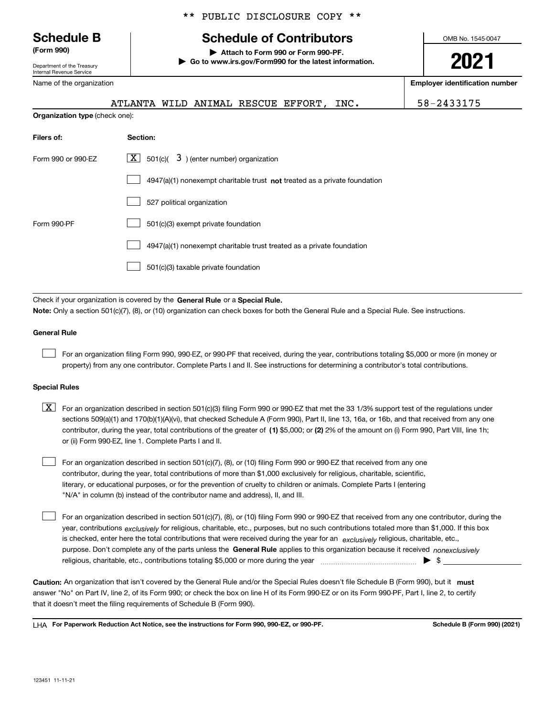Department of the Treasury Internal Revenue Service

Name of the organization

# \*\* PUBLIC DISCLOSURE COPY \*\*

# **Schedule B Schedule of Contributors**

**(Form 990) | Attach to Form 990 or Form 990-PF. | Go to www.irs.gov/Form990 for the latest information.** OMB No. 1545-0047

# **2021**

**Employer identification number**

|                                       | ATLANTA WILD ANIMAL RESCUE EFFORT, |  |  | INC. | 58-2433175 |
|---------------------------------------|------------------------------------|--|--|------|------------|
| <b>Organization type (check one):</b> |                                    |  |  |      |            |

| Section:                                                                    |
|-----------------------------------------------------------------------------|
| $\lfloor x \rfloor$ 501(c)( 3) (enter number) organization                  |
| $4947(a)(1)$ nonexempt charitable trust not treated as a private foundation |
| 527 political organization                                                  |
| 501(c)(3) exempt private foundation                                         |
| 4947(a)(1) nonexempt charitable trust treated as a private foundation       |
| 501(c)(3) taxable private foundation                                        |
|                                                                             |

Check if your organization is covered by the General Rule or a Special Rule. **Note:**  Only a section 501(c)(7), (8), or (10) organization can check boxes for both the General Rule and a Special Rule. See instructions.

## **General Rule**

 $\begin{array}{c} \hline \end{array}$ 

For an organization filing Form 990, 990-EZ, or 990-PF that received, during the year, contributions totaling \$5,000 or more (in money or property) from any one contributor. Complete Parts I and II. See instructions for determining a contributor's total contributions.

## **Special Rules**

contributor, during the year, total contributions of the greater of (1) \$5,000; or (2) 2% of the amount on (i) Form 990, Part VIII, line 1h;  $\boxed{\textbf{X}}$  For an organization described in section 501(c)(3) filing Form 990 or 990-EZ that met the 33 1/3% support test of the regulations under sections 509(a)(1) and 170(b)(1)(A)(vi), that checked Schedule A (Form 990), Part II, line 13, 16a, or 16b, and that received from any one or (ii) Form 990-EZ, line 1. Complete Parts I and II.

For an organization described in section 501(c)(7), (8), or (10) filing Form 990 or 990-EZ that received from any one contributor, during the year, total contributions of more than \$1,000 exclusively for religious, charitable, scientific, literary, or educational purposes, or for the prevention of cruelty to children or animals. Complete Parts I (entering "N/A" in column (b) instead of the contributor name and address), II, and III.  $\begin{array}{c} \hline \end{array}$ 

purpose. Don't complete any of the parts unless the General Rule applies to this organization because it received *nonexclusively* year, contributions <sub>exclusively</sub> for religious, charitable, etc., purposes, but no such contributions totaled more than \$1,000. If this box is checked, enter here the total contributions that were received during the year for an *exclusively* religious, charitable, etc., For an organization described in section 501(c)(7), (8), or (10) filing Form 990 or 990-EZ that received from any one contributor, during the religious, charitable, etc., contributions totaling \$5,000 or more during the year ~~~~~~~~~~~~~~~ | \$  $\begin{array}{c} \hline \end{array}$ 

Caution: An organization that isn't covered by the General Rule and/or the Special Rules doesn't file Schedule B (Form 990), but it must answer "No" on Part IV, line 2, of its Form 990; or check the box on line H of its Form 990-EZ or on its Form 990-PF, Part I, line 2, to certify that it doesn't meet the filing requirements of Schedule B (Form 990).

**For Paperwork Reduction Act Notice, see the instructions for Form 990, 990-EZ, or 990-PF. Schedule B (Form 990) (2021)** LHA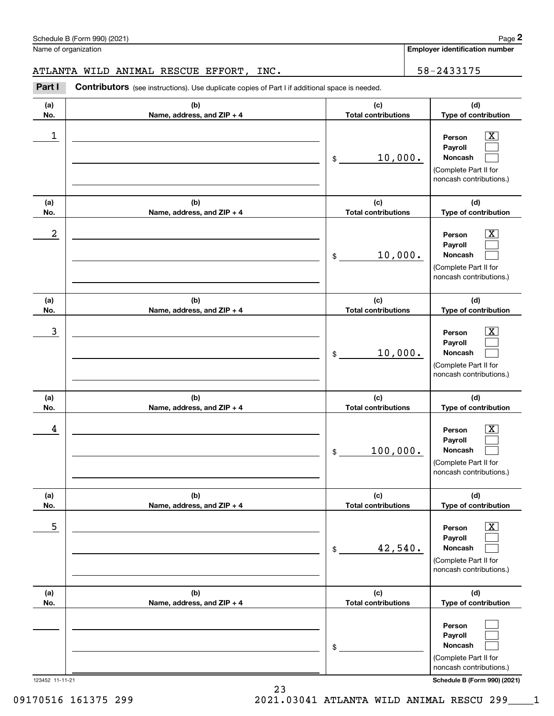**(a) No.**

# ATLANTA WILD ANIMAL RESCUE EFFORT, INC.  $\vert$  58-2433175

**(b) Name, address, and ZIP + 4**

**Part I** Contributors (see instructions). Use duplicate copies of Part I if additional space is needed.

**Person Payroll Noncash (a) No. (b) Name, address, and ZIP + 4 (c) Total contributions (d) Type of contribution Person Payroll Noncash (a) No. (b) Name, address, and ZIP + 4 (c) Total contributions (d) Type of contribution Person Payroll Noncash (a) No. (b) Name, address, and ZIP + 4 (c) Total contributions (d) Type of contribution Person Payroll Noncash (a) No. (b) Name, address, and ZIP + 4 (c) Total contributions Person** \$ (Complete Part II for noncash contributions.) \$ (Complete Part II for noncash contributions.) \$ (Complete Part II for noncash contributions.) \$ 1 X 10,000.  $2$  Person  $\overline{\text{X}}$ 10,000. 3 X 10,000. 4 X 100,000.

|     |                              | 100,000.<br>\$             | Noncash                                                                          |
|-----|------------------------------|----------------------------|----------------------------------------------------------------------------------|
|     |                              |                            | (Complete Part II for                                                            |
|     |                              |                            | noncash contributions.)                                                          |
| (a) | (b)                          | (c)                        | (d)                                                                              |
| No. | Name, address, and ZIP + 4   | <b>Total contributions</b> | Type of contribution                                                             |
| 5   |                              |                            | $\vert X \vert$<br>Person                                                        |
|     |                              | 42,540.<br>\$              | Payroll<br>Noncash                                                               |
|     |                              |                            | (Complete Part II for<br>noncash contributions.)                                 |
| (a) | (b)                          | (c)                        | (d)                                                                              |
| No. | Name, address, and $ZIP + 4$ | <b>Total contributions</b> | Type of contribution                                                             |
|     |                              | \$                         | Person<br>Payroll<br>Noncash<br>(Complete Part II for<br>noncash contributions.) |

## 123452 11-11-21 **Schedule B (Form 990) (2021)**

**Employer identification number**

**(d) Type of contribution**

> $\boxed{\text{X}}$  $\begin{array}{c} \hline \end{array}$  $\begin{array}{c} \hline \end{array}$

> $\boxed{\text{X}}$  $\begin{array}{c} \hline \end{array}$  $\begin{array}{c} \hline \end{array}$

> $\boxed{\text{X}}$  $\begin{array}{c} \hline \end{array}$  $\begin{array}{c} \hline \end{array}$

> $\boxed{\text{X}}$  $\begin{array}{c} \hline \end{array}$

**(c) Total contributions**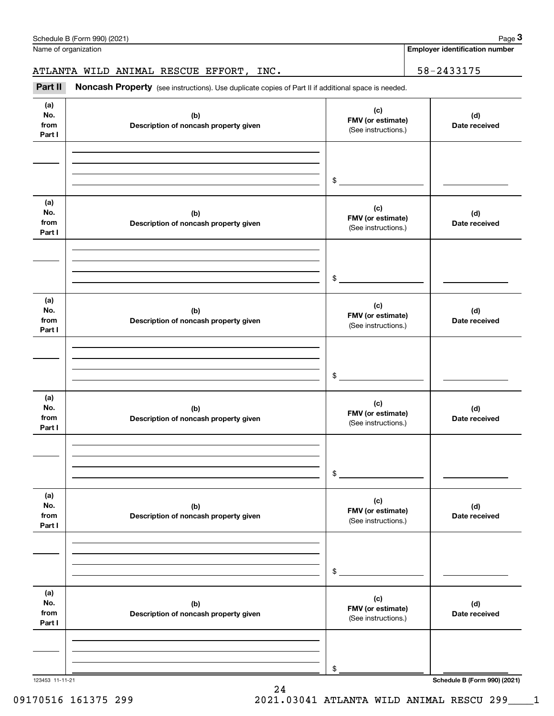| Part II                      | Noncash Property (see instructions). Use duplicate copies of Part II if additional space is needed. |                                                 |                                     |
|------------------------------|-----------------------------------------------------------------------------------------------------|-------------------------------------------------|-------------------------------------|
| (a)<br>No.<br>from<br>Part I | (b)<br>Description of noncash property given                                                        | (c)<br>FMV (or estimate)<br>(See instructions.) | (d)<br>Date received                |
|                              |                                                                                                     | $\frac{1}{2}$                                   |                                     |
| (a)<br>No.<br>from<br>Part I | (b)<br>Description of noncash property given                                                        | (c)<br>FMV (or estimate)<br>(See instructions.) | (d)<br>Date received                |
|                              |                                                                                                     | $\frac{1}{2}$                                   |                                     |
| (a)<br>No.<br>from<br>Part I | (b)<br>Description of noncash property given                                                        | (c)<br>FMV (or estimate)<br>(See instructions.) | (d)<br>Date received                |
|                              |                                                                                                     | $\frac{1}{2}$                                   |                                     |
| (a)<br>No.<br>from<br>Part I | (b)<br>Description of noncash property given                                                        | (c)<br>FMV (or estimate)<br>(See instructions.) | (d)<br>Date received                |
|                              |                                                                                                     | \$                                              |                                     |
| (a)<br>No.<br>from<br>Part I | (b)<br>Description of noncash property given                                                        | (c)<br>FMV (or estimate)<br>(See instructions.) | (d)<br>Date received                |
|                              |                                                                                                     | \$                                              |                                     |
| (a)<br>No.<br>from<br>Part I | (b)<br>Description of noncash property given                                                        | (c)<br>FMV (or estimate)<br>(See instructions.) | (d)<br>Date received                |
| 123453 11-11-21              |                                                                                                     | \$                                              | <b>Schedule B (Form 990) (2021)</b> |

24

ATLANTA WILD ANIMAL RESCUE EFFORT, INC.  $\vert$  58-2433175

Name of organization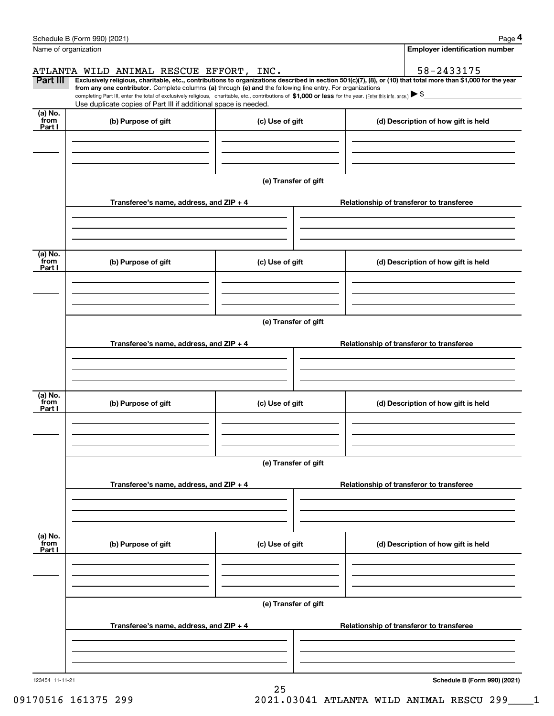|                           | Schedule B (Form 990) (2021)<br>Name of organization                                                                                                                          |                      | Page 4<br><b>Employer identification number</b>                                                                                                                                                                                                                                                                                                     |  |  |  |  |  |
|---------------------------|-------------------------------------------------------------------------------------------------------------------------------------------------------------------------------|----------------------|-----------------------------------------------------------------------------------------------------------------------------------------------------------------------------------------------------------------------------------------------------------------------------------------------------------------------------------------------------|--|--|--|--|--|
|                           |                                                                                                                                                                               |                      |                                                                                                                                                                                                                                                                                                                                                     |  |  |  |  |  |
|                           | ATLANTA WILD ANIMAL RESCUE EFFORT, INC.                                                                                                                                       |                      | 58-2433175                                                                                                                                                                                                                                                                                                                                          |  |  |  |  |  |
| Part III                  | from any one contributor. Complete columns (a) through (e) and the following line entry. For organizations<br>Use duplicate copies of Part III if additional space is needed. |                      | Exclusively religious, charitable, etc., contributions to organizations described in section 501(c)(7), (8), or (10) that total more than \$1,000 for the year<br>completing Part III, enter the total of exclusively religious, charitable, etc., contributions of \$1,000 or less for the year. (Enter this info. once.) $\blacktriangleright$ \$ |  |  |  |  |  |
| (a) No.<br>from<br>Part I | (b) Purpose of gift                                                                                                                                                           | (c) Use of gift      | (d) Description of how gift is held                                                                                                                                                                                                                                                                                                                 |  |  |  |  |  |
|                           |                                                                                                                                                                               |                      |                                                                                                                                                                                                                                                                                                                                                     |  |  |  |  |  |
|                           |                                                                                                                                                                               | (e) Transfer of gift |                                                                                                                                                                                                                                                                                                                                                     |  |  |  |  |  |
|                           | Transferee's name, address, and $ZIP + 4$                                                                                                                                     |                      | Relationship of transferor to transferee                                                                                                                                                                                                                                                                                                            |  |  |  |  |  |
|                           |                                                                                                                                                                               |                      |                                                                                                                                                                                                                                                                                                                                                     |  |  |  |  |  |
| (a) No.<br>from<br>Part I | (b) Purpose of gift                                                                                                                                                           | (c) Use of gift      | (d) Description of how gift is held                                                                                                                                                                                                                                                                                                                 |  |  |  |  |  |
|                           |                                                                                                                                                                               |                      |                                                                                                                                                                                                                                                                                                                                                     |  |  |  |  |  |
|                           |                                                                                                                                                                               | (e) Transfer of gift |                                                                                                                                                                                                                                                                                                                                                     |  |  |  |  |  |
|                           | Transferee's name, address, and ZIP + 4                                                                                                                                       |                      | Relationship of transferor to transferee                                                                                                                                                                                                                                                                                                            |  |  |  |  |  |
|                           |                                                                                                                                                                               |                      |                                                                                                                                                                                                                                                                                                                                                     |  |  |  |  |  |
| (a) No.<br>from<br>Part I | (b) Purpose of gift                                                                                                                                                           | (c) Use of gift      | (d) Description of how gift is held                                                                                                                                                                                                                                                                                                                 |  |  |  |  |  |
|                           |                                                                                                                                                                               |                      |                                                                                                                                                                                                                                                                                                                                                     |  |  |  |  |  |
|                           |                                                                                                                                                                               | (e) Transfer of gift |                                                                                                                                                                                                                                                                                                                                                     |  |  |  |  |  |
|                           | Transferee's name, address, and $ZIP + 4$                                                                                                                                     |                      | Relationship of transferor to transferee                                                                                                                                                                                                                                                                                                            |  |  |  |  |  |
|                           |                                                                                                                                                                               |                      |                                                                                                                                                                                                                                                                                                                                                     |  |  |  |  |  |
| (a) No.<br>from<br>Part I | (b) Purpose of gift                                                                                                                                                           | (c) Use of gift      | (d) Description of how gift is held                                                                                                                                                                                                                                                                                                                 |  |  |  |  |  |
|                           |                                                                                                                                                                               |                      |                                                                                                                                                                                                                                                                                                                                                     |  |  |  |  |  |
|                           |                                                                                                                                                                               | (e) Transfer of gift |                                                                                                                                                                                                                                                                                                                                                     |  |  |  |  |  |
|                           | Transferee's name, address, and $ZIP + 4$                                                                                                                                     |                      | Relationship of transferor to transferee                                                                                                                                                                                                                                                                                                            |  |  |  |  |  |
|                           |                                                                                                                                                                               |                      |                                                                                                                                                                                                                                                                                                                                                     |  |  |  |  |  |
| 123454 11-11-21           |                                                                                                                                                                               |                      | Schedule B (Form 990) (2021)                                                                                                                                                                                                                                                                                                                        |  |  |  |  |  |

25 09170516 161375 299 2021.03041 ATLANTA WILD ANIMAL RESCU 299 1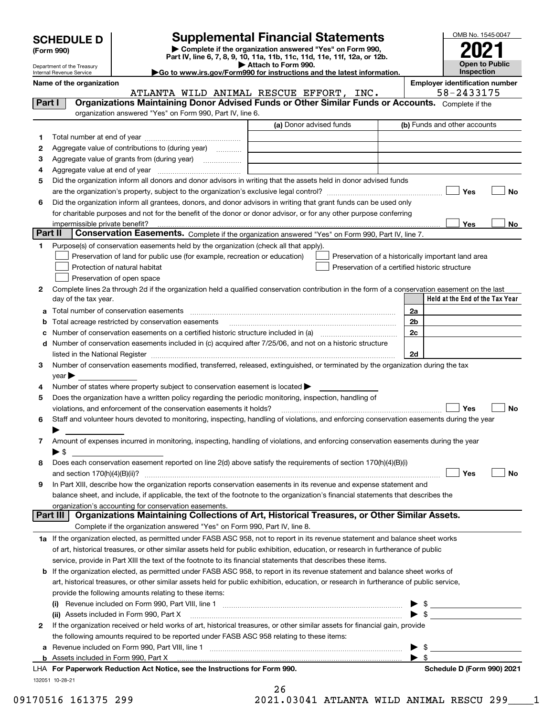| <b>SCHEDULE D</b> |
|-------------------|
|-------------------|

Department of the Treasury Internal Revenue Service

| (Form 990) |  |
|------------|--|
|------------|--|

**| Complete if the organization answered "Yes" on Form 990, Part IV, line 6, 7, 8, 9, 10, 11a, 11b, 11c, 11d, 11e, 11f, 12a, or 12b. | Attach to Form 990. SCHEDULE D Supplemental Financial Statements**<br> **Form 990) Complete if the organization answered "Yes" on Form 990, 2021**<br>
Part IV, line 6, 7, 8, 9, 10, 11a, 11b, 11c, 11d, 11e, 11f, 12a, or 12b.

OMB No. 1545-0047 **Open to Public Inspection**

|  |  |  | Go to www.irs.gov/Form990 for instructions and the latest information. |  |  |  |
|--|--|--|------------------------------------------------------------------------|--|--|--|
|  |  |  |                                                                        |  |  |  |

|         | Name of the organization<br>ATLANTA WILD ANIMAL RESCUE EFFORT, INC.                                                                                                                                                                     | <b>Employer identification number</b><br>58-2433175 |
|---------|-----------------------------------------------------------------------------------------------------------------------------------------------------------------------------------------------------------------------------------------|-----------------------------------------------------|
| Part I  | Organizations Maintaining Donor Advised Funds or Other Similar Funds or Accounts. Complete if the                                                                                                                                       |                                                     |
|         | organization answered "Yes" on Form 990, Part IV, line 6.                                                                                                                                                                               |                                                     |
|         | (a) Donor advised funds                                                                                                                                                                                                                 | (b) Funds and other accounts                        |
| 1.      |                                                                                                                                                                                                                                         |                                                     |
| 2       | Aggregate value of contributions to (during year)                                                                                                                                                                                       |                                                     |
| з       | Aggregate value of grants from (during year)                                                                                                                                                                                            |                                                     |
| 4       |                                                                                                                                                                                                                                         |                                                     |
|         | Did the organization inform all donors and donor advisors in writing that the assets held in donor advised funds                                                                                                                        |                                                     |
| 5       |                                                                                                                                                                                                                                         | <b>Yes</b><br>No                                    |
|         |                                                                                                                                                                                                                                         |                                                     |
| 6       | Did the organization inform all grantees, donors, and donor advisors in writing that grant funds can be used only<br>for charitable purposes and not for the benefit of the donor or donor advisor, or for any other purpose conferring |                                                     |
|         |                                                                                                                                                                                                                                         | Yes<br>No                                           |
| Part II | <b>Conservation Easements.</b> Complete if the organization answered "Yes" on Form 990, Part IV, line 7.                                                                                                                                |                                                     |
|         | Purpose(s) of conservation easements held by the organization (check all that apply).                                                                                                                                                   |                                                     |
| 1       |                                                                                                                                                                                                                                         |                                                     |
|         | Preservation of land for public use (for example, recreation or education)                                                                                                                                                              | Preservation of a historically important land area  |
|         | Protection of natural habitat                                                                                                                                                                                                           | Preservation of a certified historic structure      |
|         | Preservation of open space                                                                                                                                                                                                              |                                                     |
| 2       | Complete lines 2a through 2d if the organization held a qualified conservation contribution in the form of a conservation easement on the last                                                                                          | Held at the End of the Tax Year                     |
|         | day of the tax year.                                                                                                                                                                                                                    |                                                     |
| а       | Total number of conservation easements                                                                                                                                                                                                  | 2a                                                  |
| b       | Total acreage restricted by conservation easements                                                                                                                                                                                      | 2b                                                  |
| с       |                                                                                                                                                                                                                                         | 2c                                                  |
| d       | Number of conservation easements included in (c) acquired after 7/25/06, and not on a historic structure                                                                                                                                |                                                     |
|         |                                                                                                                                                                                                                                         | 2d                                                  |
| 3       | Number of conservation easements modified, transferred, released, extinguished, or terminated by the organization during the tax                                                                                                        |                                                     |
|         | $year \blacktriangleright$                                                                                                                                                                                                              |                                                     |
| 4       | Number of states where property subject to conservation easement is located $\blacktriangleright$                                                                                                                                       |                                                     |
| 5       | Does the organization have a written policy regarding the periodic monitoring, inspection, handling of                                                                                                                                  |                                                     |
|         | violations, and enforcement of the conservation easements it holds?                                                                                                                                                                     | Yes<br>No                                           |
| 6       | Staff and volunteer hours devoted to monitoring, inspecting, handling of violations, and enforcing conservation easements during the year                                                                                               |                                                     |
|         |                                                                                                                                                                                                                                         |                                                     |
| 7       | Amount of expenses incurred in monitoring, inspecting, handling of violations, and enforcing conservation easements during the year                                                                                                     |                                                     |
|         | ▶ \$                                                                                                                                                                                                                                    |                                                     |
| 8       | Does each conservation easement reported on line 2(d) above satisfy the requirements of section 170(h)(4)(B)(i)                                                                                                                         |                                                     |
|         | and section $170(h)(4)(B)(ii)?$                                                                                                                                                                                                         | Yes<br>No                                           |
| 9       | In Part XIII, describe how the organization reports conservation easements in its revenue and expense statement and                                                                                                                     |                                                     |
|         | balance sheet, and include, if applicable, the text of the footnote to the organization's financial statements that describes the                                                                                                       |                                                     |
|         | organization's accounting for conservation easements.                                                                                                                                                                                   |                                                     |
|         | Organizations Maintaining Collections of Art, Historical Treasures, or Other Similar Assets.<br>Part III                                                                                                                                |                                                     |
|         | Complete if the organization answered "Yes" on Form 990, Part IV, line 8.                                                                                                                                                               |                                                     |
|         | 1a If the organization elected, as permitted under FASB ASC 958, not to report in its revenue statement and balance sheet works                                                                                                         |                                                     |
|         | of art, historical treasures, or other similar assets held for public exhibition, education, or research in furtherance of public                                                                                                       |                                                     |
|         | service, provide in Part XIII the text of the footnote to its financial statements that describes these items.                                                                                                                          |                                                     |
| b       | If the organization elected, as permitted under FASB ASC 958, to report in its revenue statement and balance sheet works of                                                                                                             |                                                     |
|         | art, historical treasures, or other similar assets held for public exhibition, education, or research in furtherance of public service,                                                                                                 |                                                     |
|         | provide the following amounts relating to these items:                                                                                                                                                                                  |                                                     |
|         |                                                                                                                                                                                                                                         | $\mathfrak s$ and $\mathfrak s$                     |
|         | (ii) Assets included in Form 990, Part X                                                                                                                                                                                                | -\$                                                 |
| 2       | If the organization received or held works of art, historical treasures, or other similar assets for financial gain, provide                                                                                                            |                                                     |
|         | the following amounts required to be reported under FASB ASC 958 relating to these items:                                                                                                                                               |                                                     |
| а       |                                                                                                                                                                                                                                         | - \$                                                |
|         |                                                                                                                                                                                                                                         | -\$                                                 |
|         | LHA For Paperwork Reduction Act Notice, see the Instructions for Form 990.                                                                                                                                                              | Schedule D (Form 990) 2021                          |

132051 10-28-21

| z | n |  |  |
|---|---|--|--|
|   |   |  |  |

 $\sim$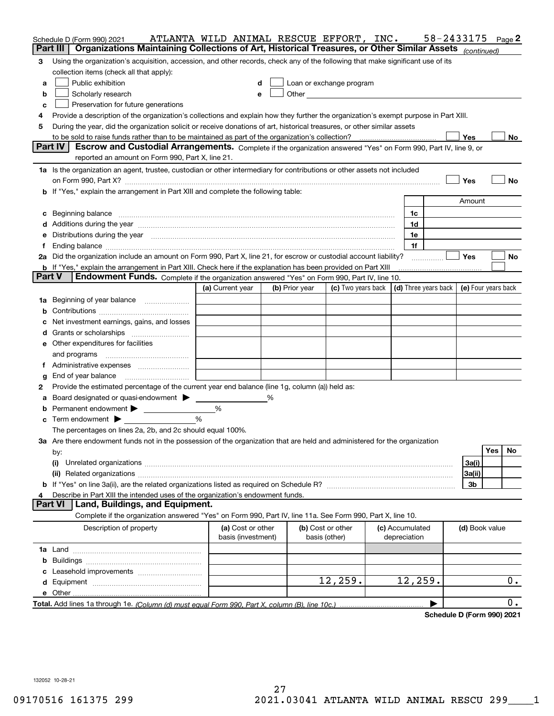|                | Schedule D (Form 990) 2021<br>Organizations Maintaining Collections of Art, Historical Treasures, or Other Similar Assets (continued)<br>Part III                                                                              | ATLANTA WILD ANIMAL RESCUE EFFORT, INC. |   |                |                                    |                                 | 58-2433175 |                     |     | Page 2 |
|----------------|--------------------------------------------------------------------------------------------------------------------------------------------------------------------------------------------------------------------------------|-----------------------------------------|---|----------------|------------------------------------|---------------------------------|------------|---------------------|-----|--------|
|                |                                                                                                                                                                                                                                |                                         |   |                |                                    |                                 |            |                     |     |        |
| 3              | Using the organization's acquisition, accession, and other records, check any of the following that make significant use of its                                                                                                |                                         |   |                |                                    |                                 |            |                     |     |        |
|                | collection items (check all that apply):                                                                                                                                                                                       |                                         |   |                |                                    |                                 |            |                     |     |        |
| a              | Public exhibition                                                                                                                                                                                                              | d                                       |   |                | Loan or exchange program           |                                 |            |                     |     |        |
| b              | Scholarly research                                                                                                                                                                                                             | e                                       |   |                |                                    |                                 |            |                     |     |        |
| c              | Preservation for future generations                                                                                                                                                                                            |                                         |   |                |                                    |                                 |            |                     |     |        |
| 4              | Provide a description of the organization's collections and explain how they further the organization's exempt purpose in Part XIII.                                                                                           |                                         |   |                |                                    |                                 |            |                     |     |        |
| 5              | During the year, did the organization solicit or receive donations of art, historical treasures, or other similar assets                                                                                                       |                                         |   |                |                                    |                                 |            |                     |     |        |
|                |                                                                                                                                                                                                                                |                                         |   |                |                                    |                                 |            | Yes                 |     | No l   |
|                | <b>Part IV</b><br>Escrow and Custodial Arrangements. Complete if the organization answered "Yes" on Form 990, Part IV, line 9, or<br>reported an amount on Form 990, Part X, line 21.                                          |                                         |   |                |                                    |                                 |            |                     |     |        |
|                | 1a Is the organization an agent, trustee, custodian or other intermediary for contributions or other assets not included                                                                                                       |                                         |   |                |                                    |                                 |            |                     |     |        |
|                | on Form 990, Part X? [11] matter contracts and contracts and contracts are contracted as a function of the set of the set of the set of the set of the set of the set of the set of the set of the set of the set of the set o |                                         |   |                |                                    |                                 |            | Yes                 |     | No     |
|                | <b>b</b> If "Yes," explain the arrangement in Part XIII and complete the following table:                                                                                                                                      |                                         |   |                |                                    |                                 |            |                     |     |        |
|                |                                                                                                                                                                                                                                |                                         |   |                |                                    |                                 |            | Amount              |     |        |
|                | c Beginning balance measurements and the contract of the contract of the contract of the contract of the contract of the contract of the contract of the contract of the contract of the contract of the contract of the contr |                                         |   |                |                                    | 1c                              |            |                     |     |        |
|                | d Additions during the year measurements are all an according to the year measurement of the year measurement                                                                                                                  |                                         |   |                |                                    | 1d                              |            |                     |     |        |
|                | e Distributions during the year manufactured and contain an account of the state of the state of the state of the state of the state of the state of the state of the state of the state of the state of the state of the stat |                                         |   |                |                                    | 1e                              |            |                     |     |        |
| f              |                                                                                                                                                                                                                                |                                         |   |                |                                    | 1f                              |            |                     |     |        |
|                | 2a Did the organization include an amount on Form 990, Part X, line 21, for escrow or custodial account liability?                                                                                                             |                                         |   |                |                                    |                                 |            | Yes                 |     | No     |
|                | <b>b</b> If "Yes," explain the arrangement in Part XIII. Check here if the explanation has been provided on Part XIII                                                                                                          |                                         |   |                |                                    |                                 |            |                     |     |        |
|                | <b>Part V</b><br><b>Endowment Funds.</b> Complete if the organization answered "Yes" on Form 990, Part IV, line 10.                                                                                                            |                                         |   |                |                                    |                                 |            |                     |     |        |
|                |                                                                                                                                                                                                                                | (a) Current year                        |   | (b) Prior year | (c) Two years back                 | (d) Three years back            |            | (e) Four years back |     |        |
|                | 1a Beginning of year balance                                                                                                                                                                                                   |                                         |   |                |                                    |                                 |            |                     |     |        |
|                |                                                                                                                                                                                                                                |                                         |   |                |                                    |                                 |            |                     |     |        |
|                | c Net investment earnings, gains, and losses                                                                                                                                                                                   |                                         |   |                |                                    |                                 |            |                     |     |        |
|                |                                                                                                                                                                                                                                |                                         |   |                |                                    |                                 |            |                     |     |        |
|                |                                                                                                                                                                                                                                |                                         |   |                |                                    |                                 |            |                     |     |        |
|                | <b>e</b> Other expenditures for facilities                                                                                                                                                                                     |                                         |   |                |                                    |                                 |            |                     |     |        |
|                |                                                                                                                                                                                                                                |                                         |   |                |                                    |                                 |            |                     |     |        |
|                |                                                                                                                                                                                                                                |                                         |   |                |                                    |                                 |            |                     |     |        |
| g              | End of year balance                                                                                                                                                                                                            |                                         |   |                |                                    |                                 |            |                     |     |        |
| 2              | Provide the estimated percentage of the current year end balance (line 1g, column (a)) held as:                                                                                                                                |                                         |   |                |                                    |                                 |            |                     |     |        |
|                | a Board designated or quasi-endowment > _____                                                                                                                                                                                  |                                         | % |                |                                    |                                 |            |                     |     |        |
|                |                                                                                                                                                                                                                                | %                                       |   |                |                                    |                                 |            |                     |     |        |
|                | $\circ$ Term endowment $\blacktriangleright$                                                                                                                                                                                   | $\frac{0}{6}$                           |   |                |                                    |                                 |            |                     |     |        |
|                | The percentages on lines 2a, 2b, and 2c should equal 100%.                                                                                                                                                                     |                                         |   |                |                                    |                                 |            |                     |     |        |
|                | 3a Are there endowment funds not in the possession of the organization that are held and administered for the organization                                                                                                     |                                         |   |                |                                    |                                 |            |                     |     |        |
|                | by:                                                                                                                                                                                                                            |                                         |   |                |                                    |                                 |            |                     | Yes | No     |
|                | (i)                                                                                                                                                                                                                            |                                         |   |                |                                    |                                 |            | 3a(i)               |     |        |
|                |                                                                                                                                                                                                                                |                                         |   |                |                                    |                                 |            | 3a(ii)              |     |        |
|                |                                                                                                                                                                                                                                |                                         |   |                |                                    |                                 |            | 3b                  |     |        |
| 4              | Describe in Part XIII the intended uses of the organization's endowment funds.                                                                                                                                                 |                                         |   |                |                                    |                                 |            |                     |     |        |
| <b>Part VI</b> | Land, Buildings, and Equipment.                                                                                                                                                                                                |                                         |   |                |                                    |                                 |            |                     |     |        |
|                | Complete if the organization answered "Yes" on Form 990, Part IV, line 11a. See Form 990, Part X, line 10.                                                                                                                     |                                         |   |                |                                    |                                 |            |                     |     |        |
|                | Description of property                                                                                                                                                                                                        | (a) Cost or other<br>basis (investment) |   |                | (b) Cost or other<br>basis (other) | (c) Accumulated<br>depreciation |            | (d) Book value      |     |        |
|                |                                                                                                                                                                                                                                |                                         |   |                |                                    |                                 |            |                     |     |        |
|                |                                                                                                                                                                                                                                |                                         |   |                |                                    |                                 |            |                     |     |        |
|                |                                                                                                                                                                                                                                |                                         |   |                |                                    |                                 |            |                     |     |        |
|                |                                                                                                                                                                                                                                |                                         |   |                | 12, 259.                           | 12, 259.                        |            |                     |     | 0.     |
|                |                                                                                                                                                                                                                                |                                         |   |                |                                    |                                 |            |                     |     |        |
|                |                                                                                                                                                                                                                                |                                         |   |                |                                    |                                 | ▶          |                     |     | $0$ .  |
|                |                                                                                                                                                                                                                                |                                         |   |                |                                    |                                 |            |                     |     |        |

**Schedule D (Form 990) 2021**

132052 10-28-21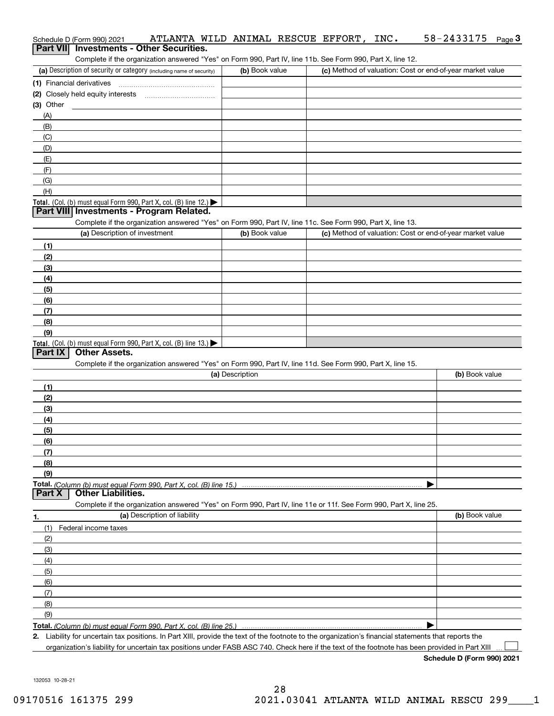|                | Schedule D (Form 990) 2021    | ATLANTA WILD ANIMAL RESCUE EFFORT,                                                                                                                                                 |                 |  | INC. | 58-2433175                                                | Page $3$ |
|----------------|-------------------------------|------------------------------------------------------------------------------------------------------------------------------------------------------------------------------------|-----------------|--|------|-----------------------------------------------------------|----------|
|                |                               | Part VII Investments - Other Securities.                                                                                                                                           |                 |  |      |                                                           |          |
|                |                               | Complete if the organization answered "Yes" on Form 990, Part IV, line 11b. See Form 990, Part X, line 12.<br>(a) Description of security or category (including name of security) | (b) Book value  |  |      | (c) Method of valuation: Cost or end-of-year market value |          |
|                |                               |                                                                                                                                                                                    |                 |  |      |                                                           |          |
|                |                               |                                                                                                                                                                                    |                 |  |      |                                                           |          |
| $(3)$ Other    |                               |                                                                                                                                                                                    |                 |  |      |                                                           |          |
| (A)            |                               |                                                                                                                                                                                    |                 |  |      |                                                           |          |
| (B)            |                               |                                                                                                                                                                                    |                 |  |      |                                                           |          |
| (C)            |                               |                                                                                                                                                                                    |                 |  |      |                                                           |          |
| (D)            |                               |                                                                                                                                                                                    |                 |  |      |                                                           |          |
| (E)            |                               |                                                                                                                                                                                    |                 |  |      |                                                           |          |
| (F)            |                               |                                                                                                                                                                                    |                 |  |      |                                                           |          |
| (G)            |                               |                                                                                                                                                                                    |                 |  |      |                                                           |          |
| (H)            |                               |                                                                                                                                                                                    |                 |  |      |                                                           |          |
|                |                               | Total. (Col. (b) must equal Form 990, Part X, col. (B) line 12.)                                                                                                                   |                 |  |      |                                                           |          |
|                |                               | Part VIII Investments - Program Related.                                                                                                                                           |                 |  |      |                                                           |          |
|                | (a) Description of investment | Complete if the organization answered "Yes" on Form 990, Part IV, line 11c. See Form 990, Part X, line 13.                                                                         | (b) Book value  |  |      | (c) Method of valuation: Cost or end-of-year market value |          |
|                |                               |                                                                                                                                                                                    |                 |  |      |                                                           |          |
| (1)<br>(2)     |                               |                                                                                                                                                                                    |                 |  |      |                                                           |          |
| (3)            |                               |                                                                                                                                                                                    |                 |  |      |                                                           |          |
| (4)            |                               |                                                                                                                                                                                    |                 |  |      |                                                           |          |
| (5)            |                               |                                                                                                                                                                                    |                 |  |      |                                                           |          |
| (6)            |                               |                                                                                                                                                                                    |                 |  |      |                                                           |          |
| (7)            |                               |                                                                                                                                                                                    |                 |  |      |                                                           |          |
| (8)            |                               |                                                                                                                                                                                    |                 |  |      |                                                           |          |
| (9)            |                               |                                                                                                                                                                                    |                 |  |      |                                                           |          |
|                |                               | Total. (Col. (b) must equal Form 990, Part X, col. (B) line 13.)                                                                                                                   |                 |  |      |                                                           |          |
| <b>Part IX</b> | <b>Other Assets.</b>          |                                                                                                                                                                                    |                 |  |      |                                                           |          |
|                |                               | Complete if the organization answered "Yes" on Form 990, Part IV, line 11d. See Form 990, Part X, line 15.                                                                         |                 |  |      |                                                           |          |
|                |                               |                                                                                                                                                                                    | (a) Description |  |      | (b) Book value                                            |          |
| (1)            |                               |                                                                                                                                                                                    |                 |  |      |                                                           |          |
| (2)<br>(3)     |                               |                                                                                                                                                                                    |                 |  |      |                                                           |          |
| (4)            |                               |                                                                                                                                                                                    |                 |  |      |                                                           |          |
| (5)            |                               |                                                                                                                                                                                    |                 |  |      |                                                           |          |
| (6)            |                               |                                                                                                                                                                                    |                 |  |      |                                                           |          |
| (7)            |                               |                                                                                                                                                                                    |                 |  |      |                                                           |          |
| (8)            |                               |                                                                                                                                                                                    |                 |  |      |                                                           |          |
| (9)            |                               |                                                                                                                                                                                    |                 |  |      |                                                           |          |
|                |                               |                                                                                                                                                                                    |                 |  |      |                                                           |          |
| <b>Part X</b>  | <b>Other Liabilities.</b>     |                                                                                                                                                                                    |                 |  |      |                                                           |          |
|                |                               | Complete if the organization answered "Yes" on Form 990, Part IV, line 11e or 11f. See Form 990, Part X, line 25.                                                                  |                 |  |      |                                                           |          |
| 1.             |                               | (a) Description of liability                                                                                                                                                       |                 |  |      | (b) Book value                                            |          |
| (1)            | Federal income taxes          |                                                                                                                                                                                    |                 |  |      |                                                           |          |
| (2)            |                               |                                                                                                                                                                                    |                 |  |      |                                                           |          |
| (3)<br>(4)     |                               |                                                                                                                                                                                    |                 |  |      |                                                           |          |
| (5)            |                               |                                                                                                                                                                                    |                 |  |      |                                                           |          |
| (6)            |                               |                                                                                                                                                                                    |                 |  |      |                                                           |          |
| (7)            |                               |                                                                                                                                                                                    |                 |  |      |                                                           |          |
| (8)            |                               |                                                                                                                                                                                    |                 |  |      |                                                           |          |
| (9)            |                               |                                                                                                                                                                                    |                 |  |      |                                                           |          |
|                |                               | Total. (Column (b) must equal Form 990, Part X, col. (B) line 25.)                                                                                                                 |                 |  |      |                                                           |          |
|                |                               | 2. Liability for uncertain tax positions. In Part XIII, provide the text of the footnote to the organization's financial statements that reports the                               |                 |  |      |                                                           |          |
|                |                               | organization's liability for uncertain tax positions under FASB ASC 740. Check here if the text of the footnote has been provided in Part XIII                                     |                 |  |      |                                                           |          |

**Schedule D (Form 990) 2021**

132053 10-28-21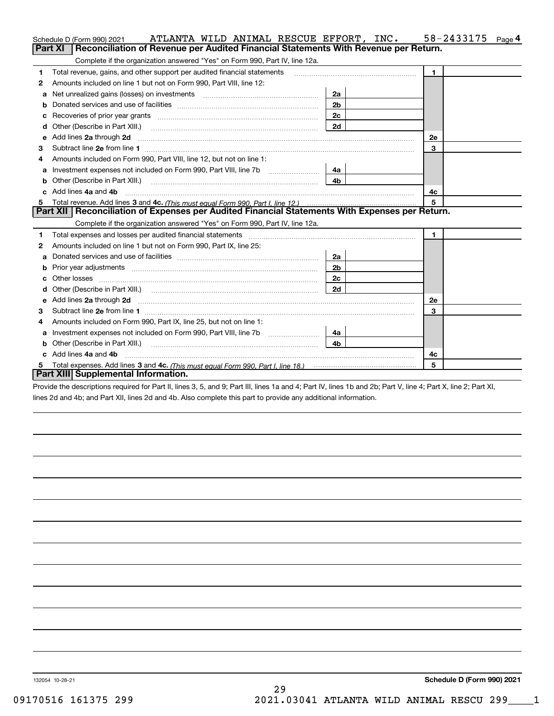|    | ATLANTA WILD ANIMAL RESCUE EFFORT, INC.<br>Schedule D (Form 990) 2021                                                                                                                                                              |                | 58-2433175<br>Page 4 |
|----|------------------------------------------------------------------------------------------------------------------------------------------------------------------------------------------------------------------------------------|----------------|----------------------|
|    | Reconciliation of Revenue per Audited Financial Statements With Revenue per Return.<br>Part XI                                                                                                                                     |                |                      |
|    | Complete if the organization answered "Yes" on Form 990, Part IV, line 12a.                                                                                                                                                        |                |                      |
| 1  | Total revenue, gains, and other support per audited financial statements                                                                                                                                                           |                | $\blacktriangleleft$ |
| 2  | Amounts included on line 1 but not on Form 990, Part VIII, line 12:                                                                                                                                                                |                |                      |
| a  |                                                                                                                                                                                                                                    | 2a             |                      |
|    |                                                                                                                                                                                                                                    | 2 <sub>b</sub> |                      |
|    |                                                                                                                                                                                                                                    | 2c             |                      |
| d  | Other (Describe in Part XIII.) <b>Construction Construction</b> Chern Construction Chern Chern Chern Chern Chern Chern                                                                                                             | 2d             |                      |
| e  | Add lines 2a through 2d                                                                                                                                                                                                            |                | 2e                   |
| з  |                                                                                                                                                                                                                                    |                | 3                    |
| 4  | Amounts included on Form 990, Part VIII, line 12, but not on line 1:                                                                                                                                                               |                |                      |
|    | Investment expenses not included on Form 990, Part VIII, line 7b [                                                                                                                                                                 | 4a             |                      |
|    |                                                                                                                                                                                                                                    | 4 <sub>b</sub> |                      |
| c. | Add lines 4a and 4b                                                                                                                                                                                                                |                | 4с                   |
|    |                                                                                                                                                                                                                                    |                | 5                    |
|    | Part XII   Reconciliation of Expenses per Audited Financial Statements With Expenses per Return.                                                                                                                                   |                |                      |
|    | Complete if the organization answered "Yes" on Form 990, Part IV, line 12a.                                                                                                                                                        |                |                      |
| 1  | Total expenses and losses per audited financial statements [11] [12] manuscription control expenses and losses per audited financial statements [12] [12] manuscription of the statements [12] manuscription of the statements     |                | $\mathbf{1}$         |
| 2  | Amounts included on line 1 but not on Form 990, Part IX, line 25:                                                                                                                                                                  |                |                      |
| а  |                                                                                                                                                                                                                                    | 2a             |                      |
| b  |                                                                                                                                                                                                                                    | 2b             |                      |
|    |                                                                                                                                                                                                                                    | 2c             |                      |
| d  | Other (Describe in Part XIII.) (Contract and the contract of the contract of the contract of the contract of the contract of the contract of the contract of the contract of the contract of the contract of the contract of t     | 2d             |                      |
| е  | Add lines 2a through 2d <b>contract and all anomalisation</b> and all anomalisation of the state of the state of the state of the state of the state of the state of the state of the state of the state of the state of the state |                | 2e                   |
| з  |                                                                                                                                                                                                                                    |                | 3                    |
| 4  | Amounts included on Form 990, Part IX, line 25, but not on line 1:                                                                                                                                                                 |                |                      |
| a  |                                                                                                                                                                                                                                    | 4a l           |                      |
| b  | Other (Describe in Part XIII.)                                                                                                                                                                                                     | 4 <sub>b</sub> |                      |
| c  | Add lines 4a and 4b                                                                                                                                                                                                                |                | 4c                   |
|    | Total expenses. Add lines 3 and 4c. (This must equal Form 990, Part I, line 18.) <b>Conservers</b> manufactured in the                                                                                                             |                | 5                    |
|    | Part XIII Supplemental Information.                                                                                                                                                                                                |                |                      |

Provide the descriptions required for Part II, lines 3, 5, and 9; Part III, lines 1a and 4; Part IV, lines 1b and 2b; Part V, line 4; Part X, line 2; Part XI, lines 2d and 4b; and Part XII, lines 2d and 4b. Also complete this part to provide any additional information.

132054 10-28-21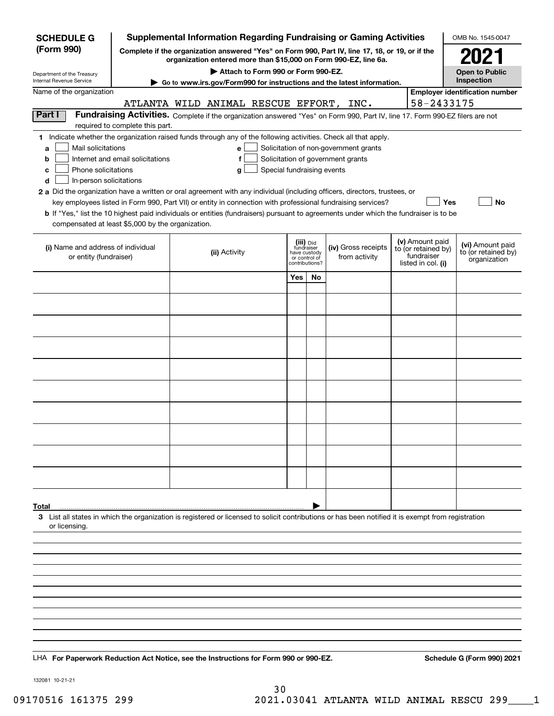| <b>SCHEDULE G</b>                                                                                                                                                                                                                                                                                                                                                                                                                                                                                                                              | Supplemental Information Regarding Fundraising or Gaming Activities<br>OMB No. 1545-0047 |  |               |                                    |                                                                            |    |                                                                                                                                                                                           |  |                                                                            |                                                         |  |
|------------------------------------------------------------------------------------------------------------------------------------------------------------------------------------------------------------------------------------------------------------------------------------------------------------------------------------------------------------------------------------------------------------------------------------------------------------------------------------------------------------------------------------------------|------------------------------------------------------------------------------------------|--|---------------|------------------------------------|----------------------------------------------------------------------------|----|-------------------------------------------------------------------------------------------------------------------------------------------------------------------------------------------|--|----------------------------------------------------------------------------|---------------------------------------------------------|--|
| (Form 990)                                                                                                                                                                                                                                                                                                                                                                                                                                                                                                                                     |                                                                                          |  |               |                                    |                                                                            |    | Complete if the organization answered "Yes" on Form 990, Part IV, line 17, 18, or 19, or if the<br>organization entered more than \$15,000 on Form 990-EZ, line 6a.                       |  |                                                                            | 2021                                                    |  |
|                                                                                                                                                                                                                                                                                                                                                                                                                                                                                                                                                |                                                                                          |  |               | Attach to Form 990 or Form 990-EZ. |                                                                            |    |                                                                                                                                                                                           |  |                                                                            | <b>Open to Public</b>                                   |  |
| Department of the Treasury<br>Internal Revenue Service                                                                                                                                                                                                                                                                                                                                                                                                                                                                                         |                                                                                          |  |               |                                    |                                                                            |    | ► Go to www.irs.gov/Form990 for instructions and the latest information.                                                                                                                  |  |                                                                            | Inspection                                              |  |
| Name of the organization                                                                                                                                                                                                                                                                                                                                                                                                                                                                                                                       |                                                                                          |  |               |                                    |                                                                            |    | ATLANTA WILD ANIMAL RESCUE EFFORT, INC.                                                                                                                                                   |  | 58-2433175                                                                 | <b>Employer identification number</b>                   |  |
| Part I                                                                                                                                                                                                                                                                                                                                                                                                                                                                                                                                         | required to complete this part.                                                          |  |               |                                    |                                                                            |    | Fundraising Activities. Complete if the organization answered "Yes" on Form 990, Part IV, line 17. Form 990-EZ filers are not                                                             |  |                                                                            |                                                         |  |
| 1 Indicate whether the organization raised funds through any of the following activities. Check all that apply.<br>Mail solicitations<br>a<br>b<br>Phone solicitations<br>c<br>In-person solicitations<br>d<br>2 a Did the organization have a written or oral agreement with any individual (including officers, directors, trustees, or<br><b>b</b> If "Yes," list the 10 highest paid individuals or entities (fundraisers) pursuant to agreements under which the fundraiser is to be<br>compensated at least \$5,000 by the organization. | Internet and email solicitations                                                         |  | е<br>g        | Special fundraising events         |                                                                            |    | Solicitation of non-government grants<br>Solicitation of government grants<br>key employees listed in Form 990, Part VII) or entity in connection with professional fundraising services? |  | Yes                                                                        | No                                                      |  |
| (i) Name and address of individual<br>or entity (fundraiser)                                                                                                                                                                                                                                                                                                                                                                                                                                                                                   |                                                                                          |  | (ii) Activity |                                    | (iii) Did<br>fundraiser<br>have custody<br>or control of<br>contributions? |    | (iv) Gross receipts<br>from activity                                                                                                                                                      |  | (v) Amount paid<br>to (or retained by)<br>fundraiser<br>listed in col. (i) | (vi) Amount paid<br>to (or retained by)<br>organization |  |
|                                                                                                                                                                                                                                                                                                                                                                                                                                                                                                                                                |                                                                                          |  |               |                                    | Yes                                                                        | No |                                                                                                                                                                                           |  |                                                                            |                                                         |  |
|                                                                                                                                                                                                                                                                                                                                                                                                                                                                                                                                                |                                                                                          |  |               |                                    |                                                                            |    |                                                                                                                                                                                           |  |                                                                            |                                                         |  |
|                                                                                                                                                                                                                                                                                                                                                                                                                                                                                                                                                |                                                                                          |  |               |                                    |                                                                            |    |                                                                                                                                                                                           |  |                                                                            |                                                         |  |
|                                                                                                                                                                                                                                                                                                                                                                                                                                                                                                                                                |                                                                                          |  |               |                                    |                                                                            |    |                                                                                                                                                                                           |  |                                                                            |                                                         |  |
|                                                                                                                                                                                                                                                                                                                                                                                                                                                                                                                                                |                                                                                          |  |               |                                    |                                                                            |    |                                                                                                                                                                                           |  |                                                                            |                                                         |  |
|                                                                                                                                                                                                                                                                                                                                                                                                                                                                                                                                                |                                                                                          |  |               |                                    |                                                                            |    |                                                                                                                                                                                           |  |                                                                            |                                                         |  |
|                                                                                                                                                                                                                                                                                                                                                                                                                                                                                                                                                |                                                                                          |  |               |                                    |                                                                            |    |                                                                                                                                                                                           |  |                                                                            |                                                         |  |
|                                                                                                                                                                                                                                                                                                                                                                                                                                                                                                                                                |                                                                                          |  |               |                                    |                                                                            |    |                                                                                                                                                                                           |  |                                                                            |                                                         |  |
|                                                                                                                                                                                                                                                                                                                                                                                                                                                                                                                                                |                                                                                          |  |               |                                    |                                                                            |    |                                                                                                                                                                                           |  |                                                                            |                                                         |  |
|                                                                                                                                                                                                                                                                                                                                                                                                                                                                                                                                                |                                                                                          |  |               |                                    |                                                                            |    |                                                                                                                                                                                           |  |                                                                            |                                                         |  |
|                                                                                                                                                                                                                                                                                                                                                                                                                                                                                                                                                |                                                                                          |  |               |                                    |                                                                            |    |                                                                                                                                                                                           |  |                                                                            |                                                         |  |
|                                                                                                                                                                                                                                                                                                                                                                                                                                                                                                                                                |                                                                                          |  |               |                                    |                                                                            |    |                                                                                                                                                                                           |  |                                                                            |                                                         |  |
| Total<br>3 List all states in which the organization is registered or licensed to solicit contributions or has been notified it is exempt from registration<br>or licensing.                                                                                                                                                                                                                                                                                                                                                                   |                                                                                          |  |               |                                    |                                                                            |    |                                                                                                                                                                                           |  |                                                                            |                                                         |  |
|                                                                                                                                                                                                                                                                                                                                                                                                                                                                                                                                                |                                                                                          |  |               |                                    |                                                                            |    |                                                                                                                                                                                           |  |                                                                            |                                                         |  |
|                                                                                                                                                                                                                                                                                                                                                                                                                                                                                                                                                |                                                                                          |  |               |                                    |                                                                            |    |                                                                                                                                                                                           |  |                                                                            |                                                         |  |
|                                                                                                                                                                                                                                                                                                                                                                                                                                                                                                                                                |                                                                                          |  |               |                                    |                                                                            |    |                                                                                                                                                                                           |  |                                                                            |                                                         |  |
|                                                                                                                                                                                                                                                                                                                                                                                                                                                                                                                                                |                                                                                          |  |               |                                    |                                                                            |    |                                                                                                                                                                                           |  |                                                                            |                                                         |  |
|                                                                                                                                                                                                                                                                                                                                                                                                                                                                                                                                                |                                                                                          |  |               |                                    |                                                                            |    |                                                                                                                                                                                           |  |                                                                            |                                                         |  |
|                                                                                                                                                                                                                                                                                                                                                                                                                                                                                                                                                |                                                                                          |  |               |                                    |                                                                            |    |                                                                                                                                                                                           |  |                                                                            |                                                         |  |
|                                                                                                                                                                                                                                                                                                                                                                                                                                                                                                                                                |                                                                                          |  |               |                                    |                                                                            |    |                                                                                                                                                                                           |  |                                                                            |                                                         |  |
| LHA For Paperwork Reduction Act Notice, see the Instructions for Form 990 or 990-EZ.                                                                                                                                                                                                                                                                                                                                                                                                                                                           |                                                                                          |  |               |                                    |                                                                            |    |                                                                                                                                                                                           |  |                                                                            | Schedule G (Form 990) 2021                              |  |

132081 10-21-21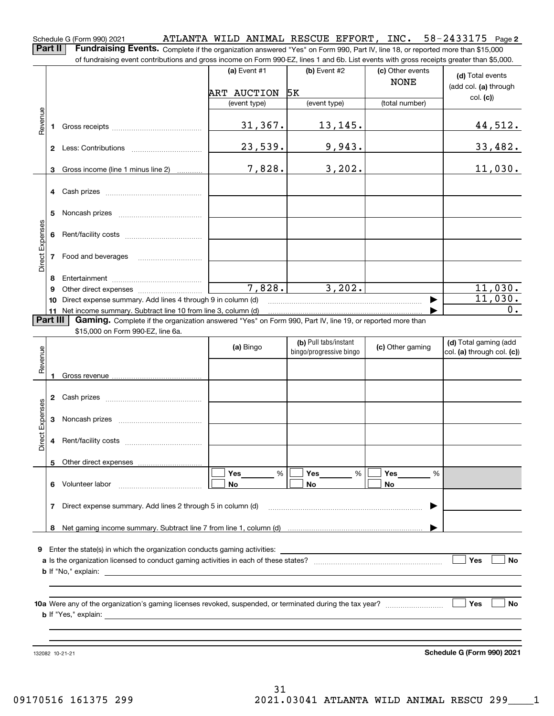#### 58-2433175 Page 2 Schedule G (Form 990) 2021 Page ATLANTA WILD ANIMAL RESCUE EFFORT, INC. 58-2433175

Part II | Fundraising Events. Complete if the organization answered "Yes" on Form 990, Part IV, line 18, or reported more than \$15,000 of fundraising event contributions and gross income on Form 990-EZ, lines 1 and 6b. List events with gross receipts greater than \$5,000.

|                 |              |                                                                                                                                                                                                                                           | (a) Event $#1$ | $(b)$ Event #2                                   | (c) Other events | (d) Total events                                    |
|-----------------|--------------|-------------------------------------------------------------------------------------------------------------------------------------------------------------------------------------------------------------------------------------------|----------------|--------------------------------------------------|------------------|-----------------------------------------------------|
|                 |              |                                                                                                                                                                                                                                           | ART AUCTION    | 5K                                               | <b>NONE</b>      | (add col. (a) through                               |
|                 |              |                                                                                                                                                                                                                                           | (event type)   | (event type)                                     | (total number)   | col. (c)                                            |
|                 |              |                                                                                                                                                                                                                                           |                |                                                  |                  |                                                     |
| Revenue         | 1            |                                                                                                                                                                                                                                           | 31, 367.       | 13,145.                                          |                  | 44,512.                                             |
|                 |              |                                                                                                                                                                                                                                           | 23,539.        | 9,943.                                           |                  | 33,482.                                             |
|                 | 3.           | Gross income (line 1 minus line 2)                                                                                                                                                                                                        | 7,828.         | 3,202.                                           |                  | 11,030.                                             |
|                 | 4            |                                                                                                                                                                                                                                           |                |                                                  |                  |                                                     |
|                 | 5            |                                                                                                                                                                                                                                           |                |                                                  |                  |                                                     |
|                 | 6            |                                                                                                                                                                                                                                           |                |                                                  |                  |                                                     |
| Direct Expenses | 7            | Food and beverages                                                                                                                                                                                                                        |                |                                                  |                  |                                                     |
|                 | 8            |                                                                                                                                                                                                                                           |                |                                                  |                  |                                                     |
|                 | 9            |                                                                                                                                                                                                                                           | 7,828.         | 3,202.                                           |                  | 11,030.                                             |
|                 | 10           | Direct expense summary. Add lines 4 through 9 in column (d)                                                                                                                                                                               |                |                                                  |                  | 11,030.                                             |
| Part III        | 11           | Net income summary. Subtract line 10 from line 3, column (d)                                                                                                                                                                              |                |                                                  |                  | 0.                                                  |
|                 |              | Gaming. Complete if the organization answered "Yes" on Form 990, Part IV, line 19, or reported more than<br>\$15,000 on Form 990-EZ, line 6a.                                                                                             |                |                                                  |                  |                                                     |
| Revenue         |              |                                                                                                                                                                                                                                           | (a) Bingo      | (b) Pull tabs/instant<br>bingo/progressive bingo | (c) Other gaming | (d) Total gaming (add<br>col. (a) through col. (c)) |
|                 | 1.           |                                                                                                                                                                                                                                           |                |                                                  |                  |                                                     |
|                 |              |                                                                                                                                                                                                                                           |                |                                                  |                  |                                                     |
|                 | $\mathbf{2}$ |                                                                                                                                                                                                                                           |                |                                                  |                  |                                                     |
|                 |              |                                                                                                                                                                                                                                           |                |                                                  |                  |                                                     |
|                 | 3            |                                                                                                                                                                                                                                           |                |                                                  |                  |                                                     |
| Direct Expenses | 4            |                                                                                                                                                                                                                                           |                |                                                  |                  |                                                     |
|                 |              |                                                                                                                                                                                                                                           |                |                                                  |                  |                                                     |
|                 |              |                                                                                                                                                                                                                                           | Yes<br>%       | Yes<br>%                                         | Yes<br>%         |                                                     |
|                 | 6            | Volunteer labor                                                                                                                                                                                                                           | No             | <b>No</b>                                        | No               |                                                     |
|                 | 7            | Direct expense summary. Add lines 2 through 5 in column (d)                                                                                                                                                                               |                |                                                  |                  |                                                     |
|                 |              |                                                                                                                                                                                                                                           |                |                                                  |                  |                                                     |
|                 | 8            |                                                                                                                                                                                                                                           |                |                                                  |                  |                                                     |
| 9               |              | Enter the state(s) in which the organization conducts gaming activities:                                                                                                                                                                  |                |                                                  |                  |                                                     |
|                 |              |                                                                                                                                                                                                                                           |                |                                                  |                  | Yes<br><b>No</b>                                    |
|                 |              | <b>b</b> If "No," explain:                                                                                                                                                                                                                |                |                                                  |                  |                                                     |
|                 |              |                                                                                                                                                                                                                                           |                |                                                  |                  |                                                     |
|                 |              |                                                                                                                                                                                                                                           |                |                                                  |                  |                                                     |
|                 |              | <b>b</b> If "Yes," explain: <u>example and the set of the set of the set of the set of the set of the set of the set of the set of the set of the set of the set of the set of the set of the set of the set of the set of the set of</u> |                |                                                  |                  | <b>Yes</b><br>No.                                   |
|                 |              |                                                                                                                                                                                                                                           |                |                                                  |                  |                                                     |
|                 |              |                                                                                                                                                                                                                                           |                |                                                  |                  |                                                     |
|                 |              | 132082 10-21-21                                                                                                                                                                                                                           |                |                                                  |                  | Schedule G (Form 990) 2021                          |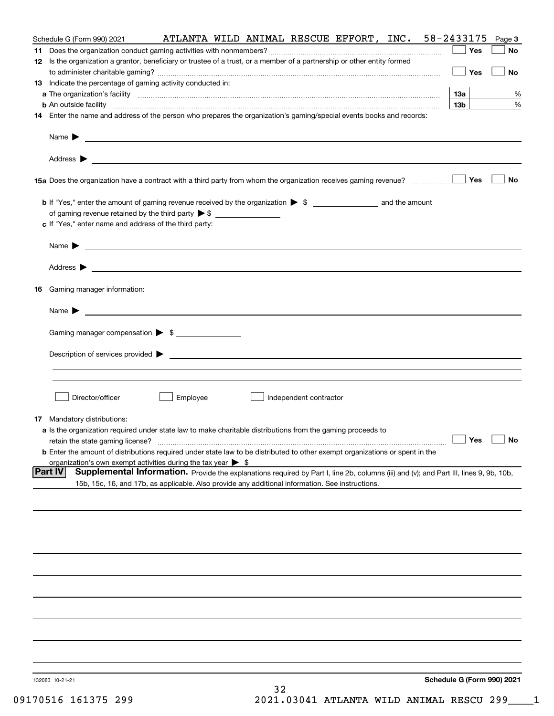| Schedule G (Form 990) 2021                                                                                                                                                                                                                |          |    |                        | ATLANTA WILD ANIMAL RESCUE EFFORT, INC. 58-2433175 |                                   | Page 3    |
|-------------------------------------------------------------------------------------------------------------------------------------------------------------------------------------------------------------------------------------------|----------|----|------------------------|----------------------------------------------------|-----------------------------------|-----------|
|                                                                                                                                                                                                                                           |          |    |                        |                                                    | Yes                               | No        |
| 12 Is the organization a grantor, beneficiary or trustee of a trust, or a member of a partnership or other entity formed                                                                                                                  |          |    |                        |                                                    |                                   |           |
|                                                                                                                                                                                                                                           |          |    |                        |                                                    | $\Box$ Yes                        | No        |
| 13 Indicate the percentage of gaming activity conducted in:                                                                                                                                                                               |          |    |                        |                                                    | 13а                               | %         |
| <b>b</b> An outside facility <b>contained a contract and a contract of the contract of the contract of the contract of the contract of the contract of the contract of the contract of the contract of the contract of the contract o</b> |          |    |                        |                                                    | 13 <sub>b</sub>                   | %         |
| 14 Enter the name and address of the person who prepares the organization's gaming/special events books and records:                                                                                                                      |          |    |                        |                                                    |                                   |           |
|                                                                                                                                                                                                                                           |          |    |                        |                                                    |                                   |           |
|                                                                                                                                                                                                                                           |          |    |                        |                                                    |                                   |           |
|                                                                                                                                                                                                                                           |          |    |                        |                                                    |                                   |           |
|                                                                                                                                                                                                                                           |          |    |                        |                                                    |                                   |           |
|                                                                                                                                                                                                                                           |          |    |                        |                                                    |                                   | <b>No</b> |
|                                                                                                                                                                                                                                           |          |    |                        |                                                    |                                   |           |
|                                                                                                                                                                                                                                           |          |    |                        |                                                    |                                   |           |
| of gaming revenue retained by the third party $\triangleright$ \$ $\_\_\_\_\_\_\_\_\_\_\_\_\_\_\_\_\_\_\_\_\_\_\_\_\_\_$<br>c If "Yes," enter name and address of the third party:                                                        |          |    |                        |                                                    |                                   |           |
|                                                                                                                                                                                                                                           |          |    |                        |                                                    |                                   |           |
|                                                                                                                                                                                                                                           |          |    |                        |                                                    |                                   |           |
|                                                                                                                                                                                                                                           |          |    |                        |                                                    |                                   |           |
|                                                                                                                                                                                                                                           |          |    |                        |                                                    |                                   |           |
| 16 Gaming manager information:                                                                                                                                                                                                            |          |    |                        |                                                    |                                   |           |
|                                                                                                                                                                                                                                           |          |    |                        |                                                    |                                   |           |
| Name $\triangleright$ $\square$                                                                                                                                                                                                           |          |    |                        |                                                    |                                   |           |
|                                                                                                                                                                                                                                           |          |    |                        |                                                    |                                   |           |
| Gaming manager compensation > \$                                                                                                                                                                                                          |          |    |                        |                                                    |                                   |           |
| Description of services provided $\blacktriangleright$ $\_\_\_\_\_\_\_\_\_\_\_\_\_\_\_\_$                                                                                                                                                 |          |    |                        |                                                    |                                   |           |
|                                                                                                                                                                                                                                           |          |    |                        |                                                    |                                   |           |
|                                                                                                                                                                                                                                           |          |    |                        |                                                    |                                   |           |
|                                                                                                                                                                                                                                           |          |    |                        |                                                    |                                   |           |
| Director/officer                                                                                                                                                                                                                          | Employee |    | Independent contractor |                                                    |                                   |           |
| 17 Mandatory distributions:                                                                                                                                                                                                               |          |    |                        |                                                    |                                   |           |
| a Is the organization required under state law to make charitable distributions from the gaming proceeds to                                                                                                                               |          |    |                        |                                                    |                                   |           |
| retain the state gaming license?                                                                                                                                                                                                          |          |    |                        |                                                    | $\Box$ Yes                        | $\Box$ No |
| <b>b</b> Enter the amount of distributions required under state law to be distributed to other exempt organizations or spent in the                                                                                                       |          |    |                        |                                                    |                                   |           |
| organization's own exempt activities during the tax year $\triangleright$ \$<br>Supplemental Information. Provide the explanations required by Part I, line 2b, columns (iii) and (v); and Part III, lines 9, 9b, 10b,<br> Part IV        |          |    |                        |                                                    |                                   |           |
| 15b, 15c, 16, and 17b, as applicable. Also provide any additional information. See instructions.                                                                                                                                          |          |    |                        |                                                    |                                   |           |
|                                                                                                                                                                                                                                           |          |    |                        |                                                    |                                   |           |
|                                                                                                                                                                                                                                           |          |    |                        |                                                    |                                   |           |
|                                                                                                                                                                                                                                           |          |    |                        |                                                    |                                   |           |
|                                                                                                                                                                                                                                           |          |    |                        |                                                    |                                   |           |
|                                                                                                                                                                                                                                           |          |    |                        |                                                    |                                   |           |
|                                                                                                                                                                                                                                           |          |    |                        |                                                    |                                   |           |
|                                                                                                                                                                                                                                           |          |    |                        |                                                    |                                   |           |
|                                                                                                                                                                                                                                           |          |    |                        |                                                    |                                   |           |
|                                                                                                                                                                                                                                           |          |    |                        |                                                    |                                   |           |
|                                                                                                                                                                                                                                           |          |    |                        |                                                    |                                   |           |
|                                                                                                                                                                                                                                           |          |    |                        |                                                    |                                   |           |
|                                                                                                                                                                                                                                           |          |    |                        |                                                    |                                   |           |
|                                                                                                                                                                                                                                           |          |    |                        |                                                    |                                   |           |
|                                                                                                                                                                                                                                           |          |    |                        |                                                    |                                   |           |
| 132083 10-21-21                                                                                                                                                                                                                           |          |    |                        |                                                    | <b>Schedule G (Form 990) 2021</b> |           |
|                                                                                                                                                                                                                                           |          | 32 |                        |                                                    |                                   |           |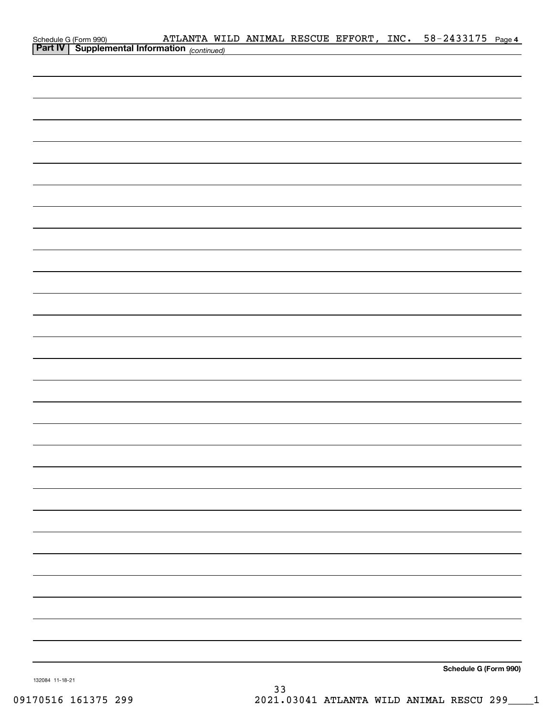| Schedule G (Form 990) <b>ATLANTA WILD ANIMAL RESCUE EFFORT</b> , INC. $58-2433175$ Page 4<br><b>Part IV   Supplemental Information</b> (continued) |  |  |  |                       |  |
|----------------------------------------------------------------------------------------------------------------------------------------------------|--|--|--|-----------------------|--|
|                                                                                                                                                    |  |  |  |                       |  |
|                                                                                                                                                    |  |  |  |                       |  |
|                                                                                                                                                    |  |  |  |                       |  |
|                                                                                                                                                    |  |  |  |                       |  |
|                                                                                                                                                    |  |  |  |                       |  |
|                                                                                                                                                    |  |  |  |                       |  |
|                                                                                                                                                    |  |  |  |                       |  |
|                                                                                                                                                    |  |  |  |                       |  |
|                                                                                                                                                    |  |  |  |                       |  |
|                                                                                                                                                    |  |  |  |                       |  |
|                                                                                                                                                    |  |  |  |                       |  |
|                                                                                                                                                    |  |  |  |                       |  |
|                                                                                                                                                    |  |  |  |                       |  |
|                                                                                                                                                    |  |  |  |                       |  |
|                                                                                                                                                    |  |  |  |                       |  |
|                                                                                                                                                    |  |  |  |                       |  |
|                                                                                                                                                    |  |  |  |                       |  |
|                                                                                                                                                    |  |  |  |                       |  |
|                                                                                                                                                    |  |  |  |                       |  |
|                                                                                                                                                    |  |  |  |                       |  |
|                                                                                                                                                    |  |  |  |                       |  |
|                                                                                                                                                    |  |  |  |                       |  |
|                                                                                                                                                    |  |  |  |                       |  |
|                                                                                                                                                    |  |  |  |                       |  |
|                                                                                                                                                    |  |  |  |                       |  |
|                                                                                                                                                    |  |  |  |                       |  |
|                                                                                                                                                    |  |  |  |                       |  |
|                                                                                                                                                    |  |  |  |                       |  |
|                                                                                                                                                    |  |  |  |                       |  |
|                                                                                                                                                    |  |  |  |                       |  |
|                                                                                                                                                    |  |  |  |                       |  |
|                                                                                                                                                    |  |  |  |                       |  |
|                                                                                                                                                    |  |  |  |                       |  |
|                                                                                                                                                    |  |  |  |                       |  |
|                                                                                                                                                    |  |  |  |                       |  |
|                                                                                                                                                    |  |  |  |                       |  |
|                                                                                                                                                    |  |  |  |                       |  |
|                                                                                                                                                    |  |  |  | Schedule G (Form 990) |  |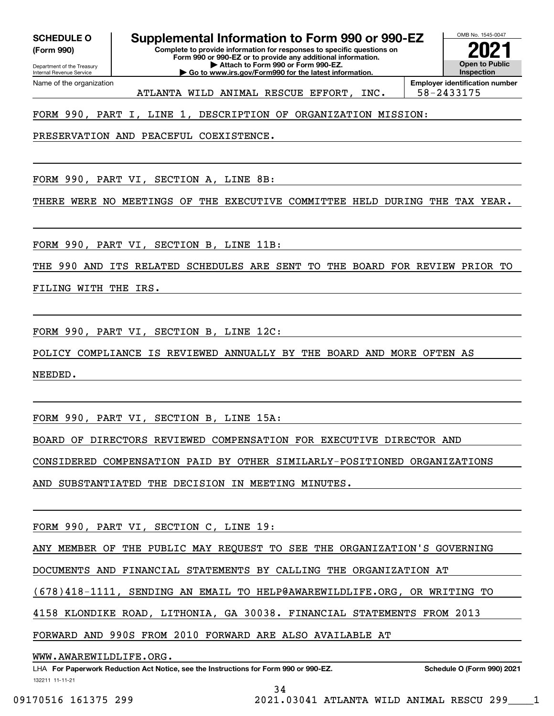**(Form 990)**

Name of the organization

Department of the Treasury Internal Revenue Service **Form 990 or 990-EZ or to provide any additional information. | Attach to Form 990 or Form 990-EZ. | Go to www.irs.gov/Form990 for the latest information.**

OMB No. 1545-0047 **Open to Public Inspection**

ATLANTA WILD ANIMAL RESCUE EFFORT, INC. | 58-2433175

**Employer identification number**

FORM 990, PART I, LINE 1, DESCRIPTION OF ORGANIZATION MISSION:

PRESERVATION AND PEACEFUL COEXISTENCE.

FORM 990, PART VI, SECTION A, LINE 8B:

THERE WERE NO MEETINGS OF THE EXECUTIVE COMMITTEE HELD DURING THE TAX YEAR.

FORM 990, PART VI, SECTION B, LINE 11B:

THE 990 AND ITS RELATED SCHEDULES ARE SENT TO THE BOARD FOR REVIEW PRIOR TO

FILING WITH THE IRS.

FORM 990, PART VI, SECTION B, LINE 12C:

POLICY COMPLIANCE IS REVIEWED ANNUALLY BY THE BOARD AND MORE OFTEN AS

NEEDED.

FORM 990, PART VI, SECTION B, LINE 15A:

BOARD OF DIRECTORS REVIEWED COMPENSATION FOR EXECUTIVE DIRECTOR AND

CONSIDERED COMPENSATION PAID BY OTHER SIMILARLY-POSITIONED ORGANIZATIONS

AND SUBSTANTIATED THE DECISION IN MEETING MINUTES.

FORM 990, PART VI, SECTION C, LINE 19:

ANY MEMBER OF THE PUBLIC MAY REQUEST TO SEE THE ORGANIZATION'S GOVERNING

DOCUMENTS AND FINANCIAL STATEMENTS BY CALLING THE ORGANIZATION AT

(678)418-1111, SENDING AN EMAIL TO HELP@AWAREWILDLIFE.ORG, OR WRITING TO

4158 KLONDIKE ROAD, LITHONIA, GA 30038. FINANCIAL STATEMENTS FROM 2013

FORWARD AND 990S FROM 2010 FORWARD ARE ALSO AVAILABLE AT

WWW.AWAREWILDLIFE.ORG.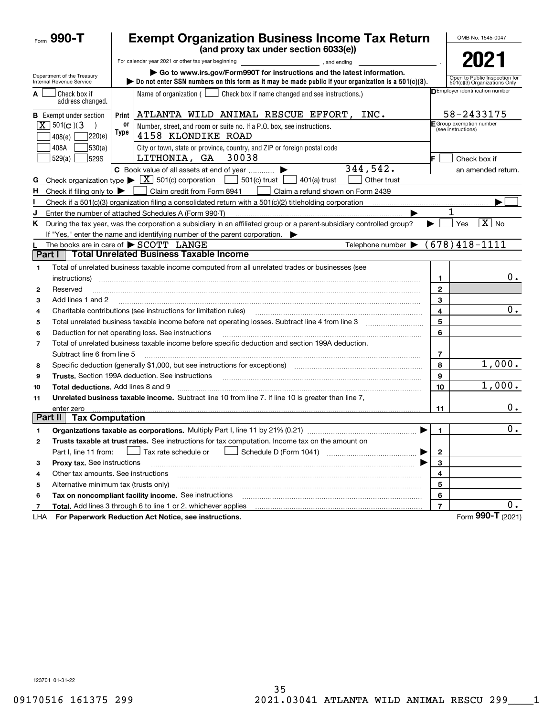| Form 990-T                                              |            | <b>Exempt Organization Business Income Tax Return</b>                                                                                                                                               |                | OMB No. 1545-0047                                             |
|---------------------------------------------------------|------------|-----------------------------------------------------------------------------------------------------------------------------------------------------------------------------------------------------|----------------|---------------------------------------------------------------|
|                                                         |            | (and proxy tax under section 6033(e))                                                                                                                                                               |                |                                                               |
|                                                         |            | For calendar year 2021 or other tax year beginning<br>and ending,                                                                                                                                   |                | 2021                                                          |
| Department of the Treasury<br>Internal Revenue Service  |            | Go to www.irs.gov/Form990T for instructions and the latest information.<br>Do not enter SSN numbers on this form as it may be made public if your organization is a $501(c)(3)$ .                   |                | Open to Public Inspection for<br>501(c)(3) Organizations Only |
| Check box if<br>A<br>address changed.                   |            | Name of organization $($<br>Check box if name changed and see instructions.)                                                                                                                        |                | <b>DEmployer identification number</b>                        |
| <b>B</b> Exempt under section                           | Print      | ATLANTA WILD ANIMAL RESCUE EFFORT, INC.                                                                                                                                                             |                | 58-2433175                                                    |
| $ \mathbf{X} $ 501( <b>c</b> )(3)<br> 220(e) <br>408(e) | 0ľ<br>Type | Number, street, and room or suite no. If a P.O. box, see instructions.<br>4158 KLONDIKE ROAD                                                                                                        |                | E Group exemption number<br>(see instructions)                |
| 408A<br> 530(a) <br>  529(a)  <br>529S                  |            | City or town, state or province, country, and ZIP or foreign postal code<br>30038<br>LITHONIA, GA                                                                                                   | IF.            | Check box if                                                  |
|                                                         |            | 344,542.<br>C Book value of all assets at end of year<br>▶                                                                                                                                          |                | an amended return.                                            |
| G                                                       |            | Check organization type $\triangleright \lfloor \underline{X} \rfloor$ 501(c) corporation<br>$501(c)$ trust<br>401(a) trust<br>Other trust                                                          |                |                                                               |
| н<br>Check if filing only to $\blacktriangleright$      |            | Claim credit from Form 8941<br>Claim a refund shown on Form 2439                                                                                                                                    |                |                                                               |
| ı                                                       |            |                                                                                                                                                                                                     |                |                                                               |
| J                                                       |            | Enter the number of attached Schedules A (Form 990-T)                                                                                                                                               |                |                                                               |
| Κ                                                       |            | During the tax year, was the corporation a subsidiary in an affiliated group or a parent-subsidiary controlled group?<br>If "Yes," enter the name and identifying number of the parent corporation. |                | $\boxed{\text{X}}$ No<br>Yes                                  |
|                                                         |            | The books are in care of $\triangleright$ SCOTT LANGE<br>Telephone number $\blacktriangleright$                                                                                                     |                | $(678)418 - 1111$                                             |
| Part I                                                  |            | <b>Total Unrelated Business Taxable Income</b>                                                                                                                                                      |                |                                                               |
| $\mathbf{1}$<br>instructions)                           |            | Total of unrelated business taxable income computed from all unrelated trades or businesses (see                                                                                                    | $\mathbf{1}$   | 0.                                                            |
| Reserved<br>2                                           |            |                                                                                                                                                                                                     | $\mathbf{2}$   |                                                               |
| Add lines 1 and 2<br>3                                  |            |                                                                                                                                                                                                     | 3              |                                                               |
| 4                                                       |            | Charitable contributions (see instructions for limitation rules)                                                                                                                                    | 4              | $0$ .                                                         |
| 5                                                       |            |                                                                                                                                                                                                     | 5              |                                                               |
| 6                                                       |            | Deduction for net operating loss. See instructions                                                                                                                                                  | 6              |                                                               |
| $\overline{7}$                                          |            | Total of unrelated business taxable income before specific deduction and section 199A deduction.                                                                                                    |                |                                                               |
| Subtract line 6 from line 5                             |            |                                                                                                                                                                                                     | 7              |                                                               |
| 8                                                       |            | Specific deduction (generally \$1,000, but see instructions for exceptions) manufactured contains an exception of                                                                                   | 8              | 1,000.                                                        |
| 9                                                       |            | <b>Trusts.</b> Section 199A deduction. See instructions                                                                                                                                             | 9              |                                                               |
| <b>Total deductions.</b> Add lines 8 and 9<br>10        |            |                                                                                                                                                                                                     | 10             | 1,000.                                                        |
| 11                                                      |            | Unrelated business taxable income. Subtract line 10 from line 7. If line 10 is greater than line 7.                                                                                                 |                |                                                               |
| enter zero                                              |            |                                                                                                                                                                                                     | 11             | 0.                                                            |
| Part II<br><b>Tax Computation</b>                       |            |                                                                                                                                                                                                     |                |                                                               |
|                                                         |            | <b>Organizations taxable as corporations.</b> Multiply Part I, line 11 by 21% (0.21)                                                                                                                | 1              | 0.                                                            |
| 2                                                       |            | Trusts taxable at trust rates. See instructions for tax computation. Income tax on the amount on                                                                                                    |                |                                                               |
| Part I, line 11 from:                                   |            | Tax rate schedule or                                                                                                                                                                                | $\mathbf{2}$   |                                                               |
| Proxy tax. See instructions<br>з                        |            |                                                                                                                                                                                                     | 3              |                                                               |
| Other tax amounts. See instructions<br>4                |            |                                                                                                                                                                                                     | 4              |                                                               |
| Alternative minimum tax (trusts only)<br>5              |            |                                                                                                                                                                                                     | 5              |                                                               |
| 6                                                       |            | Tax on noncompliant facility income. See instructions                                                                                                                                               | 6              |                                                               |
| 7                                                       |            | Total. Add lines 3 through 6 to line 1 or 2, whichever applies                                                                                                                                      | $\overline{7}$ | 0.                                                            |
| LHA                                                     |            | For Paperwork Reduction Act Notice, see instructions.                                                                                                                                               |                | Form 990-T (2021)                                             |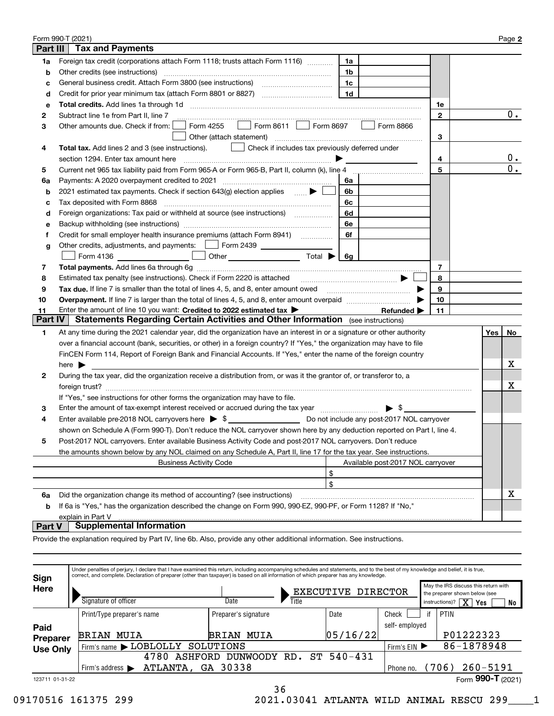|                | Form 990-T (2021)                                                                                                        |                |                                   |              |     | Page 2 |  |
|----------------|--------------------------------------------------------------------------------------------------------------------------|----------------|-----------------------------------|--------------|-----|--------|--|
| Part III       | <b>Tax and Payments</b>                                                                                                  |                |                                   |              |     |        |  |
| 1a             | Foreign tax credit (corporations attach Form 1118; trusts attach Form 1116)                                              | 1a             |                                   |              |     |        |  |
| b              | Other credits (see instructions)                                                                                         | 1b             |                                   |              |     |        |  |
| c              | General business credit. Attach Form 3800 (see instructions) maturitions.                                                | 1c             |                                   |              |     |        |  |
| d              |                                                                                                                          | 1 <sub>d</sub> |                                   |              |     |        |  |
| е              |                                                                                                                          |                |                                   | 1e           |     |        |  |
| 2              | Subtract line 1e from Part II, line 7                                                                                    |                |                                   | $\mathbf{2}$ |     | 0.     |  |
| З              | $\Box$ Form 8611 $\Box$<br>Form 4255<br>Other amounts due. Check if from:                                                | Form 8697      | Form 8866                         |              |     |        |  |
|                |                                                                                                                          |                |                                   | 3            |     |        |  |
| 4              | Total tax. Add lines 2 and 3 (see instructions).<br>  Check if includes tax previously deferred under                    |                |                                   |              |     |        |  |
|                |                                                                                                                          |                |                                   | 4            |     | $0$ .  |  |
| 5              |                                                                                                                          |                |                                   | 5            |     | $0$ .  |  |
| 6a             | Payments: A 2020 overpayment credited to 2021 [11] [12] [12] [13] [13] Payments: A 2020 overpayment credited to 2021     | 6a             |                                   |              |     |        |  |
| b              | 2021 estimated tax payments. Check if section 643(g) election applies  ▶                                                 | 6b             |                                   |              |     |        |  |
| с              | Tax deposited with Form 8868                                                                                             | 6с             |                                   |              |     |        |  |
| d              | Foreign organizations: Tax paid or withheld at source (see instructions) [                                               | 6d             |                                   |              |     |        |  |
| е              |                                                                                                                          | 6e             |                                   |              |     |        |  |
| Ť              | Credit for small employer health insurance premiums (attach Form 8941)                                                   | 6f             |                                   |              |     |        |  |
| g              | Other credits, adjustments, and payments: [16] Form 2439                                                                 |                |                                   |              |     |        |  |
|                | Form 4136 $\qquad \qquad$<br>Other $\overline{\hspace{1cm}}$ Total $\blacktriangleright$ $\overline{\hspace{1cm}}$ 6g    |                |                                   |              |     |        |  |
| 7              |                                                                                                                          |                |                                   | 7            |     |        |  |
| 8              | 8<br>Estimated tax penalty (see instructions). Check if Form 2220 is attached                                            |                |                                   |              |     |        |  |
| 9              | Tax due. If line 7 is smaller than the total of lines 4, 5, and 8, enter amount owed <i>manumenon conduction</i>         |                |                                   | 9            |     |        |  |
| 10             |                                                                                                                          |                |                                   | 10           |     |        |  |
| 11             | Enter the amount of line 10 you want: Credited to 2022 estimated tax >                                                   |                | Refunded $\blacktriangleright$    | 11           |     |        |  |
| <b>Part IV</b> | <b>Statements Regarding Certain Activities and Other Information</b> (see instructions)                                  |                |                                   |              |     |        |  |
| 1              | At any time during the 2021 calendar year, did the organization have an interest in or a signature or other authority    |                |                                   |              | Yes | No     |  |
|                | over a financial account (bank, securities, or other) in a foreign country? If "Yes," the organization may have to file  |                |                                   |              |     |        |  |
|                | FinCEN Form 114, Report of Foreign Bank and Financial Accounts. If "Yes," enter the name of the foreign country          |                |                                   |              |     |        |  |
|                | here $\blacktriangleright$                                                                                               |                |                                   |              |     | х      |  |
| 2              | During the tax year, did the organization receive a distribution from, or was it the grantor of, or transferor to, a     |                |                                   |              |     |        |  |
|                |                                                                                                                          |                |                                   |              |     | x      |  |
|                | If "Yes," see instructions for other forms the organization may have to file.                                            |                |                                   |              |     |        |  |
| з              | Enter the amount of tax-exempt interest received or accrued during the tax year manufactured in the amount.              |                | $\blacktriangleright$ s           |              |     |        |  |
| 4              | Enter available pre-2018 NOL carryovers here $\triangleright$ \$                                                         |                |                                   |              |     |        |  |
|                | shown on Schedule A (Form 990-T). Don't reduce the NOL carryover shown here by any deduction reported on Part I, line 4. |                |                                   |              |     |        |  |
|                | Post-2017 NOL carryovers. Enter available Business Activity Code and post-2017 NOL carryovers. Don't reduce              |                |                                   |              |     |        |  |
|                | the amounts shown below by any NOL claimed on any Schedule A, Part II, line 17 for the tax year. See instructions.       |                |                                   |              |     |        |  |
|                | <b>Business Activity Code</b>                                                                                            |                | Available post-2017 NOL carryover |              |     |        |  |
|                | \$                                                                                                                       |                |                                   |              |     |        |  |
|                | \$                                                                                                                       |                |                                   |              |     |        |  |
| 6a             | Did the organization change its method of accounting? (see instructions)                                                 |                |                                   |              |     | х      |  |
| b              | If 6a is "Yes," has the organization described the change on Form 990, 990-EZ, 990-PF, or Form 1128? If "No,"            |                |                                   |              |     |        |  |
|                | explain in Part V                                                                                                        |                |                                   |              |     |        |  |

# **Part V Supplemental Information**

Provide the explanation required by Part IV, line 6b. Also, provide any other additional information. See instructions.

| Sign            | Under penalties of perjury, I declare that I have examined this return, including accompanying schedules and statements, and to the best of my knowledge and belief, it is true,<br>correct, and complete. Declaration of preparer (other than taxpayer) is based on all information of which preparer has any knowledge. |                            |                    |                      |          |               |    |                                                                       |
|-----------------|---------------------------------------------------------------------------------------------------------------------------------------------------------------------------------------------------------------------------------------------------------------------------------------------------------------------------|----------------------------|--------------------|----------------------|----------|---------------|----|-----------------------------------------------------------------------|
| Here            |                                                                                                                                                                                                                                                                                                                           |                            | EXECUTIVE DIRECTOR |                      |          |               |    | May the IRS discuss this return with<br>the preparer shown below (see |
|                 | Signature of officer                                                                                                                                                                                                                                                                                                      |                            | Date               | Title                |          |               |    | $\overline{X}$ Yes<br>instructions)?<br>No                            |
|                 |                                                                                                                                                                                                                                                                                                                           | Print/Type preparer's name |                    | Preparer's signature |          | Check         | if | PTIN                                                                  |
| Paid            |                                                                                                                                                                                                                                                                                                                           |                            |                    |                      |          | self-employed |    |                                                                       |
| <b>Preparer</b> | MUIA<br>BRIAN                                                                                                                                                                                                                                                                                                             |                            | <b>BRIAN MUIA</b>  |                      | 05/16/22 |               |    | P01222323                                                             |
| <b>Use Only</b> | Firm's name > LOBLOLLY                                                                                                                                                                                                                                                                                                    |                            | SOLUTIONS          |                      |          | Firm's $EIN$  |    | 86-1878948                                                            |
|                 |                                                                                                                                                                                                                                                                                                                           | 4780<br>ASHFORD            | DUNWOODY RD.       | ST.                  | 540-431  |               |    |                                                                       |
|                 | ATLANTA, GA 30338<br>Firm's address $\blacktriangleright$                                                                                                                                                                                                                                                                 |                            |                    |                      |          |               |    | 260-5191<br>(706)                                                     |
| 123711 01-31-22 |                                                                                                                                                                                                                                                                                                                           |                            |                    |                      |          |               |    | Form 990-T $(2021)$                                                   |
|                 |                                                                                                                                                                                                                                                                                                                           |                            |                    | ግ ሮ                  |          |               |    |                                                                       |

36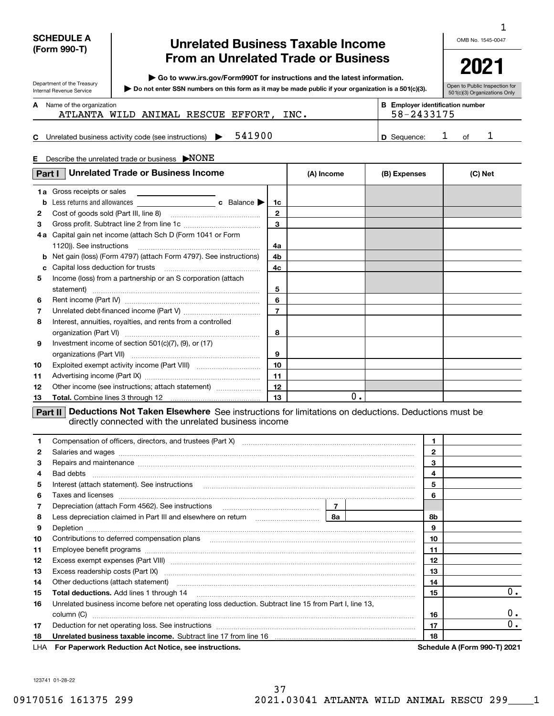# **SCHEDULE A (Form 990-T)**

Department of the Treasury Internal Revenue Service

# **Unrelated Business Taxable Income From an Unrelated Trade or Business**

**| Go to www.irs.gov/Form990T for instructions and the latest information.**

**Do not enter SSN numbers on this form as it may be made public if your organization is a 501(c)(3). |** 

OMB No. 1545-0047 1

| Open to Public Inspection for |
|-------------------------------|
| 501(c)(3) Organizations Only  |

**A**

Name of the organization **mployer identification number B E** ATLANTA WILD ANIMAL RESCUE EFFORT, INC. | 58-2433175

**C** Unrelated business activity code (see instructions)  $\rightarrow$  541900  $\mid$  **D** Sequence: 1 of **D** Sequence: 1 of 1

| E.                | Describe the unrelated trade or business NONE                                                 |                    |            |              |         |
|-------------------|-----------------------------------------------------------------------------------------------|--------------------|------------|--------------|---------|
| Part I            | <b>Unrelated Trade or Business Income</b>                                                     |                    | (A) Income | (B) Expenses | (C) Net |
| b<br>$\mathbf{2}$ | 1a Gross receipts or sales                                                                    | 1c<br>$\mathbf{2}$ |            |              |         |
| 3<br>4 a          | Capital gain net income (attach Sch D (Form 1041 or Form                                      | 3                  |            |              |         |
| b<br>c            | 1120)). See instructions<br>Net gain (loss) (Form 4797) (attach Form 4797). See instructions) | 4a<br>4b<br>4c     |            |              |         |
| 5                 | Income (loss) from a partnership or an S corporation (attach                                  | 5<br>6             |            |              |         |
| 6<br>7<br>8       | Interest, annuities, royalties, and rents from a controlled                                   | $\overline{7}$     |            |              |         |
| 9                 | Investment income of section $501(c)(7)$ , (9), or (17)                                       | 8<br>9             |            |              |         |
| 10<br>11          |                                                                                               | 10<br>11           |            |              |         |
| 12<br>13          | Other income (see instructions; attach statement)                                             | 12<br>13           | 0.         |              |         |

**Part II** Deductions Not Taken Elsewhere See instructions for limitations on deductions. Deductions must be directly connected with the unrelated business income

| 1.           |                                                                                                                                                                                                                                      |              |    |    |                              |
|--------------|--------------------------------------------------------------------------------------------------------------------------------------------------------------------------------------------------------------------------------------|--------------|----|----|------------------------------|
| $\mathbf{2}$ | Salaries and wages <b>construction and construction of the set of the set of the set of the set of the set of the set of the set of the set of the set of the set of the set of the set of the set of the set of the set of the </b> | $\mathbf{2}$ |    |    |                              |
| 3            | Repairs and maintenance material content and content and maintenance and maintenance material content and maintenance                                                                                                                |              |    | 3  |                              |
| 4            |                                                                                                                                                                                                                                      |              |    | 4  |                              |
| 5            | Interest (attach statement). See instructions                                                                                                                                                                                        |              |    | 5  |                              |
| 6            | Taxes and licenses <b>communications</b> and interest constructions are all the constructions and licenses <b>constructions</b>                                                                                                      |              |    | 6  |                              |
| 7            |                                                                                                                                                                                                                                      |              |    |    |                              |
| 8            |                                                                                                                                                                                                                                      |              |    |    |                              |
| 9            |                                                                                                                                                                                                                                      |              |    |    |                              |
| 10           |                                                                                                                                                                                                                                      |              |    |    |                              |
| 11           |                                                                                                                                                                                                                                      |              |    |    |                              |
| 12           |                                                                                                                                                                                                                                      |              |    | 12 |                              |
| 13           |                                                                                                                                                                                                                                      |              |    | 13 |                              |
| 14           | Other deductions (attach statement) manufactured and content of the deductions (attach statement)                                                                                                                                    |              |    | 14 |                              |
| 15           |                                                                                                                                                                                                                                      | 15           | 0. |    |                              |
| 16           | Unrelated business income before net operating loss deduction. Subtract line 15 from Part I, line 13,                                                                                                                                |              |    |    |                              |
|              |                                                                                                                                                                                                                                      |              |    | 16 | $0 \cdot$                    |
| 17           |                                                                                                                                                                                                                                      |              |    | 17 | 0.                           |
| 18           | Unrelated business taxable income. Subtract line 17 from line 16 [11] manuscription business taxable income. Subtract line 17 from line 16                                                                                           |              |    | 18 |                              |
|              | LHA For Paperwork Reduction Act Notice, see instructions.                                                                                                                                                                            |              |    |    | Schedule A (Form 990-T) 2021 |

123741 01-28-22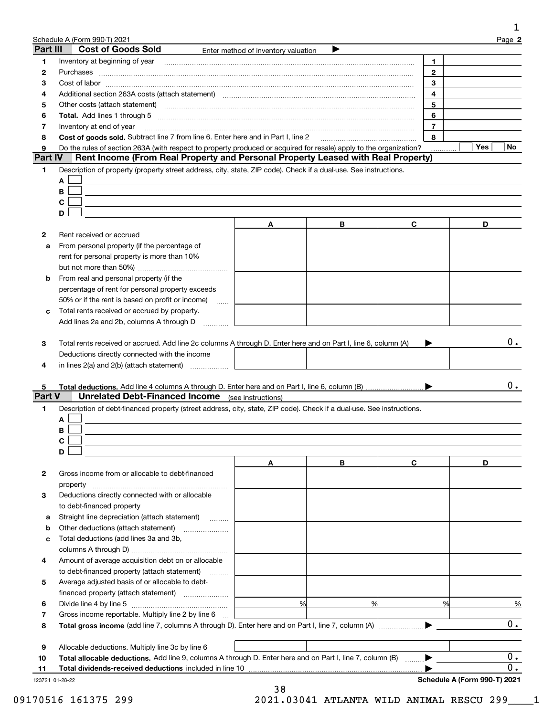| Part III<br>1    | <b>Cost of Goods Sold</b>                                                                                                                                                                                                                                                             |                                     |   |                      | Page 2           |
|------------------|---------------------------------------------------------------------------------------------------------------------------------------------------------------------------------------------------------------------------------------------------------------------------------------|-------------------------------------|---|----------------------|------------------|
|                  |                                                                                                                                                                                                                                                                                       | Enter method of inventory valuation |   |                      |                  |
|                  |                                                                                                                                                                                                                                                                                       |                                     |   | 1.<br>$\overline{2}$ |                  |
| 2<br>з           |                                                                                                                                                                                                                                                                                       |                                     |   | 3                    |                  |
|                  |                                                                                                                                                                                                                                                                                       |                                     |   | 4                    |                  |
| 4                |                                                                                                                                                                                                                                                                                       |                                     |   | 5                    |                  |
| 5                |                                                                                                                                                                                                                                                                                       |                                     |   |                      |                  |
| 6                |                                                                                                                                                                                                                                                                                       |                                     |   | 6                    |                  |
| 7<br>8           | Inventory at end of year                                                                                                                                                                                                                                                              |                                     |   | $\overline{7}$       |                  |
| 9                | Cost of goods sold. Subtract line 7 from line 6. Enter here and in Part I, line 2 [11] [11] Cost of goods sold. Subtract line 7 from line 6. Enter here and in Part I, line 2                                                                                                         |                                     |   | 8                    |                  |
| <b>Part IV</b>   | Do the rules of section 263A (with respect to property produced or acquired for resale) apply to the organization?<br>Rent Income (From Real Property and Personal Property Leased with Real Property)                                                                                |                                     |   |                      | <b>Yes</b><br>No |
| 1.               |                                                                                                                                                                                                                                                                                       |                                     |   |                      |                  |
|                  | Description of property (property street address, city, state, ZIP code). Check if a dual-use. See instructions.                                                                                                                                                                      |                                     |   |                      |                  |
|                  | A                                                                                                                                                                                                                                                                                     |                                     |   |                      |                  |
|                  | В                                                                                                                                                                                                                                                                                     |                                     |   |                      |                  |
| C                |                                                                                                                                                                                                                                                                                       |                                     |   |                      |                  |
|                  | D                                                                                                                                                                                                                                                                                     |                                     |   |                      |                  |
|                  |                                                                                                                                                                                                                                                                                       | Α                                   | в | C                    | D                |
|                  | Rent received or accrued                                                                                                                                                                                                                                                              |                                     |   |                      |                  |
| а                | From personal property (if the percentage of                                                                                                                                                                                                                                          |                                     |   |                      |                  |
|                  | rent for personal property is more than 10%                                                                                                                                                                                                                                           |                                     |   |                      |                  |
|                  |                                                                                                                                                                                                                                                                                       |                                     |   |                      |                  |
| b                | From real and personal property (if the                                                                                                                                                                                                                                               |                                     |   |                      |                  |
|                  | percentage of rent for personal property exceeds                                                                                                                                                                                                                                      |                                     |   |                      |                  |
|                  | 50% or if the rent is based on profit or income)<br>$\sim$                                                                                                                                                                                                                            |                                     |   |                      |                  |
| с                | Total rents received or accrued by property.                                                                                                                                                                                                                                          |                                     |   |                      |                  |
|                  | Add lines 2a and 2b, columns A through D                                                                                                                                                                                                                                              |                                     |   |                      |                  |
|                  | Total rents received or accrued. Add line 2c columns A through D. Enter here and on Part I, line 6, column (A)<br>Deductions directly connected with the income<br>in lines $2(a)$ and $2(b)$ (attach statement) $\ldots$<br><b>Unrelated Debt-Financed Income</b> (see instructions) |                                     |   |                      |                  |
| A                | Description of debt-financed property (street address, city, state, ZIP code). Check if a dual-use. See instructions.                                                                                                                                                                 |                                     |   |                      |                  |
| В                |                                                                                                                                                                                                                                                                                       |                                     |   |                      |                  |
| С                |                                                                                                                                                                                                                                                                                       |                                     |   |                      |                  |
|                  | D                                                                                                                                                                                                                                                                                     |                                     |   |                      |                  |
|                  |                                                                                                                                                                                                                                                                                       | A                                   | В | C                    | D                |
|                  | Gross income from or allocable to debt-financed                                                                                                                                                                                                                                       |                                     |   |                      |                  |
|                  |                                                                                                                                                                                                                                                                                       |                                     |   |                      |                  |
|                  | Deductions directly connected with or allocable                                                                                                                                                                                                                                       |                                     |   |                      |                  |
|                  | to debt-financed property                                                                                                                                                                                                                                                             |                                     |   |                      |                  |
|                  | Straight line depreciation (attach statement)                                                                                                                                                                                                                                         |                                     |   |                      |                  |
| Part V<br>а<br>b |                                                                                                                                                                                                                                                                                       |                                     |   |                      |                  |
| c                | Total deductions (add lines 3a and 3b,                                                                                                                                                                                                                                                |                                     |   |                      |                  |
|                  |                                                                                                                                                                                                                                                                                       |                                     |   |                      |                  |
|                  | Amount of average acquisition debt on or allocable                                                                                                                                                                                                                                    |                                     |   |                      |                  |
|                  | to debt-financed property (attach statement)                                                                                                                                                                                                                                          |                                     |   |                      |                  |
|                  | Average adjusted basis of or allocable to debt-                                                                                                                                                                                                                                       |                                     |   |                      |                  |
|                  |                                                                                                                                                                                                                                                                                       |                                     |   |                      |                  |
|                  |                                                                                                                                                                                                                                                                                       | %                                   |   | %<br>%               |                  |
|                  | Gross income reportable. Multiply line 2 by line 6                                                                                                                                                                                                                                    |                                     |   |                      |                  |
|                  |                                                                                                                                                                                                                                                                                       |                                     |   |                      |                  |
|                  |                                                                                                                                                                                                                                                                                       |                                     |   |                      |                  |
|                  | Allocable deductions. Multiply line 3c by line 6<br>Total allocable deductions. Add line 9, columns A through D. Enter here and on Part I, line 7, column (B)                                                                                                                         |                                     |   |                      |                  |

09170516 161375 299 2021.03041 ATLANTA WILD ANIMAL RESCU 299\_\_\_\_1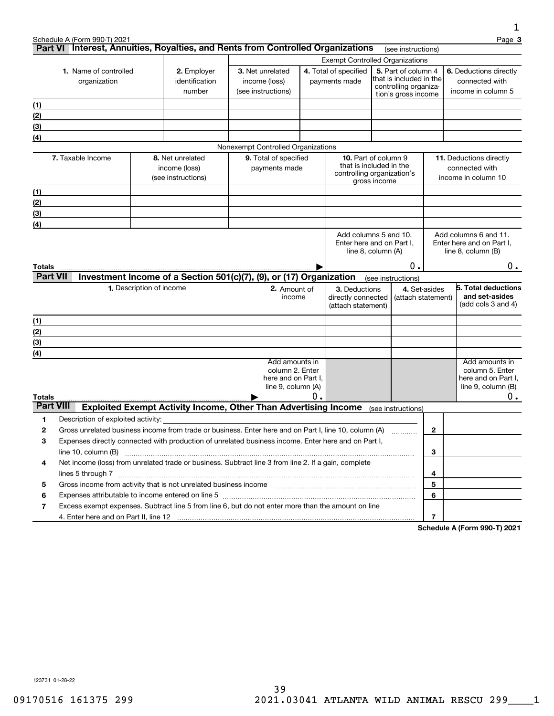|                  |                                                                                                                 |                          |                                                                        |                       |                                           |                             |                                                       |                     |                                                  |                         | 1                                                  |
|------------------|-----------------------------------------------------------------------------------------------------------------|--------------------------|------------------------------------------------------------------------|-----------------------|-------------------------------------------|-----------------------------|-------------------------------------------------------|---------------------|--------------------------------------------------|-------------------------|----------------------------------------------------|
|                  | Schedule A (Form 990-T) 2021<br>Part VI Interest, Annuities, Royalties, and Rents from Controlled Organizations |                          |                                                                        |                       |                                           |                             |                                                       |                     | (see instructions)                               |                         | Page 3                                             |
|                  |                                                                                                                 |                          |                                                                        |                       |                                           |                             | <b>Exempt Controlled Organizations</b>                |                     |                                                  |                         |                                                    |
|                  | 1. Name of controlled                                                                                           |                          | 2. Employer                                                            |                       | 3. Net unrelated                          |                             | 4. Total of specified<br>5. Part of column 4          |                     |                                                  | 6. Deductions directly  |                                                    |
|                  | organization                                                                                                    |                          | identification                                                         |                       | income (loss)                             |                             | payments made                                         |                     | that is included in the<br>controlling organiza- |                         | connected with                                     |
|                  |                                                                                                                 |                          | number                                                                 | (see instructions)    |                                           |                             |                                                       | tion's gross income |                                                  | income in column 5      |                                                    |
| (1)              |                                                                                                                 |                          |                                                                        |                       |                                           |                             |                                                       |                     |                                                  |                         |                                                    |
| (2)              |                                                                                                                 |                          |                                                                        |                       |                                           |                             |                                                       |                     |                                                  |                         |                                                    |
| (3)<br>(4)       |                                                                                                                 |                          |                                                                        |                       |                                           |                             |                                                       |                     |                                                  |                         |                                                    |
|                  |                                                                                                                 |                          |                                                                        |                       | Nonexempt Controlled Organizations        |                             |                                                       |                     |                                                  |                         |                                                    |
|                  | 7. Taxable Income<br>8. Net unrelated                                                                           |                          |                                                                        | 9. Total of specified |                                           | <b>10.</b> Part of column 9 |                                                       |                     |                                                  | 11. Deductions directly |                                                    |
|                  |                                                                                                                 |                          | income (loss)                                                          |                       | payments made                             |                             | that is included in the<br>controlling organization's |                     |                                                  |                         | connected with                                     |
|                  |                                                                                                                 |                          | (see instructions)                                                     |                       |                                           |                             |                                                       | gross income        |                                                  |                         | income in column 10                                |
| (1)              |                                                                                                                 |                          |                                                                        |                       |                                           |                             |                                                       |                     |                                                  |                         |                                                    |
| (2)              |                                                                                                                 |                          |                                                                        |                       |                                           |                             |                                                       |                     |                                                  |                         |                                                    |
| (3)              |                                                                                                                 |                          |                                                                        |                       |                                           |                             |                                                       |                     |                                                  |                         |                                                    |
| (4)              |                                                                                                                 |                          |                                                                        |                       |                                           |                             |                                                       |                     |                                                  |                         |                                                    |
|                  |                                                                                                                 |                          |                                                                        |                       |                                           |                             | Add columns 5 and 10.<br>Enter here and on Part I.    |                     |                                                  |                         | Add columns 6 and 11.<br>Enter here and on Part I. |
|                  |                                                                                                                 |                          |                                                                        |                       |                                           |                             | line 8, column (A)                                    |                     |                                                  |                         | line 8, column (B)                                 |
| Totals           |                                                                                                                 |                          |                                                                        |                       |                                           |                             |                                                       |                     | 0.                                               |                         | 0.                                                 |
| <b>Part VII</b>  |                                                                                                                 |                          | Investment Income of a Section 501(c)(7), (9), or (17) Organization    |                       |                                           |                             |                                                       |                     | (see instructions)                               |                         |                                                    |
|                  |                                                                                                                 | 1. Description of income |                                                                        |                       | 2. Amount of                              |                             | 3. Deductions                                         |                     | 4. Set-asides                                    |                         | 5. Total deductions                                |
|                  |                                                                                                                 |                          |                                                                        |                       | income                                    |                             | directly connected<br>(attach statement)              |                     | (attach statement)                               |                         | and set-asides<br>(add cols 3 and 4)               |
| (1)              |                                                                                                                 |                          |                                                                        |                       |                                           |                             |                                                       |                     |                                                  |                         |                                                    |
| (2)              |                                                                                                                 |                          |                                                                        |                       |                                           |                             |                                                       |                     |                                                  |                         |                                                    |
| (3)              |                                                                                                                 |                          |                                                                        |                       |                                           |                             |                                                       |                     |                                                  |                         |                                                    |
| (4)              |                                                                                                                 |                          |                                                                        |                       | Add amounts in                            |                             |                                                       |                     |                                                  |                         | Add amounts in                                     |
|                  |                                                                                                                 |                          |                                                                        |                       | column 2. Enter                           |                             |                                                       |                     |                                                  |                         | column 5. Enter                                    |
|                  |                                                                                                                 |                          |                                                                        |                       | here and on Part I,<br>line 9, column (A) |                             |                                                       |                     |                                                  |                         | here and on Part I,<br>line 9, column (B)          |
| Totals           |                                                                                                                 |                          |                                                                        |                       |                                           | 0.                          |                                                       |                     |                                                  |                         | 0.                                                 |
| <b>Part VIII</b> |                                                                                                                 |                          | <b>Exploited Exempt Activity Income, Other Than Advertising Income</b> |                       |                                           |                             |                                                       |                     | (see instructions)                               |                         |                                                    |
| 1                | Description of exploited activity:                                                                              |                          |                                                                        |                       |                                           |                             |                                                       |                     |                                                  |                         |                                                    |
| 2                | Gross unrelated business income from trade or business. Enter here and on Part I, line 10, column (A)           |                          |                                                                        |                       |                                           |                             |                                                       |                     |                                                  | $\mathbf{2}$            |                                                    |
| 3                | Expenses directly connected with production of unrelated business income. Enter here and on Part I,             |                          |                                                                        |                       |                                           |                             |                                                       |                     |                                                  |                         |                                                    |
|                  |                                                                                                                 |                          |                                                                        |                       |                                           |                             |                                                       |                     |                                                  | 3                       |                                                    |
| 4                | Net income (loss) from unrelated trade or business. Subtract line 3 from line 2. If a gain, complete            |                          |                                                                        |                       |                                           |                             |                                                       |                     |                                                  |                         |                                                    |
|                  | lines 5 through 7                                                                                               |                          |                                                                        |                       |                                           |                             |                                                       |                     |                                                  | 4                       |                                                    |
| 5                |                                                                                                                 |                          |                                                                        |                       |                                           |                             |                                                       |                     |                                                  | 5                       |                                                    |
| 6                |                                                                                                                 |                          |                                                                        |                       |                                           |                             |                                                       |                     |                                                  | 6                       |                                                    |
| 7                | Excess exempt expenses. Subtract line 5 from line 6, but do not enter more than the amount on line              |                          |                                                                        |                       |                                           |                             |                                                       |                     |                                                  |                         |                                                    |
|                  |                                                                                                                 |                          |                                                                        |                       |                                           |                             |                                                       |                     |                                                  | 7                       |                                                    |

**Schedule A (Form 990-T) 2021**

123731 01-28-22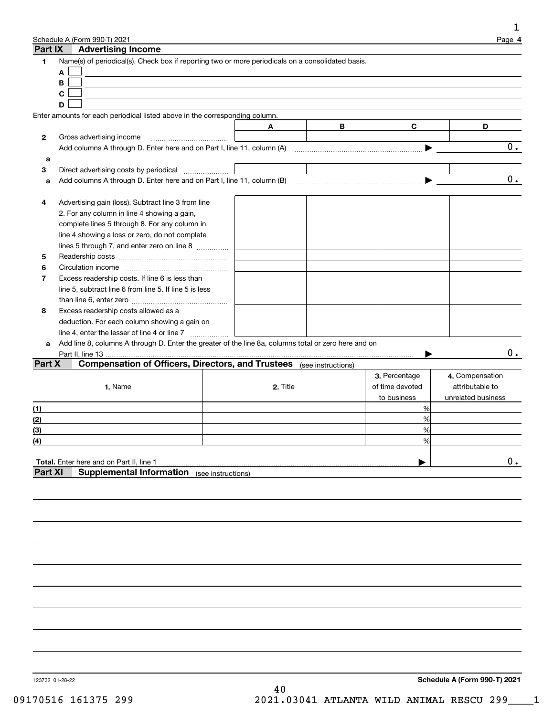| Part IX        | Schedule A (Form 990-T) 2021                                                                                   |   |          |   |                                  | Page 4                             |
|----------------|----------------------------------------------------------------------------------------------------------------|---|----------|---|----------------------------------|------------------------------------|
|                | <b>Advertising Income</b>                                                                                      |   |          |   |                                  |                                    |
| 1              | Name(s) of periodical(s). Check box if reporting two or more periodicals on a consolidated basis.              |   |          |   |                                  |                                    |
|                | A                                                                                                              |   |          |   |                                  |                                    |
|                | В                                                                                                              |   |          |   |                                  |                                    |
|                | C                                                                                                              |   |          |   |                                  |                                    |
|                | D                                                                                                              |   |          |   |                                  |                                    |
|                | Enter amounts for each periodical listed above in the corresponding column.                                    |   |          |   |                                  |                                    |
|                |                                                                                                                | A |          | В | C                                | D                                  |
| 2              | Gross advertising income                                                                                       |   |          |   |                                  |                                    |
|                | Add columns A through D. Enter here and on Part I, line 11, column (A)                                         |   |          |   |                                  | $\overline{0}$ .                   |
| a              |                                                                                                                |   |          |   |                                  |                                    |
| 3              | Direct advertising costs by periodical                                                                         |   |          |   |                                  |                                    |
| a              | Add columns A through D. Enter here and on Part I, line 11, column (B) manufactured columns A through D. Enter |   |          |   |                                  | $\overline{0}$ .                   |
|                |                                                                                                                |   |          |   |                                  |                                    |
| 4              | Advertising gain (loss). Subtract line 3 from line                                                             |   |          |   |                                  |                                    |
|                | 2. For any column in line 4 showing a gain,                                                                    |   |          |   |                                  |                                    |
|                | complete lines 5 through 8. For any column in                                                                  |   |          |   |                                  |                                    |
|                | line 4 showing a loss or zero, do not complete                                                                 |   |          |   |                                  |                                    |
|                | lines 5 through 7, and enter zero on line 8                                                                    |   |          |   |                                  |                                    |
| 5              |                                                                                                                |   |          |   |                                  |                                    |
| 6              |                                                                                                                |   |          |   |                                  |                                    |
| 7              | Excess readership costs. If line 6 is less than                                                                |   |          |   |                                  |                                    |
|                | line 5, subtract line 6 from line 5. If line 5 is less                                                         |   |          |   |                                  |                                    |
|                |                                                                                                                |   |          |   |                                  |                                    |
| 8              | Excess readership costs allowed as a                                                                           |   |          |   |                                  |                                    |
|                | deduction. For each column showing a gain on                                                                   |   |          |   |                                  |                                    |
|                | line 4, enter the lesser of line 4 or line 7                                                                   |   |          |   |                                  |                                    |
| a              | Add line 8, columns A through D. Enter the greater of the line 8a, columns total or zero here and on           |   |          |   |                                  | 0.                                 |
| Part X         | Part II, line 13<br><b>Compensation of Officers, Directors, and Trustees</b> (see instructions)                |   |          |   |                                  |                                    |
|                |                                                                                                                |   |          |   |                                  |                                    |
|                |                                                                                                                |   |          |   | 3. Percentage<br>of time devoted | 4. Compensation<br>attributable to |
|                | 1. Name                                                                                                        |   | 2. Title |   |                                  | unrelated business                 |
|                |                                                                                                                |   |          |   | to business<br>%                 |                                    |
| (1)            |                                                                                                                |   |          |   | %                                |                                    |
| (2)            |                                                                                                                |   |          |   | %                                |                                    |
| (3)            |                                                                                                                |   |          |   | ℅                                |                                    |
| <u>(4)</u>     |                                                                                                                |   |          |   |                                  |                                    |
|                | Total. Enter here and on Part II, line 1                                                                       |   |          |   |                                  | $0$ .                              |
| <b>Part XI</b> | <b>Supplemental Information</b> (see instructions)                                                             |   |          |   |                                  |                                    |
|                |                                                                                                                |   |          |   |                                  |                                    |
|                |                                                                                                                |   |          |   |                                  |                                    |
|                |                                                                                                                |   |          |   |                                  |                                    |
|                |                                                                                                                |   |          |   |                                  |                                    |
|                |                                                                                                                |   |          |   |                                  |                                    |
|                |                                                                                                                |   |          |   |                                  |                                    |
|                |                                                                                                                |   |          |   |                                  |                                    |
|                |                                                                                                                |   |          |   |                                  |                                    |
|                |                                                                                                                |   |          |   |                                  |                                    |
|                |                                                                                                                |   |          |   |                                  |                                    |
|                |                                                                                                                |   |          |   |                                  |                                    |
|                |                                                                                                                |   |          |   |                                  |                                    |
|                |                                                                                                                |   |          |   |                                  |                                    |
|                |                                                                                                                |   |          |   |                                  |                                    |
|                |                                                                                                                |   |          |   |                                  |                                    |
|                |                                                                                                                |   |          |   |                                  |                                    |
|                |                                                                                                                |   |          |   |                                  |                                    |

123732 01-28-22

1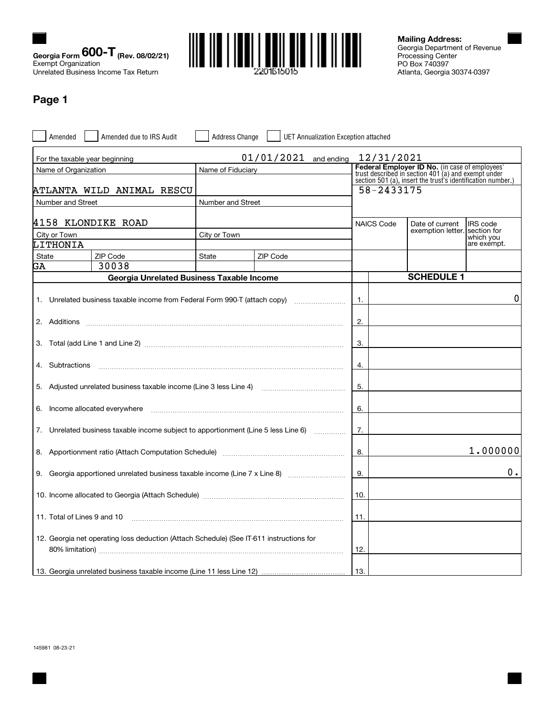



Georgia Department of Revenue Processing Center PO Box 740397 Atlanta, Georgia 30374-0397 **Mailing Address:**

# **Page 1**

| Amended                     | Amended due to IRS Audit                                                                                                                                                                                                                                                                                                                                                                                                                         | <b>Address Change</b> | <b>UET Annualization Exception attached</b> |                                                                                                                                                                             |                   |                          |  |  |
|-----------------------------|--------------------------------------------------------------------------------------------------------------------------------------------------------------------------------------------------------------------------------------------------------------------------------------------------------------------------------------------------------------------------------------------------------------------------------------------------|-----------------------|---------------------------------------------|-----------------------------------------------------------------------------------------------------------------------------------------------------------------------------|-------------------|--------------------------|--|--|
|                             | For the taxable year beginning                                                                                                                                                                                                                                                                                                                                                                                                                   |                       | $01/01/2021$ and ending                     | 12/31/2021                                                                                                                                                                  |                   |                          |  |  |
| Name of Organization        |                                                                                                                                                                                                                                                                                                                                                                                                                                                  | Name of Fiduciary     |                                             | <b>Federal Employer ID No.</b> (in case of employees'<br>trust described in section 401 (a) and exempt under<br>section 501 (a), insert the trust's identification number.) |                   |                          |  |  |
|                             | ATLANTA WILD ANIMAL RESCU                                                                                                                                                                                                                                                                                                                                                                                                                        |                       |                                             | 58-2433175                                                                                                                                                                  |                   |                          |  |  |
| Number and Street           |                                                                                                                                                                                                                                                                                                                                                                                                                                                  | Number and Street     |                                             |                                                                                                                                                                             |                   |                          |  |  |
|                             | 4158 KLONDIKE ROAD                                                                                                                                                                                                                                                                                                                                                                                                                               |                       |                                             | <b>NAICS Code</b>                                                                                                                                                           | Date of current   | <b>IRS</b> code          |  |  |
| City or Town                |                                                                                                                                                                                                                                                                                                                                                                                                                                                  | City or Town          |                                             |                                                                                                                                                                             | exemption letter. | section for<br>which you |  |  |
| LITHONIA                    |                                                                                                                                                                                                                                                                                                                                                                                                                                                  |                       |                                             |                                                                                                                                                                             |                   | are exempt.              |  |  |
| State                       | ZIP Code                                                                                                                                                                                                                                                                                                                                                                                                                                         | State                 | ZIP Code                                    |                                                                                                                                                                             |                   |                          |  |  |
| GA                          | 30038<br>Georgia Unrelated Business Taxable Income                                                                                                                                                                                                                                                                                                                                                                                               |                       |                                             |                                                                                                                                                                             | <b>SCHEDULE 1</b> |                          |  |  |
|                             |                                                                                                                                                                                                                                                                                                                                                                                                                                                  |                       |                                             |                                                                                                                                                                             |                   |                          |  |  |
|                             | 1. Unrelated business taxable income from Federal Form 990-T (attach copy)                                                                                                                                                                                                                                                                                                                                                                       |                       |                                             | $\overline{1}$ .                                                                                                                                                            |                   | 0                        |  |  |
|                             |                                                                                                                                                                                                                                                                                                                                                                                                                                                  |                       |                                             | 2.                                                                                                                                                                          |                   |                          |  |  |
|                             |                                                                                                                                                                                                                                                                                                                                                                                                                                                  |                       |                                             | 3.                                                                                                                                                                          |                   |                          |  |  |
| 4. Subtractions             | $\begin{minipage}{0.5\textwidth} \begin{tabular}{ l l l } \hline & \multicolumn{1}{ l l } \hline \multicolumn{1}{ l } \multicolumn{1}{ l } \hline \multicolumn{1}{ l } \multicolumn{1}{ l } \multicolumn{1}{ l } \multicolumn{1}{ l } \multicolumn{1}{ l } \multicolumn{1}{ l } \multicolumn{1}{ l } \multicolumn{1}{ l } \multicolumn{1}{ l } \multicolumn{1}{ l } \multicolumn{1}{ l } \multicolumn{1}{ l } \multicolumn{1}{ l } \multicolumn$ |                       |                                             | 4.                                                                                                                                                                          |                   |                          |  |  |
|                             | 5. Adjusted unrelated business taxable income (Line 3 less Line 4) [11] [12] [13] [13] [13] Adjusted unrelated business taxable income (Line 3 less Line 4)                                                                                                                                                                                                                                                                                      |                       |                                             | 5.                                                                                                                                                                          |                   |                          |  |  |
| 6.                          | Income allocated everywhere                                                                                                                                                                                                                                                                                                                                                                                                                      |                       |                                             | 6.                                                                                                                                                                          |                   |                          |  |  |
|                             | 7. Unrelated business taxable income subject to apportionment (Line 5 less Line 6)                                                                                                                                                                                                                                                                                                                                                               |                       |                                             | 7.                                                                                                                                                                          |                   |                          |  |  |
|                             |                                                                                                                                                                                                                                                                                                                                                                                                                                                  |                       |                                             | 8.                                                                                                                                                                          |                   | 1.000000                 |  |  |
|                             | 9. Georgia apportioned unrelated business taxable income (Line 7 x Line 8)                                                                                                                                                                                                                                                                                                                                                                       |                       |                                             | 9.                                                                                                                                                                          |                   | О.                       |  |  |
|                             | 10. Income allocated to Georgia (Attach Schedule) manufacture and content allocated to Georgia (Attach Schedule)                                                                                                                                                                                                                                                                                                                                 |                       |                                             | 10.                                                                                                                                                                         |                   |                          |  |  |
| 11. Total of Lines 9 and 10 |                                                                                                                                                                                                                                                                                                                                                                                                                                                  |                       |                                             | 11.                                                                                                                                                                         |                   |                          |  |  |
|                             | 12. Georgia net operating loss deduction (Attach Schedule) (See IT-611 instructions for                                                                                                                                                                                                                                                                                                                                                          |                       |                                             | 12.                                                                                                                                                                         |                   |                          |  |  |
|                             |                                                                                                                                                                                                                                                                                                                                                                                                                                                  |                       |                                             | 13.                                                                                                                                                                         |                   |                          |  |  |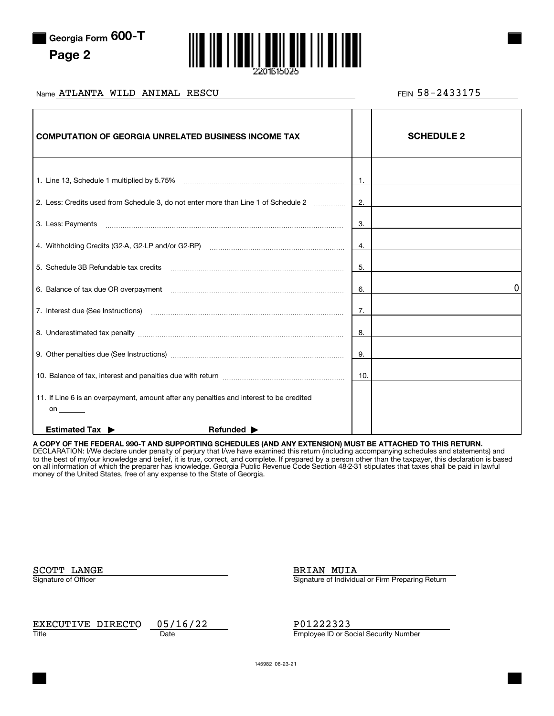

**Page 2**



# Name ATLANTA WILD ANIMAL RESCU and the set of the set of the set of the set of the set of the set of the set o

| <b>COMPUTATION OF GEORGIA UNRELATED BUSINESS INCOME TAX</b>                                   |     | <b>SCHEDULE 2</b> |
|-----------------------------------------------------------------------------------------------|-----|-------------------|
|                                                                                               | 1.  |                   |
| 2. Less: Credits used from Schedule 3, do not enter more than Line 1 of Schedule 2            | 2.  |                   |
|                                                                                               | 3.  |                   |
|                                                                                               | 4.  |                   |
| 5. Schedule 3B Refundable tax credits                                                         | 5.  |                   |
|                                                                                               | 6.  | 0                 |
|                                                                                               | 7.  |                   |
|                                                                                               | 8.  |                   |
|                                                                                               | 9.  |                   |
|                                                                                               | 10. |                   |
| 11. If Line 6 is an overpayment, amount after any penalties and interest to be credited<br>on |     |                   |
| <b>Estimated Tax ▶</b><br>Refunded $\blacktriangleright$                                      |     |                   |

**A COPY OF THE FEDERAL 990-T AND SUPPORTING SCHEDULES (AND ANY EXTENSION) MUST BE ATTACHED TO THIS RETURN.** DECLARATION: I/We declare under penalty of perjury that I/we have examined this return (including accompanying schedules and statements) and to the best of my/our knowledge and belief, it is true, correct, and complete. If prepared by a person other than the taxpayer, this declaration is based on all information of which the preparer has knowledge. Georgia Public Revenue Code Section 48-2-31 stipulates that taxes shall be paid in lawful money of the United States, free of any expense to the State of Georgia.

SCOTT LANGE BRIAN MUIA

Signature of Officer Signature of Officer Signature of Individual or Firm Preparing Return

Title **Employee ID or Social Security Number** Date **Contract Contract Contract Contract Contract Contract Contract Contract Contract Contract Contract Contract Contract Contract Contract Contract Contract Contract Contract** EXECUTIVE DIRECTO 05/16/22 P01222323